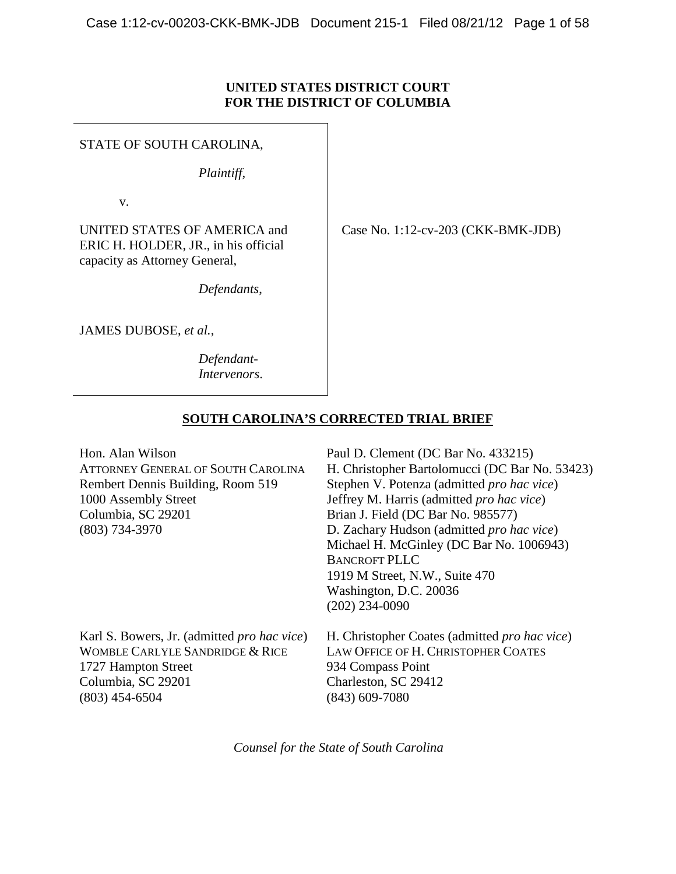## **UNITED STATES DISTRICT COURT FOR THE DISTRICT OF COLUMBIA**

STATE OF SOUTH CAROLINA,

*Plaintiff*,

v.

UNITED STATES OF AMERICA and ERIC H. HOLDER, JR., in his official capacity as Attorney General,

*Defendants*,

JAMES DUBOSE, *et al.*,

*Defendant-Intervenors*. Case No. 1:12-cv-203 (CKK-BMK-JDB)

# **SOUTH CAROLINA'S CORRECTED TRIAL BRIEF**

| Hon. Alan Wilson                                    | Paul D. Clement (DC Bar No. 433215)                   |  |
|-----------------------------------------------------|-------------------------------------------------------|--|
| <b>ATTORNEY GENERAL OF SOUTH CAROLINA</b>           | H. Christopher Bartolomucci (DC Bar No. 53423)        |  |
| Rembert Dennis Building, Room 519                   | Stephen V. Potenza (admitted pro hac vice)            |  |
| 1000 Assembly Street                                | Jeffrey M. Harris (admitted pro hac vice)             |  |
| Columbia, SC 29201                                  | Brian J. Field (DC Bar No. 985577)                    |  |
| $(803)$ 734-3970                                    | D. Zachary Hudson (admitted <i>pro hac vice</i> )     |  |
|                                                     | Michael H. McGinley (DC Bar No. 1006943)              |  |
|                                                     | <b>BANCROFT PLLC</b>                                  |  |
|                                                     | 1919 M Street, N.W., Suite 470                        |  |
|                                                     | Washington, D.C. 20036                                |  |
|                                                     | $(202)$ 234-0090                                      |  |
| Karl S. Bowers, Jr. (admitted <i>pro hac vice</i> ) | H. Christopher Coates (admitted <i>pro hac vice</i> ) |  |
| <b>WOMBLE CARLYLE SANDRIDGE &amp; RICE</b>          | LAW OFFICE OF H. CHRISTOPHER COATES                   |  |
| 1727 Hampton Street                                 | 934 Compass Point                                     |  |
| Columbia, SC 29201                                  | Charleston, SC 29412                                  |  |
| $(803)$ 454-6504                                    | $(843)$ 609-7080                                      |  |

<span id="page-0-0"></span>*Counsel for the State of South Carolina*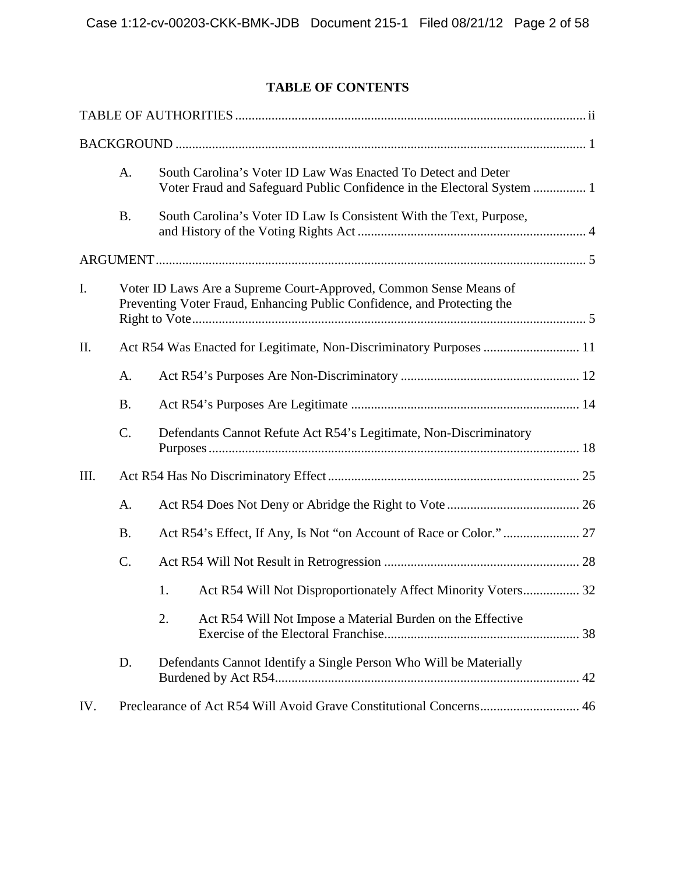# **TABLE OF CONTENTS**

|      | A.        | South Carolina's Voter ID Law Was Enacted To Detect and Deter<br>Voter Fraud and Safeguard Public Confidence in the Electoral System  1      |
|------|-----------|----------------------------------------------------------------------------------------------------------------------------------------------|
|      | <b>B.</b> | South Carolina's Voter ID Law Is Consistent With the Text, Purpose,                                                                          |
|      |           |                                                                                                                                              |
| I.   |           | Voter ID Laws Are a Supreme Court-Approved, Common Sense Means of<br>Preventing Voter Fraud, Enhancing Public Confidence, and Protecting the |
| II.  |           |                                                                                                                                              |
|      | A.        |                                                                                                                                              |
|      | <b>B.</b> |                                                                                                                                              |
|      | C.        | Defendants Cannot Refute Act R54's Legitimate, Non-Discriminatory                                                                            |
| III. |           |                                                                                                                                              |
|      | A.        |                                                                                                                                              |
|      | <b>B.</b> |                                                                                                                                              |
| C.   |           |                                                                                                                                              |
|      |           | Act R54 Will Not Disproportionately Affect Minority Voters 32<br>1.                                                                          |
|      |           | 2.<br>Act R54 Will Not Impose a Material Burden on the Effective                                                                             |
|      | D.        | Defendants Cannot Identify a Single Person Who Will be Materially<br>42                                                                      |
| IV.  |           | Preclearance of Act R54 Will Avoid Grave Constitutional Concerns 46                                                                          |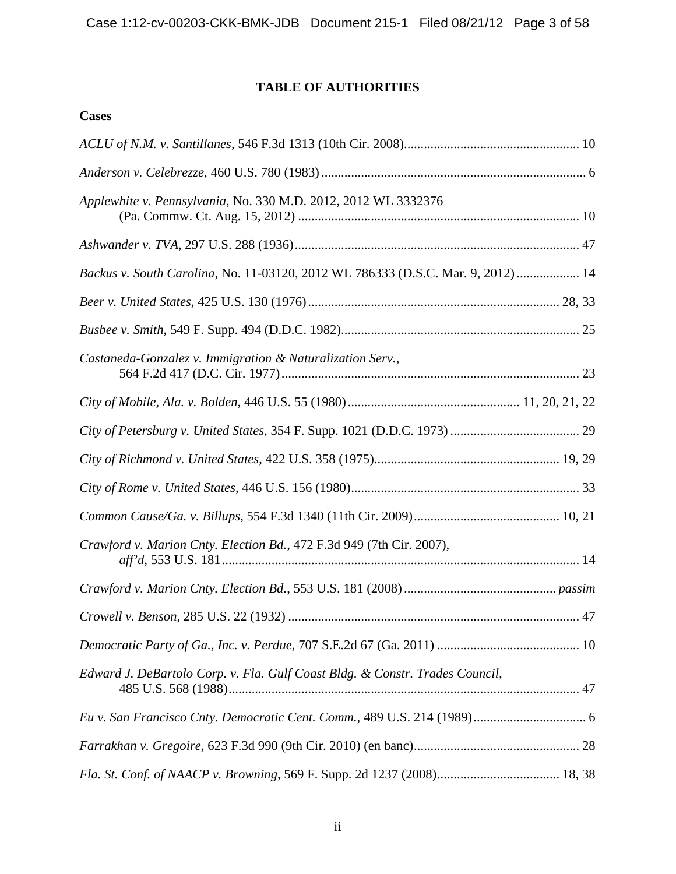# **TABLE OF AUTHORITIES**

<span id="page-2-0"></span>

| Applewhite v. Pennsylvania, No. 330 M.D. 2012, 2012 WL 3332376                   |
|----------------------------------------------------------------------------------|
|                                                                                  |
| Backus v. South Carolina, No. 11-03120, 2012 WL 786333 (D.S.C. Mar. 9, 2012)  14 |
|                                                                                  |
|                                                                                  |
| Castaneda-Gonzalez v. Immigration & Naturalization Serv.,                        |
|                                                                                  |
|                                                                                  |
|                                                                                  |
|                                                                                  |
|                                                                                  |
| Crawford v. Marion Cnty. Election Bd., 472 F.3d 949 (7th Cir. 2007),             |
|                                                                                  |
|                                                                                  |
|                                                                                  |
| Edward J. DeBartolo Corp. v. Fla. Gulf Coast Bldg. & Constr. Trades Council,     |
|                                                                                  |
|                                                                                  |
|                                                                                  |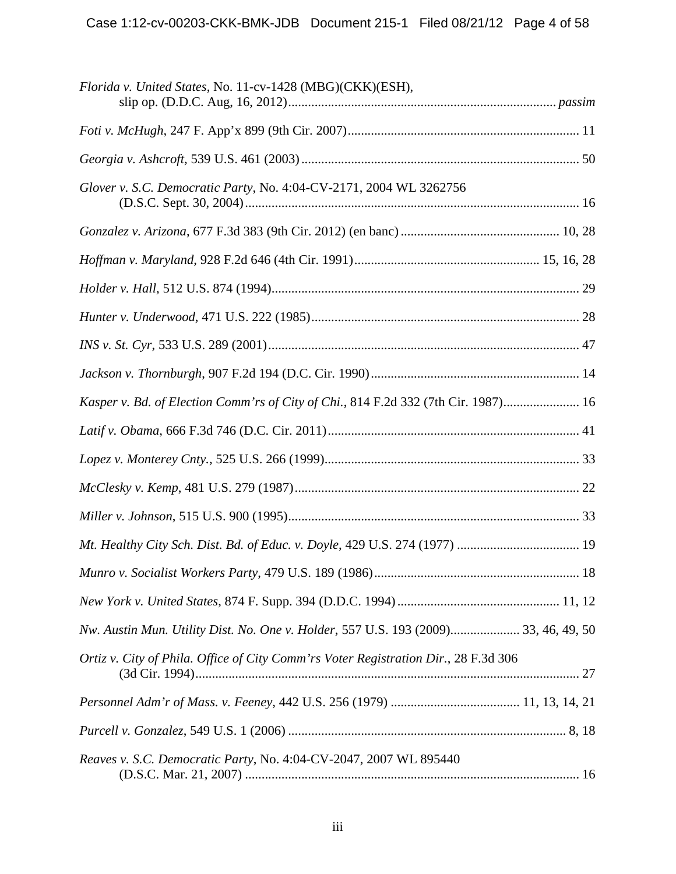| Florida v. United States, No. 11-cv-1428 (MBG)(CKK)(ESH),                           |
|-------------------------------------------------------------------------------------|
|                                                                                     |
|                                                                                     |
| Glover v. S.C. Democratic Party, No. 4:04-CV-2171, 2004 WL 3262756                  |
|                                                                                     |
|                                                                                     |
|                                                                                     |
|                                                                                     |
|                                                                                     |
|                                                                                     |
| Kasper v. Bd. of Election Comm'rs of City of Chi., 814 F.2d 332 (7th Cir. 1987) 16  |
|                                                                                     |
|                                                                                     |
|                                                                                     |
|                                                                                     |
|                                                                                     |
|                                                                                     |
|                                                                                     |
| Nw. Austin Mun. Utility Dist. No. One v. Holder, 557 U.S. 193 (2009) 33, 46, 49, 50 |
| Ortiz v. City of Phila. Office of City Comm'rs Voter Registration Dir., 28 F.3d 306 |
|                                                                                     |
|                                                                                     |
| Reaves v. S.C. Democratic Party, No. 4:04-CV-2047, 2007 WL 895440                   |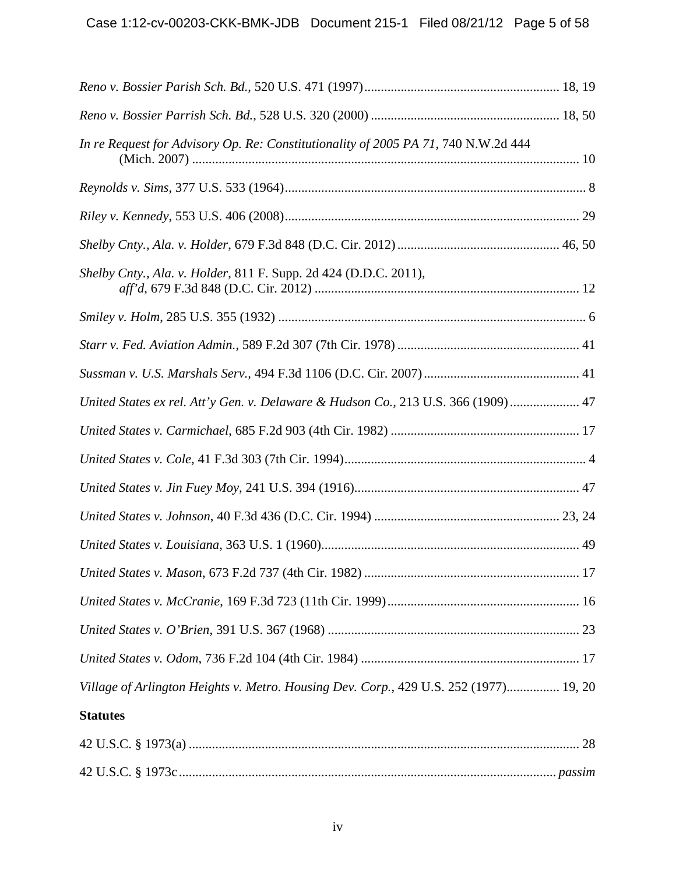| In re Request for Advisory Op. Re: Constitutionality of 2005 PA 71, 740 N.W.2d 444    |  |
|---------------------------------------------------------------------------------------|--|
|                                                                                       |  |
|                                                                                       |  |
|                                                                                       |  |
| Shelby Cnty., Ala. v. Holder, 811 F. Supp. 2d 424 (D.D.C. 2011),                      |  |
|                                                                                       |  |
|                                                                                       |  |
|                                                                                       |  |
| United States ex rel. Att'y Gen. v. Delaware & Hudson Co., 213 U.S. 366 (1909)  47    |  |
|                                                                                       |  |
|                                                                                       |  |
|                                                                                       |  |
|                                                                                       |  |
|                                                                                       |  |
|                                                                                       |  |
|                                                                                       |  |
|                                                                                       |  |
|                                                                                       |  |
| Village of Arlington Heights v. Metro. Housing Dev. Corp., 429 U.S. 252 (1977) 19, 20 |  |
| <b>Statutes</b>                                                                       |  |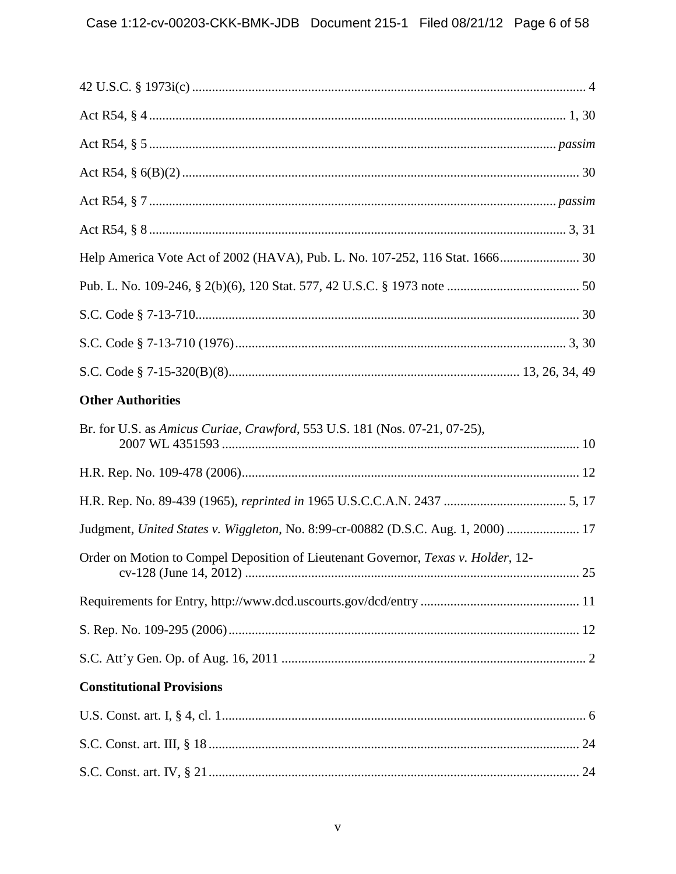| Help America Vote Act of 2002 (HAVA), Pub. L. No. 107-252, 116 Stat. 1666 30      |
|-----------------------------------------------------------------------------------|
|                                                                                   |
|                                                                                   |
|                                                                                   |
|                                                                                   |
| <b>Other Authorities</b>                                                          |
| Br. for U.S. as Amicus Curiae, Crawford, 553 U.S. 181 (Nos. 07-21, 07-25),        |
|                                                                                   |
|                                                                                   |
| Judgment, United States v. Wiggleton, No. 8:99-cr-00882 (D.S.C. Aug. 1, 2000)  17 |
| Order on Motion to Compel Deposition of Lieutenant Governor, Texas v. Holder, 12- |
|                                                                                   |
|                                                                                   |
|                                                                                   |
| <b>Constitutional Provisions</b>                                                  |
|                                                                                   |
|                                                                                   |
|                                                                                   |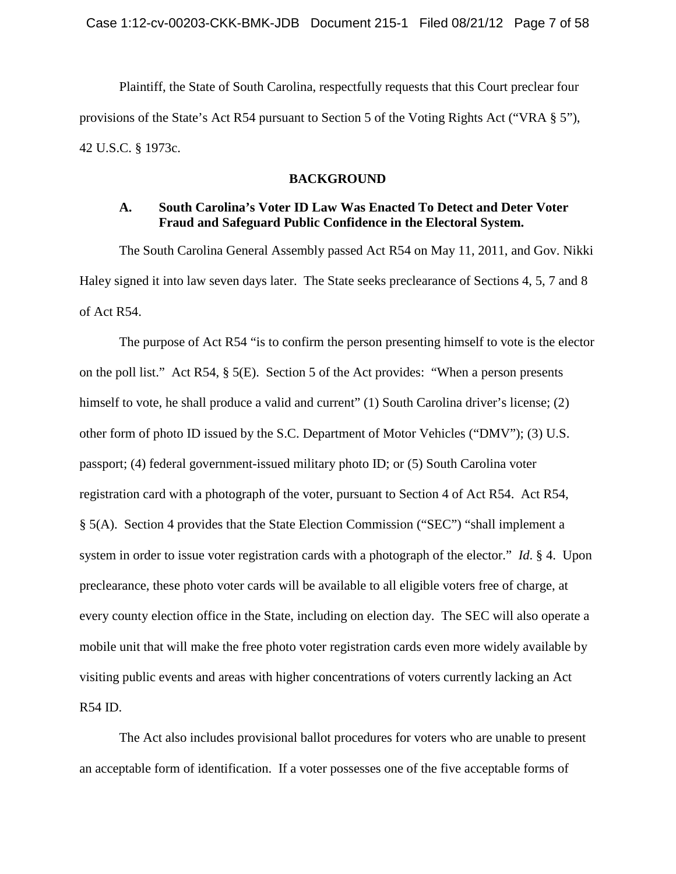Plaintiff, the State of South Carolina, respectfully requests that this Court preclear four provisions of the State's Act R54 pursuant to Section 5 of the Voting Rights Act ("VRA § 5"), 42 U.S.C. § 1973c.

#### **BACKGROUND**

## <span id="page-6-1"></span><span id="page-6-0"></span>**A. South Carolina's Voter ID Law Was Enacted To Detect and Deter Voter Fraud and Safeguard Public Confidence in the Electoral System.**

The South Carolina General Assembly passed Act R54 on May 11, 2011, and Gov. Nikki Haley signed it into law seven days later. The State seeks preclearance of Sections 4, 5, 7 and 8 of Act R54.

The purpose of Act R54 "is to confirm the person presenting himself to vote is the elector on the poll list." Act R54, § 5(E). Section 5 of the Act provides: "When a person presents himself to vote, he shall produce a valid and current" (1) South Carolina driver's license; (2) other form of photo ID issued by the S.C. Department of Motor Vehicles ("DMV"); (3) U.S. passport; (4) federal government-issued military photo ID; or (5) South Carolina voter registration card with a photograph of the voter, pursuant to Section 4 of Act R54. Act R54, § 5(A). Section 4 provides that the State Election Commission ("SEC") "shall implement a system in order to issue voter registration cards with a photograph of the elector." *Id*. § 4. Upon preclearance, these photo voter cards will be available to all eligible voters free of charge, at every county election office in the State, including on election day. The SEC will also operate a mobile unit that will make the free photo voter registration cards even more widely available by visiting public events and areas with higher concentrations of voters currently lacking an Act R54 ID.

The Act also includes provisional ballot procedures for voters who are unable to present an acceptable form of identification. If a voter possesses one of the five acceptable forms of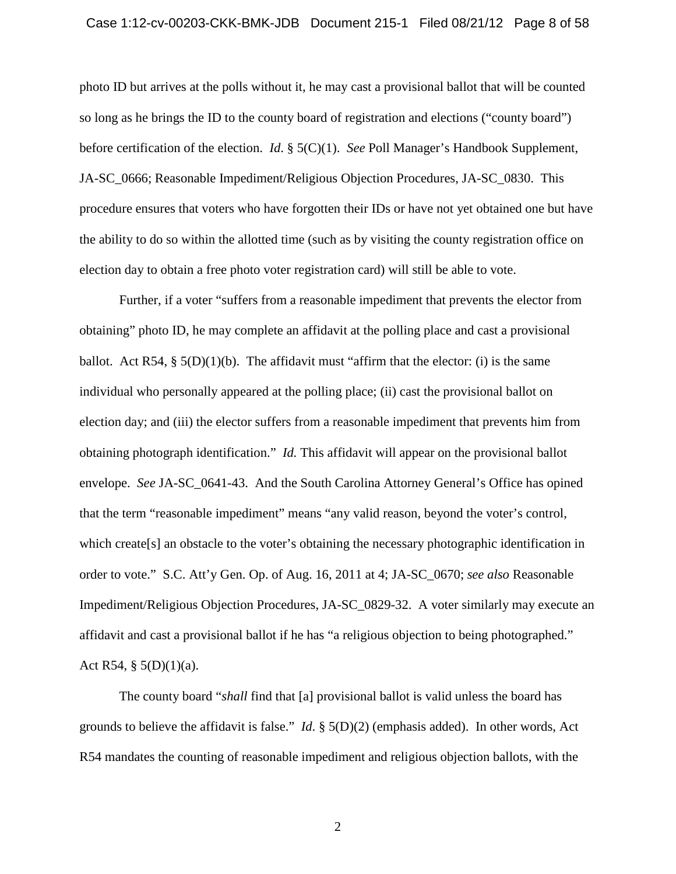## Case 1:12-cv-00203-CKK-BMK-JDB Document 215-1 Filed 08/21/12 Page 8 of 58

photo ID but arrives at the polls without it, he may cast a provisional ballot that will be counted so long as he brings the ID to the county board of registration and elections ("county board") before certification of the election. *Id*. § 5(C)(1). *See* Poll Manager's Handbook Supplement, JA-SC\_0666; Reasonable Impediment/Religious Objection Procedures, JA-SC\_0830. This procedure ensures that voters who have forgotten their IDs or have not yet obtained one but have the ability to do so within the allotted time (such as by visiting the county registration office on election day to obtain a free photo voter registration card) will still be able to vote.

Further, if a voter "suffers from a reasonable impediment that prevents the elector from obtaining" photo ID, he may complete an affidavit at the polling place and cast a provisional ballot. Act  $R54$ ,  $\S$   $5(D)(1)(b)$ . The affidavit must "affirm that the elector: (i) is the same individual who personally appeared at the polling place; (ii) cast the provisional ballot on election day; and (iii) the elector suffers from a reasonable impediment that prevents him from obtaining photograph identification." *Id.* This affidavit will appear on the provisional ballot envelope. *See* JA-SC\_0641-43. And the South Carolina Attorney General's Office has opined that the term "reasonable impediment" means "any valid reason, beyond the voter's control, which create[s] an obstacle to the voter's obtaining the necessary photographic identification in order to vote." S.C. Att'y Gen. Op. of Aug. 16, 2011 at 4; JA-SC\_0670; *see also* Reasonable Impediment/Religious Objection Procedures, JA-SC\_0829-32. A voter similarly may execute an affidavit and cast a provisional ballot if he has "a religious objection to being photographed." Act R54, §  $5(D)(1)(a)$ .

The county board "*shall* find that [a] provisional ballot is valid unless the board has grounds to believe the affidavit is false." *Id*. § 5(D)(2) (emphasis added). In other words, Act R54 mandates the counting of reasonable impediment and religious objection ballots, with the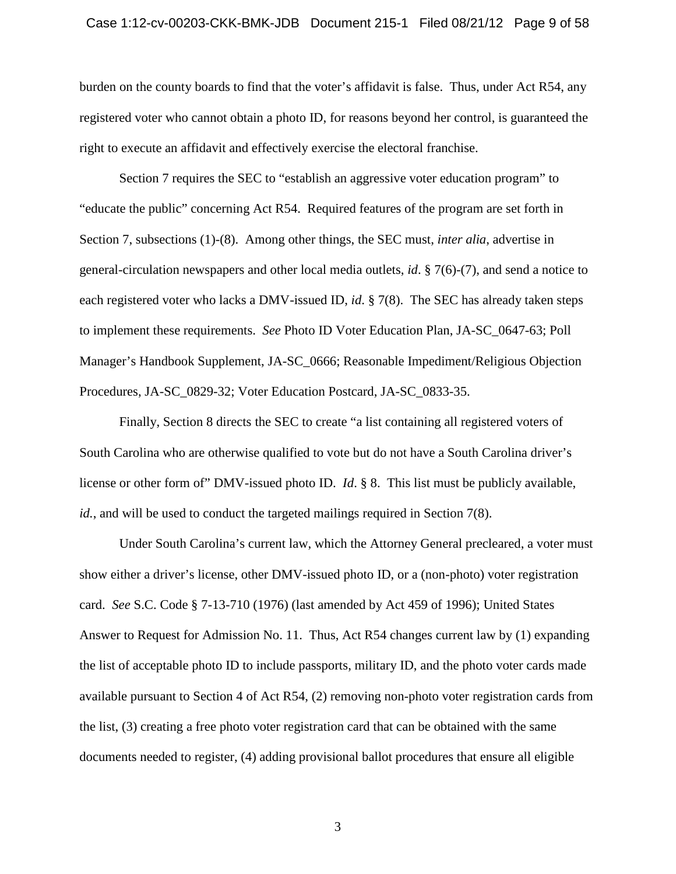## Case 1:12-cv-00203-CKK-BMK-JDB Document 215-1 Filed 08/21/12 Page 9 of 58

burden on the county boards to find that the voter's affidavit is false. Thus, under Act R54, any registered voter who cannot obtain a photo ID, for reasons beyond her control, is guaranteed the right to execute an affidavit and effectively exercise the electoral franchise.

Section 7 requires the SEC to "establish an aggressive voter education program" to "educate the public" concerning Act R54. Required features of the program are set forth in Section 7, subsections (1)-(8). Among other things, the SEC must, *inter alia*, advertise in general-circulation newspapers and other local media outlets, *id*. § 7(6)-(7), and send a notice to each registered voter who lacks a DMV-issued ID, *id*. § 7(8). The SEC has already taken steps to implement these requirements. *See* Photo ID Voter Education Plan, JA-SC\_0647-63; Poll Manager's Handbook Supplement, JA-SC\_0666; Reasonable Impediment/Religious Objection Procedures, JA-SC\_0829-32; Voter Education Postcard, JA-SC\_0833-35.

Finally, Section 8 directs the SEC to create "a list containing all registered voters of South Carolina who are otherwise qualified to vote but do not have a South Carolina driver's license or other form of" DMV-issued photo ID. *Id*. § 8. This list must be publicly available, *id.*, and will be used to conduct the targeted mailings required in Section 7(8).

Under South Carolina's current law, which the Attorney General precleared, a voter must show either a driver's license, other DMV-issued photo ID, or a (non-photo) voter registration card. *See* S.C. Code § 7-13-710 (1976) (last amended by Act 459 of 1996); United States Answer to Request for Admission No. 11. Thus, Act R54 changes current law by (1) expanding the list of acceptable photo ID to include passports, military ID, and the photo voter cards made available pursuant to Section 4 of Act R54, (2) removing non-photo voter registration cards from the list, (3) creating a free photo voter registration card that can be obtained with the same documents needed to register, (4) adding provisional ballot procedures that ensure all eligible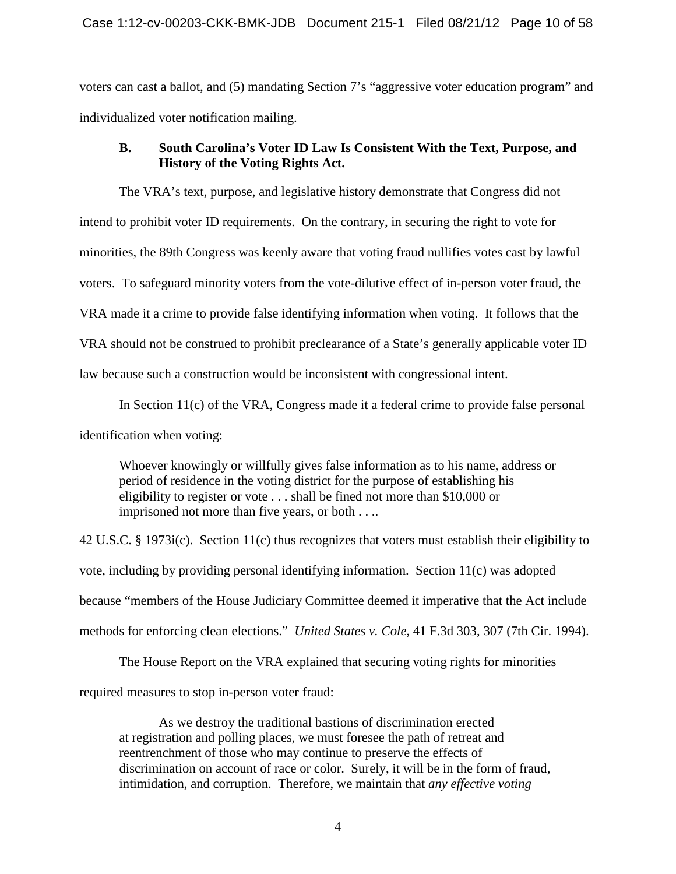voters can cast a ballot, and (5) mandating Section 7's "aggressive voter education program" and individualized voter notification mailing.

## <span id="page-9-0"></span>**B. South Carolina's Voter ID Law Is Consistent With the Text, Purpose, and History of the Voting Rights Act.**

The VRA's text, purpose, and legislative history demonstrate that Congress did not intend to prohibit voter ID requirements. On the contrary, in securing the right to vote for minorities, the 89th Congress was keenly aware that voting fraud nullifies votes cast by lawful voters. To safeguard minority voters from the vote-dilutive effect of in-person voter fraud, the VRA made it a crime to provide false identifying information when voting. It follows that the VRA should not be construed to prohibit preclearance of a State's generally applicable voter ID law because such a construction would be inconsistent with congressional intent.

In Section 11(c) of the VRA, Congress made it a federal crime to provide false personal identification when voting:

Whoever knowingly or willfully gives false information as to his name, address or period of residence in the voting district for the purpose of establishing his eligibility to register or vote . . . shall be fined not more than \$10,000 or imprisoned not more than five years, or both . . ..

42 U.S.C. § 1973i(c). Section 11(c) thus recognizes that voters must establish their eligibility to vote, including by providing personal identifying information. Section 11(c) was adopted because "members of the House Judiciary Committee deemed it imperative that the Act include methods for enforcing clean elections." *United States v. Cole*, 41 F.3d 303, 307 (7th Cir. 1994).

The House Report on the VRA explained that securing voting rights for minorities

required measures to stop in-person voter fraud:

As we destroy the traditional bastions of discrimination erected at registration and polling places, we must foresee the path of retreat and reentrenchment of those who may continue to preserve the effects of discrimination on account of race or color. Surely, it will be in the form of fraud, intimidation, and corruption. Therefore, we maintain that *any effective voting*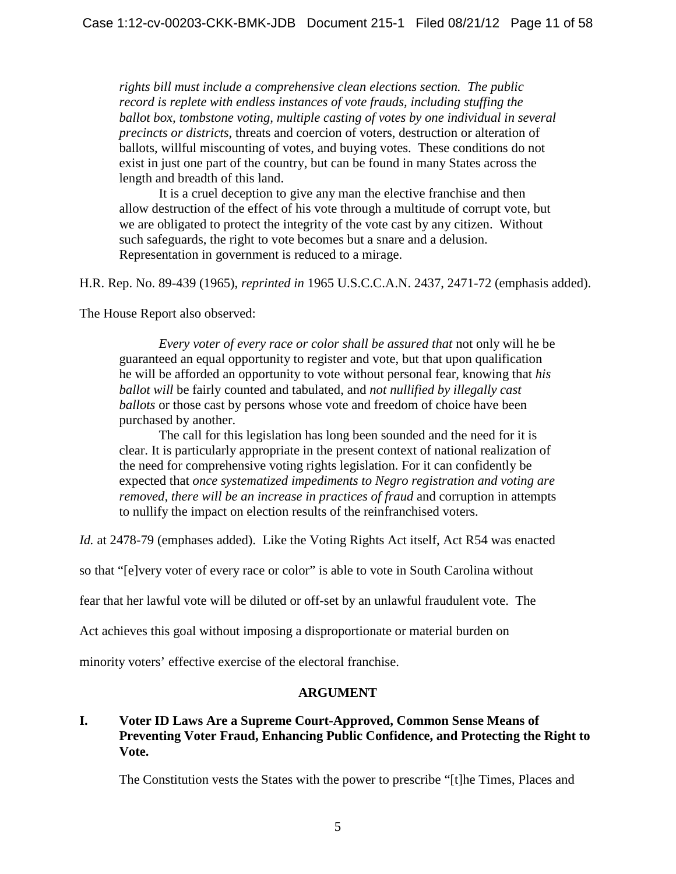*rights bill must include a comprehensive clean elections section. The public record is replete with endless instances of vote frauds, including stuffing the ballot box, tombstone voting, multiple casting of votes by one individual in several precincts or districts*, threats and coercion of voters, destruction or alteration of ballots, willful miscounting of votes, and buying votes. These conditions do not exist in just one part of the country, but can be found in many States across the length and breadth of this land.

It is a cruel deception to give any man the elective franchise and then allow destruction of the effect of his vote through a multitude of corrupt vote, but we are obligated to protect the integrity of the vote cast by any citizen. Without such safeguards, the right to vote becomes but a snare and a delusion. Representation in government is reduced to a mirage.

H.R. Rep. No. 89-439 (1965), *reprinted in* 1965 U.S.C.C.A.N. 2437, 2471-72 (emphasis added).

The House Report also observed:

*Every voter of every race or color shall be assured that* not only will he be guaranteed an equal opportunity to register and vote, but that upon qualification he will be afforded an opportunity to vote without personal fear, knowing that *his ballot will* be fairly counted and tabulated, and *not nullified by illegally cast ballots* or those cast by persons whose vote and freedom of choice have been purchased by another.

The call for this legislation has long been sounded and the need for it is clear. It is particularly appropriate in the present context of national realization of the need for comprehensive voting rights legislation. For it can confidently be expected that *once systematized impediments to Negro registration and voting are removed, there will be an increase in practices of fraud* and corruption in attempts to nullify the impact on election results of the reinfranchised voters.

Id. at 2478-79 (emphases added). Like the Voting Rights Act itself, Act R54 was enacted

so that "[e]very voter of every race or color" is able to vote in South Carolina without

fear that her lawful vote will be diluted or off-set by an unlawful fraudulent vote. The

Act achieves this goal without imposing a disproportionate or material burden on

minority voters' effective exercise of the electoral franchise.

## **ARGUMENT**

## <span id="page-10-1"></span><span id="page-10-0"></span>**I. Voter ID Laws Are a Supreme Court-Approved, Common Sense Means of Preventing Voter Fraud, Enhancing Public Confidence, and Protecting the Right to Vote.**

The Constitution vests the States with the power to prescribe "[t]he Times, Places and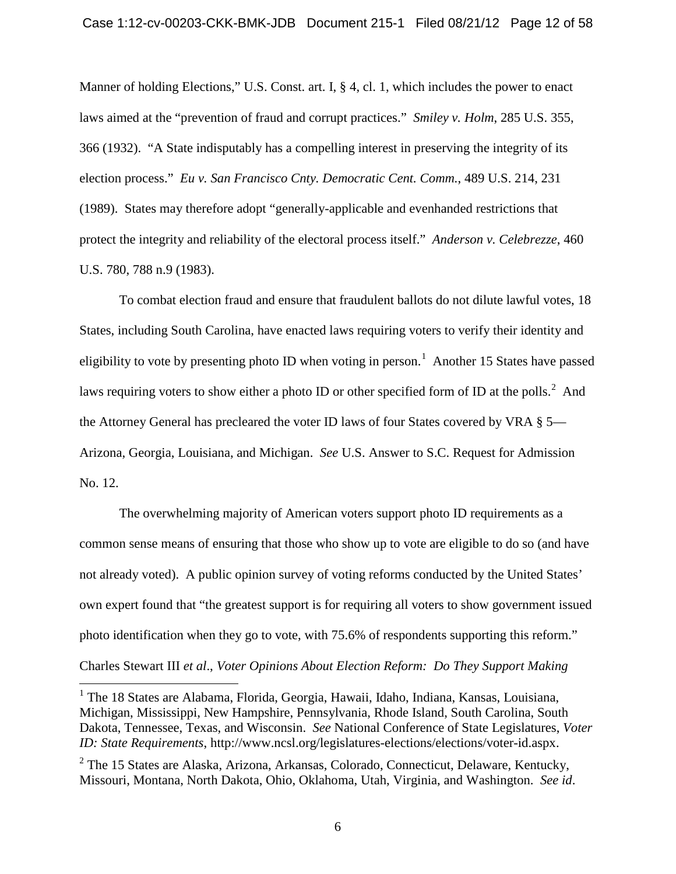Manner of holding Elections," U.S. Const. art. I, § 4, cl. 1, which includes the power to enact laws aimed at the "prevention of fraud and corrupt practices." *Smiley v. Holm*, 285 U.S. 355, 366 (1932). "A State indisputably has a compelling interest in preserving the integrity of its election process." *Eu v. San Francisco Cnty. Democratic Cent. Comm.*, 489 U.S. 214, 231 (1989). States may therefore adopt "generally-applicable and evenhanded restrictions that protect the integrity and reliability of the electoral process itself." *Anderson v. Celebrezze*, 460 U.S. 780, 788 n.9 (1983).

To combat election fraud and ensure that fraudulent ballots do not dilute lawful votes, 18 States, including South Carolina, have enacted laws requiring voters to verify their identity and eligibility to vote by presenting photo ID when voting in person.<sup>[1](#page-0-0)</sup> Another 15 States have passed laws requiring voters to show either a photo ID or other specified form of ID at the polls.<sup>[2](#page-11-0)</sup> And the Attorney General has precleared the voter ID laws of four States covered by VRA § 5— Arizona, Georgia, Louisiana, and Michigan. *See* U.S. Answer to S.C. Request for Admission No. 12.

The overwhelming majority of American voters support photo ID requirements as a common sense means of ensuring that those who show up to vote are eligible to do so (and have not already voted). A public opinion survey of voting reforms conducted by the United States' own expert found that "the greatest support is for requiring all voters to show government issued photo identification when they go to vote, with 75.6% of respondents supporting this reform." Charles Stewart III *et al*., *Voter Opinions About Election Reform: Do They Support Making* 

<span id="page-11-1"></span> <sup>1</sup> The 18 States are Alabama, Florida, Georgia, Hawaii, Idaho, Indiana, Kansas, Louisiana, Michigan, Mississippi, New Hampshire, Pennsylvania, Rhode Island, South Carolina, South Dakota, Tennessee, Texas, and Wisconsin. *See* National Conference of State Legislatures, *Voter ID: State Requirements*, http://www.ncsl.org/legislatures-elections/elections/voter-id.aspx.

<span id="page-11-0"></span> $2$  The 15 States are Alaska, Arizona, Arkansas, Colorado, Connecticut, Delaware, Kentucky, Missouri, Montana, North Dakota, Ohio, Oklahoma, Utah, Virginia, and Washington. *See id*.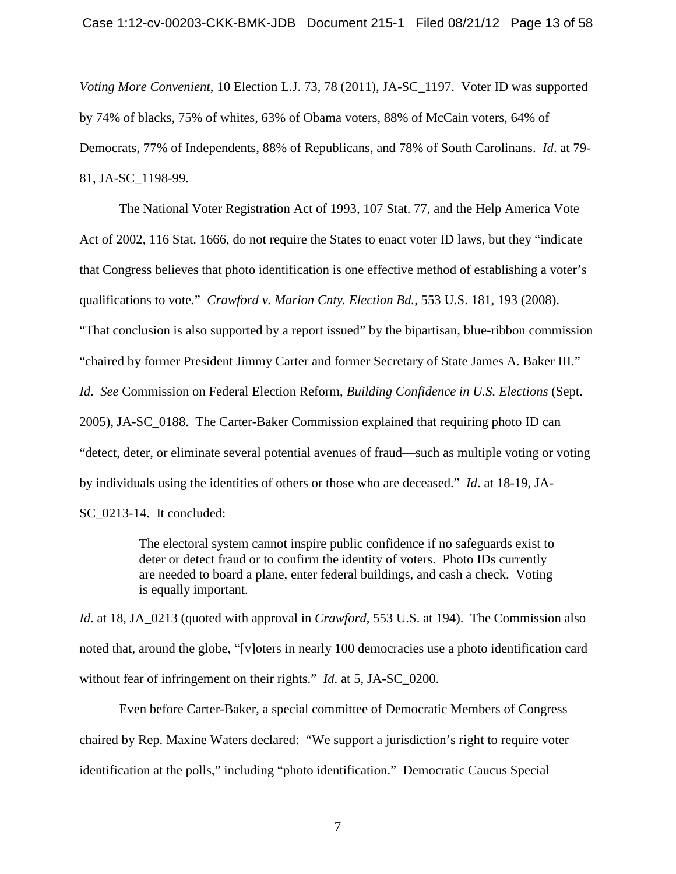*Voting More Convenient*, 10 Election L.J. 73, 78 (2011), JA-SC\_1197. Voter ID was supported by 74% of blacks, 75% of whites, 63% of Obama voters, 88% of McCain voters, 64% of Democrats, 77% of Independents, 88% of Republicans, and 78% of South Carolinans. *Id*. at 79- 81, JA-SC\_1198-99.

The National Voter Registration Act of 1993, 107 Stat. 77, and the Help America Vote Act of 2002, 116 Stat. 1666, do not require the States to enact voter ID laws, but they "indicate that Congress believes that photo identification is one effective method of establishing a voter's qualifications to vote." *Crawford v. Marion Cnty. Election Bd.*, 553 U.S. 181, 193 (2008). "That conclusion is also supported by a report issued" by the bipartisan, blue-ribbon commission "chaired by former President Jimmy Carter and former Secretary of State James A. Baker III."

*Id*. *See* Commission on Federal Election Reform, *Building Confidence in U.S. Elections* (Sept.

2005), JA-SC\_0188. The Carter-Baker Commission explained that requiring photo ID can "detect, deter, or eliminate several potential avenues of fraud—such as multiple voting or voting

by individuals using the identities of others or those who are deceased." *Id*. at 18-19, JA-

SC\_0213-14. It concluded:

The electoral system cannot inspire public confidence if no safeguards exist to deter or detect fraud or to confirm the identity of voters. Photo IDs currently are needed to board a plane, enter federal buildings, and cash a check. Voting is equally important.

*Id*. at 18, JA\_0213 (quoted with approval in *Crawford*, 553 U.S. at 194). The Commission also noted that, around the globe, "[v]oters in nearly 100 democracies use a photo identification card without fear of infringement on their rights." *Id*. at 5, JA-SC\_0200.

Even before Carter-Baker, a special committee of Democratic Members of Congress chaired by Rep. Maxine Waters declared: "We support a jurisdiction's right to require voter identification at the polls," including "photo identification." Democratic Caucus Special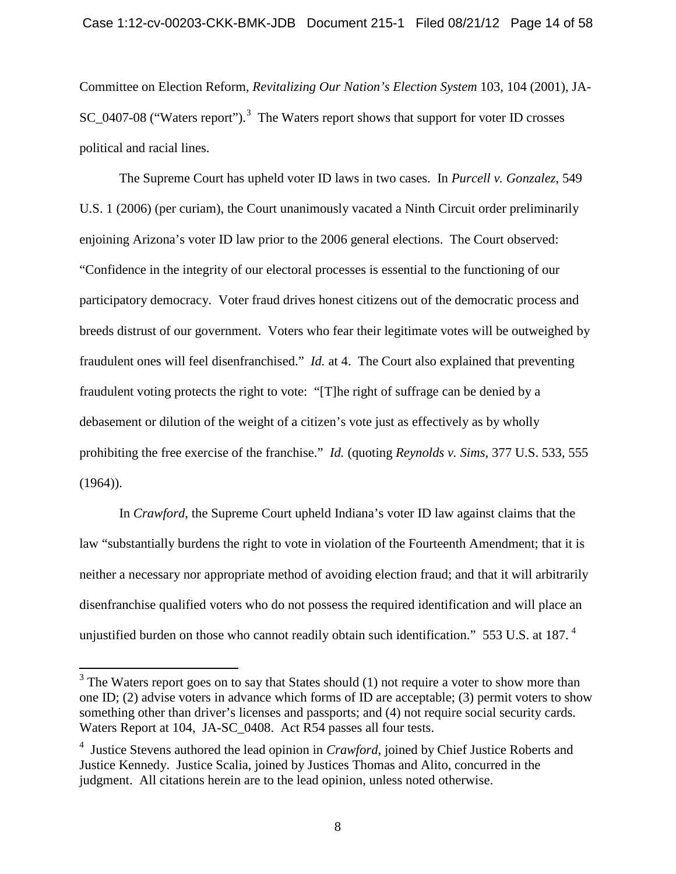Committee on Election Reform, *Revitalizing Our Nation's Election System* 103, 104 (2001), JA-SC\_0407-08 ("Waters report").<sup>[3](#page-11-1)</sup> The Waters report shows that support for voter ID crosses political and racial lines.

The Supreme Court has upheld voter ID laws in two cases. In *Purcell v. Gonzalez*, 549 U.S. 1 (2006) (per curiam), the Court unanimously vacated a Ninth Circuit order preliminarily enjoining Arizona's voter ID law prior to the 2006 general elections. The Court observed: "Confidence in the integrity of our electoral processes is essential to the functioning of our participatory democracy. Voter fraud drives honest citizens out of the democratic process and breeds distrust of our government. Voters who fear their legitimate votes will be outweighed by fraudulent ones will feel disenfranchised." *Id.* at 4. The Court also explained that preventing fraudulent voting protects the right to vote: "[T]he right of suffrage can be denied by a debasement or dilution of the weight of a citizen's vote just as effectively as by wholly prohibiting the free exercise of the franchise." *Id.* (quoting *Reynolds v. Sims*, 377 U.S. 533, 555  $(1964)$ ).

In *Crawford*, the Supreme Court upheld Indiana's voter ID law against claims that the law "substantially burdens the right to vote in violation of the Fourteenth Amendment; that it is neither a necessary nor appropriate method of avoiding election fraud; and that it will arbitrarily disenfranchise qualified voters who do not possess the required identification and will place an unjustified burden on those who cannot readily obtain such identification."  $553$  U.S. at 187.  $^4$  $^4$ 

<sup>&</sup>lt;sup>3</sup> The Waters report goes on to say that States should (1) not require a voter to show more than one ID; (2) advise voters in advance which forms of ID are acceptable; (3) permit voters to show something other than driver's licenses and passports; and (4) not require social security cards. Waters Report at 104, JA-SC 0408. Act R54 passes all four tests.

<span id="page-13-1"></span><span id="page-13-0"></span><sup>4</sup> Justice Stevens authored the lead opinion in *Crawford*, joined by Chief Justice Roberts and Justice Kennedy. Justice Scalia, joined by Justices Thomas and Alito, concurred in the judgment. All citations herein are to the lead opinion, unless noted otherwise.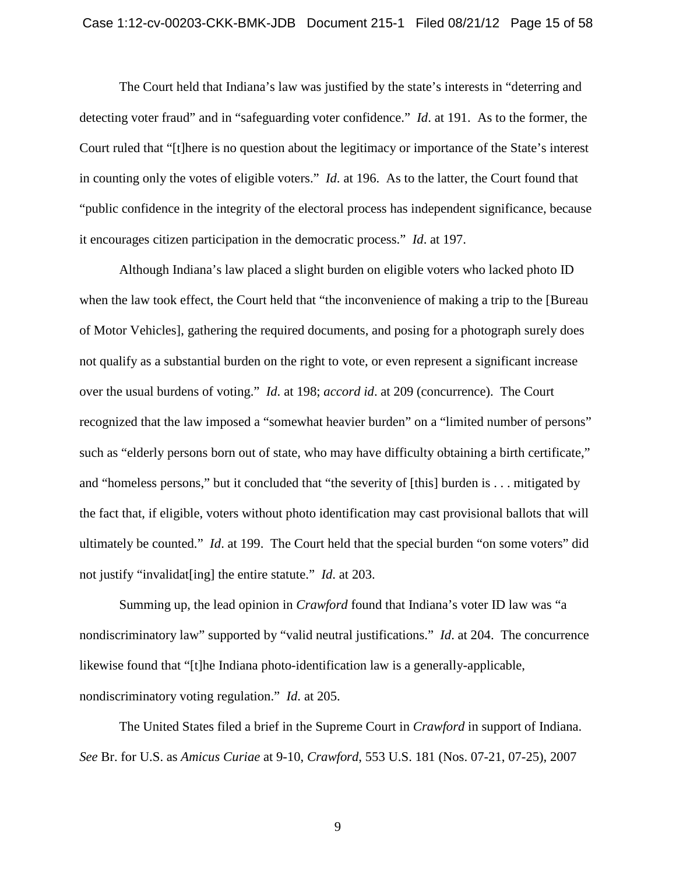#### Case 1:12-cv-00203-CKK-BMK-JDB Document 215-1 Filed 08/21/12 Page 15 of 58

The Court held that Indiana's law was justified by the state's interests in "deterring and detecting voter fraud" and in "safeguarding voter confidence." *Id*. at 191. As to the former, the Court ruled that "[t]here is no question about the legitimacy or importance of the State's interest in counting only the votes of eligible voters." *Id*. at 196. As to the latter, the Court found that "public confidence in the integrity of the electoral process has independent significance, because it encourages citizen participation in the democratic process." *Id*. at 197.

Although Indiana's law placed a slight burden on eligible voters who lacked photo ID when the law took effect, the Court held that "the inconvenience of making a trip to the [Bureau of Motor Vehicles], gathering the required documents, and posing for a photograph surely does not qualify as a substantial burden on the right to vote, or even represent a significant increase over the usual burdens of voting." *Id*. at 198; *accord id*. at 209 (concurrence). The Court recognized that the law imposed a "somewhat heavier burden" on a "limited number of persons" such as "elderly persons born out of state, who may have difficulty obtaining a birth certificate," and "homeless persons," but it concluded that "the severity of [this] burden is . . . mitigated by the fact that, if eligible, voters without photo identification may cast provisional ballots that will ultimately be counted." *Id*. at 199. The Court held that the special burden "on some voters" did not justify "invalidat[ing] the entire statute." *Id*. at 203.

Summing up, the lead opinion in *Crawford* found that Indiana's voter ID law was "a nondiscriminatory law" supported by "valid neutral justifications." *Id*. at 204. The concurrence likewise found that "[t]he Indiana photo-identification law is a generally-applicable, nondiscriminatory voting regulation." *Id*. at 205.

The United States filed a brief in the Supreme Court in *Crawford* in support of Indiana. *See* Br. for U.S. as *Amicus Curiae* at 9-10, *Crawford*, 553 U.S. 181 (Nos. 07-21, 07-25), 2007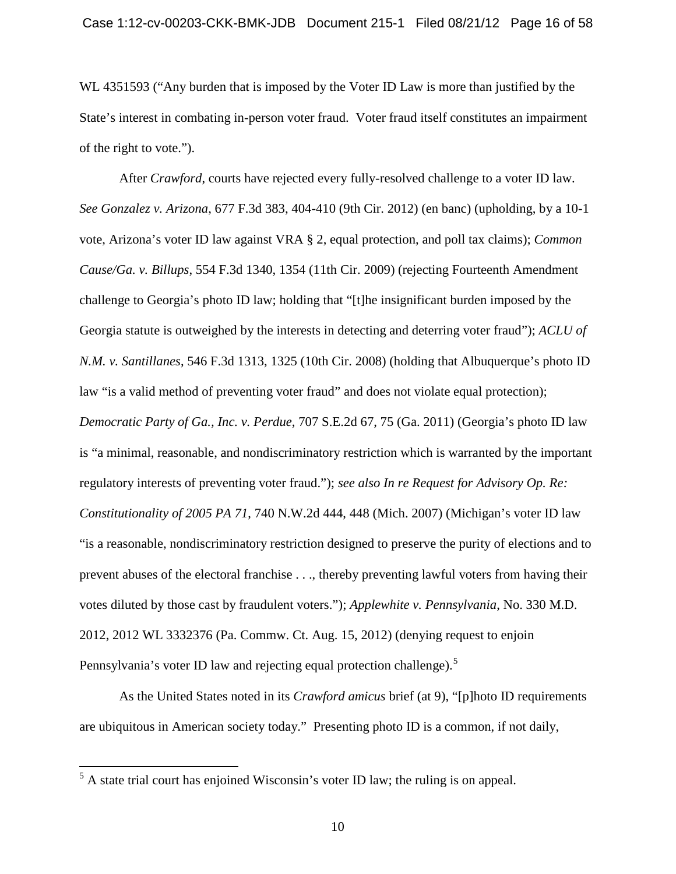WL 4351593 ("Any burden that is imposed by the Voter ID Law is more than justified by the State's interest in combating in-person voter fraud. Voter fraud itself constitutes an impairment of the right to vote.").

After *Crawford*, courts have rejected every fully-resolved challenge to a voter ID law. *See Gonzalez v. Arizona*, 677 F.3d 383, 404-410 (9th Cir. 2012) (en banc) (upholding, by a 10-1 vote, Arizona's voter ID law against VRA § 2, equal protection, and poll tax claims); *Common Cause/Ga. v. Billups*, 554 F.3d 1340, 1354 (11th Cir. 2009) (rejecting Fourteenth Amendment challenge to Georgia's photo ID law; holding that "[t]he insignificant burden imposed by the Georgia statute is outweighed by the interests in detecting and deterring voter fraud"); *ACLU of N.M. v. Santillanes*, 546 F.3d 1313, 1325 (10th Cir. 2008) (holding that Albuquerque's photo ID law "is a valid method of preventing voter fraud" and does not violate equal protection); *Democratic Party of Ga., Inc. v. Perdue*, 707 S.E.2d 67, 75 (Ga. 2011) (Georgia's photo ID law is "a minimal, reasonable, and nondiscriminatory restriction which is warranted by the important regulatory interests of preventing voter fraud."); *see also In re Request for Advisory Op. Re: Constitutionality of 2005 PA 71*, 740 N.W.2d 444, 448 (Mich. 2007) (Michigan's voter ID law "is a reasonable, nondiscriminatory restriction designed to preserve the purity of elections and to prevent abuses of the electoral franchise . . ., thereby preventing lawful voters from having their votes diluted by those cast by fraudulent voters."); *Applewhite v. Pennsylvania*, No. 330 M.D. 2012, 2012 WL 3332376 (Pa. Commw. Ct. Aug. 15, 2012) (denying request to enjoin Pennsylvania's voter ID law and rejecting equal protection challenge).<sup>[5](#page-13-1)</sup>

<span id="page-15-0"></span>As the United States noted in its *Crawford amicus* brief (at 9), "[p]hoto ID requirements are ubiquitous in American society today." Presenting photo ID is a common, if not daily,

<sup>&</sup>lt;sup>5</sup> A state trial court has enjoined Wisconsin's voter ID law; the ruling is on appeal.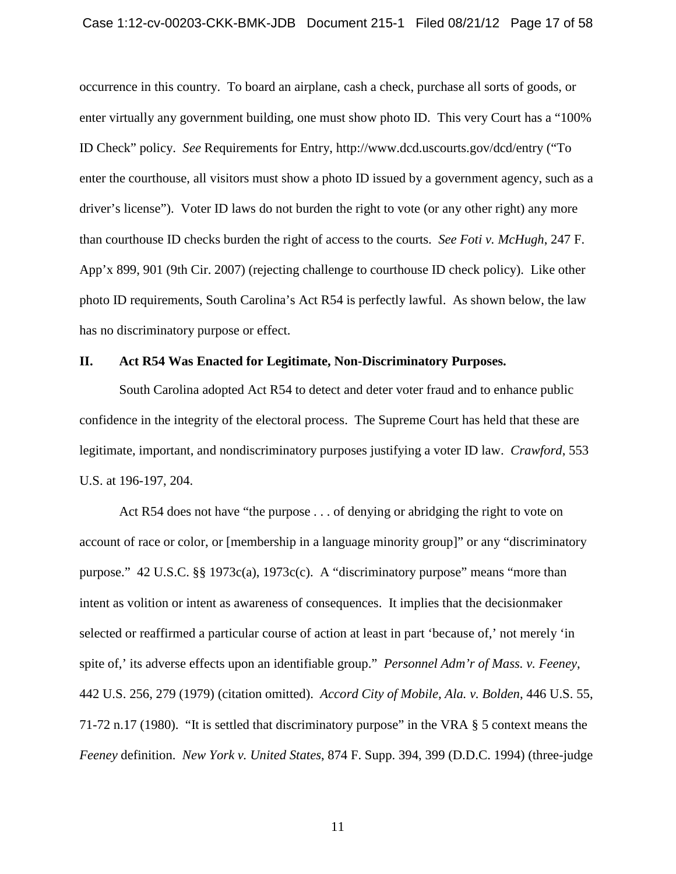#### Case 1:12-cv-00203-CKK-BMK-JDB Document 215-1 Filed 08/21/12 Page 17 of 58

occurrence in this country. To board an airplane, cash a check, purchase all sorts of goods, or enter virtually any government building, one must show photo ID. This very Court has a "100% ID Check" policy. *See* Requirements for Entry, http://www.dcd.uscourts.gov/dcd/entry ("To enter the courthouse, all visitors must show a photo ID issued by a government agency, such as a driver's license"). Voter ID laws do not burden the right to vote (or any other right) any more than courthouse ID checks burden the right of access to the courts. *See Foti v. McHugh*, 247 F. App'x 899, 901 (9th Cir. 2007) (rejecting challenge to courthouse ID check policy). Like other photo ID requirements, South Carolina's Act R54 is perfectly lawful. As shown below, the law has no discriminatory purpose or effect.

## <span id="page-16-0"></span>**II. Act R54 Was Enacted for Legitimate, Non-Discriminatory Purposes.**

South Carolina adopted Act R54 to detect and deter voter fraud and to enhance public confidence in the integrity of the electoral process. The Supreme Court has held that these are legitimate, important, and nondiscriminatory purposes justifying a voter ID law. *Crawford*, 553 U.S. at 196-197, 204.

Act R54 does not have "the purpose . . . of denying or abridging the right to vote on account of race or color, or [membership in a language minority group]" or any "discriminatory purpose." 42 U.S.C. §§ 1973c(a), 1973c(c). A "discriminatory purpose" means "more than intent as volition or intent as awareness of consequences. It implies that the decisionmaker selected or reaffirmed a particular course of action at least in part 'because of,' not merely 'in spite of,' its adverse effects upon an identifiable group." *Personnel Adm'r of Mass. v. Feeney*, 442 U.S. 256, 279 (1979) (citation omitted). *Accord City of Mobile, Ala. v. Bolden*, 446 U.S. 55, 71-72 n.17 (1980). "It is settled that discriminatory purpose" in the VRA § 5 context means the *Feeney* definition. *New York v. United States*, 874 F. Supp. 394, 399 (D.D.C. 1994) (three-judge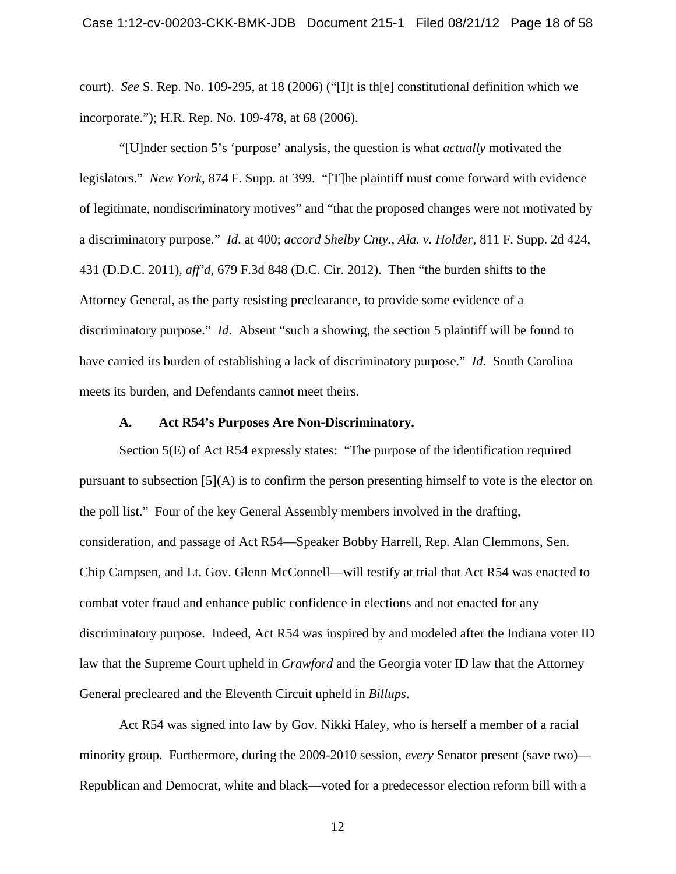court). *See* S. Rep. No. 109-295, at 18 (2006) ("[I]t is th[e] constitutional definition which we incorporate."); H.R. Rep. No. 109-478, at 68 (2006).

"[U]nder section 5's 'purpose' analysis, the question is what *actually* motivated the legislators." *New York*, 874 F. Supp. at 399. "[T]he plaintiff must come forward with evidence of legitimate, nondiscriminatory motives" and "that the proposed changes were not motivated by a discriminatory purpose." *Id*. at 400; *accord Shelby Cnty., Ala. v. Holder*, 811 F. Supp. 2d 424, 431 (D.D.C. 2011), *aff'd*, 679 F.3d 848 (D.C. Cir. 2012). Then "the burden shifts to the Attorney General, as the party resisting preclearance, to provide some evidence of a discriminatory purpose." *Id*. Absent "such a showing, the section 5 plaintiff will be found to have carried its burden of establishing a lack of discriminatory purpose." *Id.* South Carolina meets its burden, and Defendants cannot meet theirs.

#### **A. Act R54's Purposes Are Non-Discriminatory.**

<span id="page-17-0"></span>Section 5(E) of Act R54 expressly states: "The purpose of the identification required pursuant to subsection  $[5](A)$  is to confirm the person presenting himself to vote is the elector on the poll list." Four of the key General Assembly members involved in the drafting, consideration, and passage of Act R54—Speaker Bobby Harrell, Rep. Alan Clemmons, Sen. Chip Campsen, and Lt. Gov. Glenn McConnell—will testify at trial that Act R54 was enacted to combat voter fraud and enhance public confidence in elections and not enacted for any discriminatory purpose. Indeed, Act R54 was inspired by and modeled after the Indiana voter ID law that the Supreme Court upheld in *Crawford* and the Georgia voter ID law that the Attorney General precleared and the Eleventh Circuit upheld in *Billups*.

Act R54 was signed into law by Gov. Nikki Haley, who is herself a member of a racial minority group. Furthermore, during the 2009-2010 session, *every* Senator present (save two)— Republican and Democrat, white and black—voted for a predecessor election reform bill with a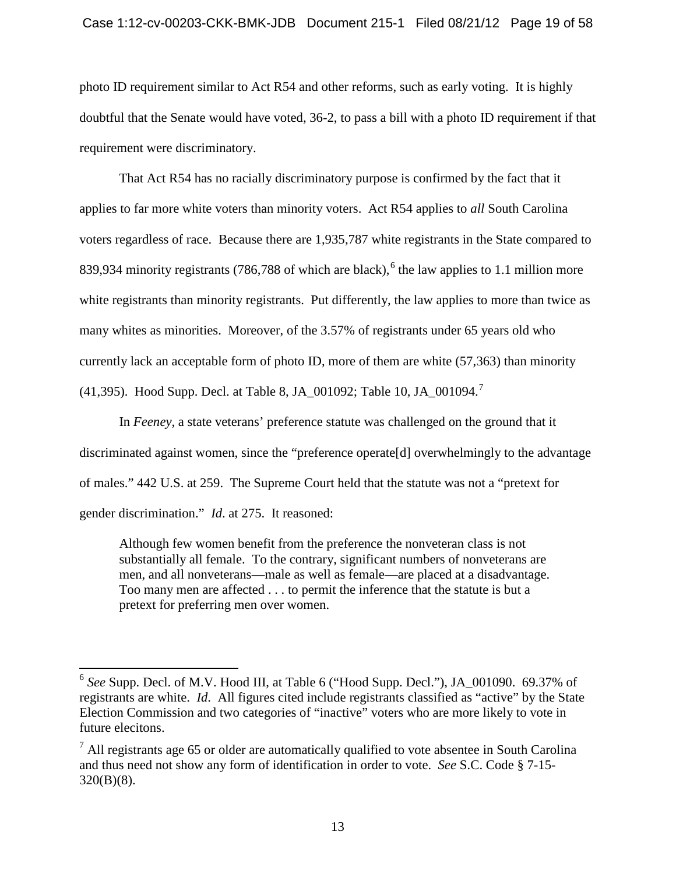#### Case 1:12-cv-00203-CKK-BMK-JDB Document 215-1 Filed 08/21/12 Page 19 of 58

photo ID requirement similar to Act R54 and other reforms, such as early voting. It is highly doubtful that the Senate would have voted, 36-2, to pass a bill with a photo ID requirement if that requirement were discriminatory.

That Act R54 has no racially discriminatory purpose is confirmed by the fact that it applies to far more white voters than minority voters. Act R54 applies to *all* South Carolina voters regardless of race. Because there are 1,935,787 white registrants in the State compared to 839,934 minority registrants (78[6](#page-15-0),788 of which are black),<sup>6</sup> the law applies to 1.1 million more white registrants than minority registrants. Put differently, the law applies to more than twice as many whites as minorities. Moreover, of the 3.57% of registrants under 65 years old who currently lack an acceptable form of photo ID, more of them are white (57,363) than minority (41,395). Hood Supp. Decl. at Table 8, JA\_001092; Table 10, JA\_001094.<sup>[7](#page-18-0)</sup>

In *Feeney*, a state veterans' preference statute was challenged on the ground that it discriminated against women, since the "preference operate[d] overwhelmingly to the advantage of males." 442 U.S. at 259. The Supreme Court held that the statute was not a "pretext for gender discrimination." *Id*. at 275. It reasoned:

Although few women benefit from the preference the nonveteran class is not substantially all female. To the contrary, significant numbers of nonveterans are men, and all nonveterans—male as well as female—are placed at a disadvantage. Too many men are affected . . . to permit the inference that the statute is but a pretext for preferring men over women.

<span id="page-18-1"></span> <sup>6</sup> *See* Supp. Decl. of M.V. Hood III, at Table 6 ("Hood Supp. Decl."), JA\_001090. 69.37% of registrants are white. *Id*. All figures cited include registrants classified as "active" by the State Election Commission and two categories of "inactive" voters who are more likely to vote in future elecitons.

<span id="page-18-0"></span> $<sup>7</sup>$  All registrants age 65 or older are automatically qualified to vote absentee in South Carolina</sup> and thus need not show any form of identification in order to vote. *See* S.C. Code § 7-15- 320(B)(8).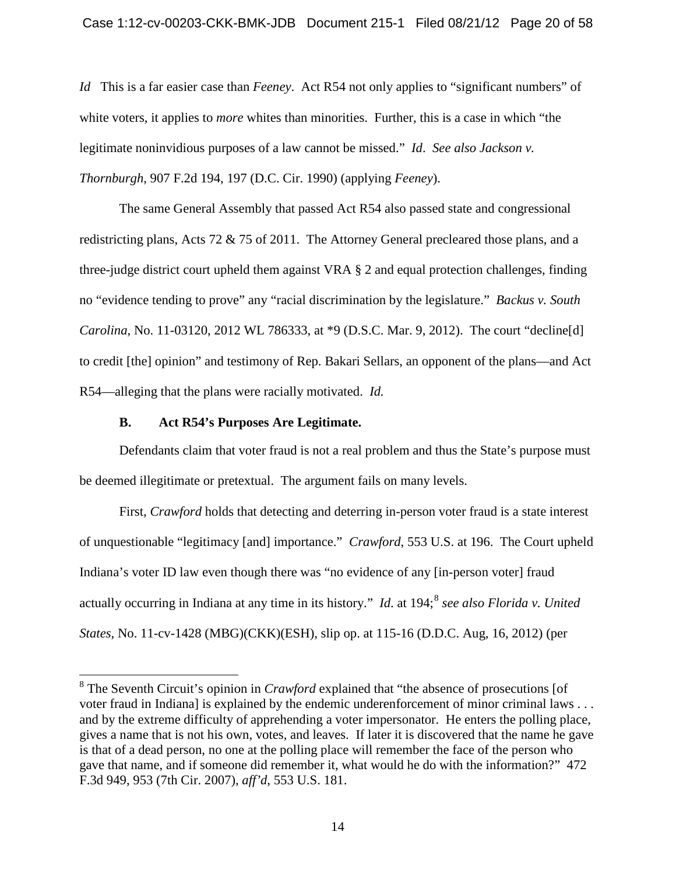*Id* This is a far easier case than *Feeney*. Act R54 not only applies to "significant numbers" of white voters, it applies to *more* whites than minorities. Further, this is a case in which "the legitimate noninvidious purposes of a law cannot be missed." *Id*. *See also Jackson v. Thornburgh*, 907 F.2d 194, 197 (D.C. Cir. 1990) (applying *Feeney*).

The same General Assembly that passed Act R54 also passed state and congressional redistricting plans, Acts 72 & 75 of 2011. The Attorney General precleared those plans, and a three-judge district court upheld them against VRA § 2 and equal protection challenges, finding no "evidence tending to prove" any "racial discrimination by the legislature." *Backus v. South Carolina*, No. 11-03120, 2012 WL 786333, at \*9 (D.S.C. Mar. 9, 2012). The court "decline[d] to credit [the] opinion" and testimony of Rep. Bakari Sellars, an opponent of the plans—and Act R54—alleging that the plans were racially motivated. *Id.*

## **B. Act R54's Purposes Are Legitimate.**

<span id="page-19-0"></span>Defendants claim that voter fraud is not a real problem and thus the State's purpose must be deemed illegitimate or pretextual. The argument fails on many levels.

First, *Crawford* holds that detecting and deterring in-person voter fraud is a state interest of unquestionable "legitimacy [and] importance." *Crawford*, 553 U.S. at 196. The Court upheld Indiana's voter ID law even though there was "no evidence of any [in-person voter] fraud actually occurring in Indiana at any time in its history." *Id*. at 194; [8](#page-18-1) *see also Florida v. United States*, No. 11-cv-1428 (MBG)(CKK)(ESH), slip op. at 115-16 (D.D.C. Aug, 16, 2012) (per

<span id="page-19-1"></span> <sup>8</sup> The Seventh Circuit's opinion in *Crawford* explained that "the absence of prosecutions [of voter fraud in Indiana] is explained by the endemic underenforcement of minor criminal laws . . . and by the extreme difficulty of apprehending a voter impersonator. He enters the polling place, gives a name that is not his own, votes, and leaves. If later it is discovered that the name he gave is that of a dead person, no one at the polling place will remember the face of the person who gave that name, and if someone did remember it, what would he do with the information?" 472 F.3d 949, 953 (7th Cir. 2007), *aff'd*, 553 U.S. 181.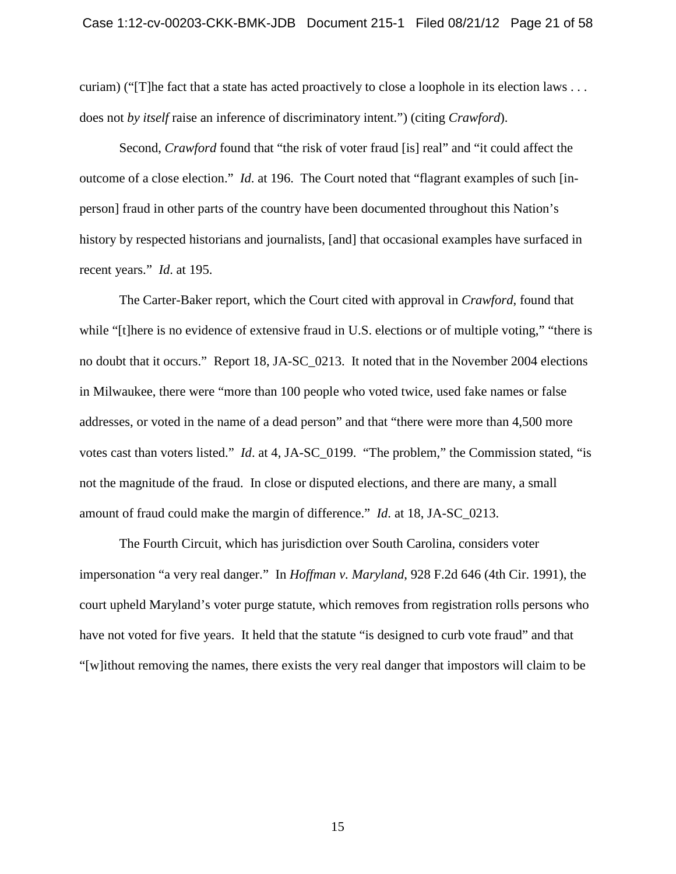curiam) ("[T]he fact that a state has acted proactively to close a loophole in its election laws . . . does not *by itself* raise an inference of discriminatory intent.") (citing *Crawford*).

Second, *Crawford* found that "the risk of voter fraud [is] real" and "it could affect the outcome of a close election." *Id*. at 196. The Court noted that "flagrant examples of such [inperson] fraud in other parts of the country have been documented throughout this Nation's history by respected historians and journalists, [and] that occasional examples have surfaced in recent years." *Id*. at 195.

The Carter-Baker report, which the Court cited with approval in *Crawford*, found that while "[t]here is no evidence of extensive fraud in U.S. elections or of multiple voting," "there is no doubt that it occurs." Report 18, JA-SC\_0213. It noted that in the November 2004 elections in Milwaukee, there were "more than 100 people who voted twice, used fake names or false addresses, or voted in the name of a dead person" and that "there were more than 4,500 more votes cast than voters listed." *Id*. at 4, JA-SC\_0199. "The problem," the Commission stated, "is not the magnitude of the fraud. In close or disputed elections, and there are many, a small amount of fraud could make the margin of difference." *Id*. at 18, JA-SC\_0213.

The Fourth Circuit, which has jurisdiction over South Carolina, considers voter impersonation "a very real danger." In *Hoffman v. Maryland*, 928 F.2d 646 (4th Cir. 1991), the court upheld Maryland's voter purge statute, which removes from registration rolls persons who have not voted for five years. It held that the statute "is designed to curb vote fraud" and that "[w]ithout removing the names, there exists the very real danger that impostors will claim to be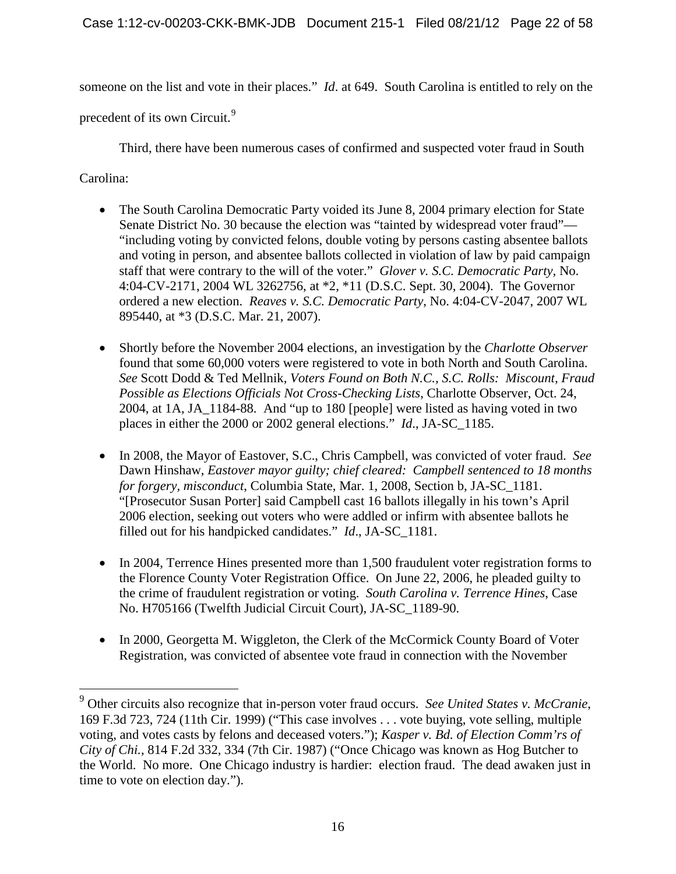someone on the list and vote in their places." *Id*. at 649. South Carolina is entitled to rely on the

precedent of its own Circuit.<sup>[9](#page-19-1)</sup>

Third, there have been numerous cases of confirmed and suspected voter fraud in South

Carolina:

- The South Carolina Democratic Party voided its June 8, 2004 primary election for State Senate District No. 30 because the election was "tainted by widespread voter fraud"— "including voting by convicted felons, double voting by persons casting absentee ballots and voting in person, and absentee ballots collected in violation of law by paid campaign staff that were contrary to the will of the voter." *Glover v. S.C. Democratic Party*, No. 4:04-CV-2171, 2004 WL 3262756, at \*2, \*11 (D.S.C. Sept. 30, 2004). The Governor ordered a new election. *Reaves v. S.C. Democratic Party*, No. 4:04-CV-2047, 2007 WL 895440, at \*3 (D.S.C. Mar. 21, 2007).
- Shortly before the November 2004 elections, an investigation by the *Charlotte Observer* found that some 60,000 voters were registered to vote in both North and South Carolina. *See* Scott Dodd & Ted Mellnik, *Voters Found on Both N.C., S.C. Rolls: Miscount, Fraud Possible as Elections Officials Not Cross-Checking Lists*, Charlotte Observer, Oct. 24, 2004, at 1A, JA\_1184-88. And "up to 180 [people] were listed as having voted in two places in either the 2000 or 2002 general elections." *Id*., JA-SC\_1185.
- In 2008, the Mayor of Eastover, S.C., Chris Campbell, was convicted of voter fraud. *See* Dawn Hinshaw, *Eastover mayor guilty; chief cleared: Campbell sentenced to 18 months for forgery, misconduct*, Columbia State, Mar. 1, 2008, Section b, JA-SC\_1181. "[Prosecutor Susan Porter] said Campbell cast 16 ballots illegally in his town's April 2006 election, seeking out voters who were addled or infirm with absentee ballots he filled out for his handpicked candidates." *Id*., JA-SC\_1181.
- In 2004, Terrence Hines presented more than 1,500 fraudulent voter registration forms to the Florence County Voter Registration Office. On June 22, 2006, he pleaded guilty to the crime of fraudulent registration or voting. *South Carolina v. Terrence Hines*, Case No. H705166 (Twelfth Judicial Circuit Court), JA-SC\_1189-90.
- <span id="page-21-0"></span>• In 2000, Georgetta M. Wiggleton, the Clerk of the McCormick County Board of Voter Registration, was convicted of absentee vote fraud in connection with the November

 <sup>9</sup> Other circuits also recognize that in-person voter fraud occurs. *See United States v. McCranie*, 169 F.3d 723, 724 (11th Cir. 1999) ("This case involves . . . vote buying, vote selling, multiple voting, and votes casts by felons and deceased voters."); *Kasper v. Bd. of Election Comm'rs of City of Chi.*, 814 F.2d 332, 334 (7th Cir. 1987) ("Once Chicago was known as Hog Butcher to the World. No more. One Chicago industry is hardier: election fraud. The dead awaken just in time to vote on election day.").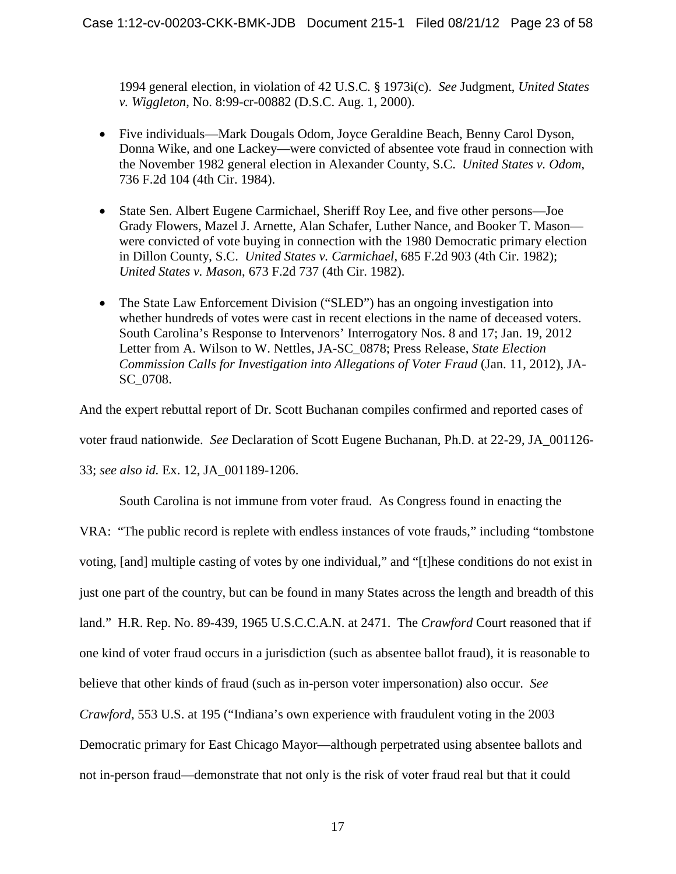1994 general election, in violation of 42 U.S.C. § 1973i(c). *See* Judgment, *United States v. Wiggleton*, No. 8:99-cr-00882 (D.S.C. Aug. 1, 2000).

- Five individuals—Mark Dougals Odom, Joyce Geraldine Beach, Benny Carol Dyson, Donna Wike, and one Lackey—were convicted of absentee vote fraud in connection with the November 1982 general election in Alexander County, S.C. *United States v. Odom*, 736 F.2d 104 (4th Cir. 1984).
- State Sen. Albert Eugene Carmichael, Sheriff Roy Lee, and five other persons—Joe Grady Flowers, Mazel J. Arnette, Alan Schafer, Luther Nance, and Booker T. Mason were convicted of vote buying in connection with the 1980 Democratic primary election in Dillon County, S.C. *United States v. Carmichael*, 685 F.2d 903 (4th Cir. 1982); *United States v. Mason*, 673 F.2d 737 (4th Cir. 1982).
- The State Law Enforcement Division ("SLED") has an ongoing investigation into whether hundreds of votes were cast in recent elections in the name of deceased voters. South Carolina's Response to Intervenors' Interrogatory Nos. 8 and 17; Jan. 19, 2012 Letter from A. Wilson to W. Nettles, JA-SC\_0878; Press Release, *State Election Commission Calls for Investigation into Allegations of Voter Fraud* (Jan. 11, 2012), JA-SC\_0708.

And the expert rebuttal report of Dr. Scott Buchanan compiles confirmed and reported cases of voter fraud nationwide. *See* Declaration of Scott Eugene Buchanan, Ph.D. at 22-29, JA\_001126- 33; *see also id.* Ex. 12, JA\_001189-1206.

South Carolina is not immune from voter fraud. As Congress found in enacting the

VRA: "The public record is replete with endless instances of vote frauds," including "tombstone voting, [and] multiple casting of votes by one individual," and "[t]hese conditions do not exist in just one part of the country, but can be found in many States across the length and breadth of this land." H.R. Rep. No. 89-439, 1965 U.S.C.C.A.N. at 2471. The *Crawford* Court reasoned that if one kind of voter fraud occurs in a jurisdiction (such as absentee ballot fraud), it is reasonable to believe that other kinds of fraud (such as in-person voter impersonation) also occur. *See Crawford*, 553 U.S. at 195 ("Indiana's own experience with fraudulent voting in the 2003 Democratic primary for East Chicago Mayor—although perpetrated using absentee ballots and not in-person fraud—demonstrate that not only is the risk of voter fraud real but that it could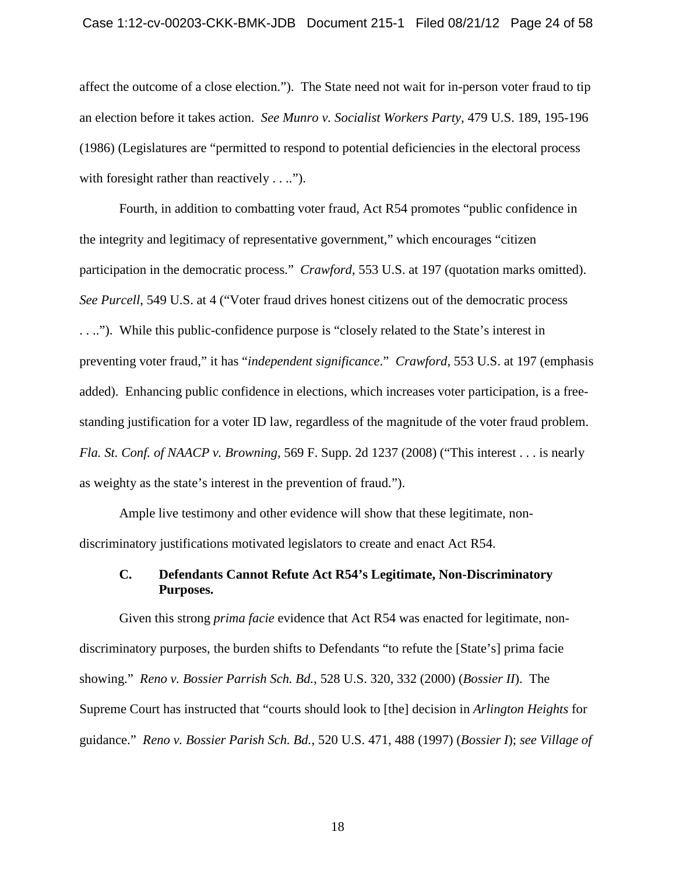#### Case 1:12-cv-00203-CKK-BMK-JDB Document 215-1 Filed 08/21/12 Page 24 of 58

affect the outcome of a close election."). The State need not wait for in-person voter fraud to tip an election before it takes action. *See Munro v. Socialist Workers Party*, 479 U.S. 189, 195-196 (1986) (Legislatures are "permitted to respond to potential deficiencies in the electoral process with foresight rather than reactively . . ..").

Fourth, in addition to combatting voter fraud, Act R54 promotes "public confidence in the integrity and legitimacy of representative government," which encourages "citizen participation in the democratic process." *Crawford*, 553 U.S. at 197 (quotation marks omitted). *See Purcell*, 549 U.S. at 4 ("Voter fraud drives honest citizens out of the democratic process . . .."). While this public-confidence purpose is "closely related to the State's interest in preventing voter fraud," it has "*independent significance*." *Crawford*, 553 U.S. at 197 (emphasis added). Enhancing public confidence in elections, which increases voter participation, is a freestanding justification for a voter ID law, regardless of the magnitude of the voter fraud problem. *Fla. St. Conf. of NAACP v. Browning*, 569 F. Supp. 2d 1237 (2008) ("This interest . . . is nearly as weighty as the state's interest in the prevention of fraud.").

Ample live testimony and other evidence will show that these legitimate, nondiscriminatory justifications motivated legislators to create and enact Act R54.

## <span id="page-23-0"></span>**C. Defendants Cannot Refute Act R54's Legitimate, Non-Discriminatory Purposes.**

Given this strong *prima facie* evidence that Act R54 was enacted for legitimate, nondiscriminatory purposes, the burden shifts to Defendants "to refute the [State's] prima facie showing." *Reno v. Bossier Parrish Sch. Bd.*, 528 U.S. 320, 332 (2000) (*Bossier II*). The Supreme Court has instructed that "courts should look to [the] decision in *Arlington Heights* for guidance." *Reno v. Bossier Parish Sch. Bd.*, 520 U.S. 471, 488 (1997) (*Bossier I*); *see Village of*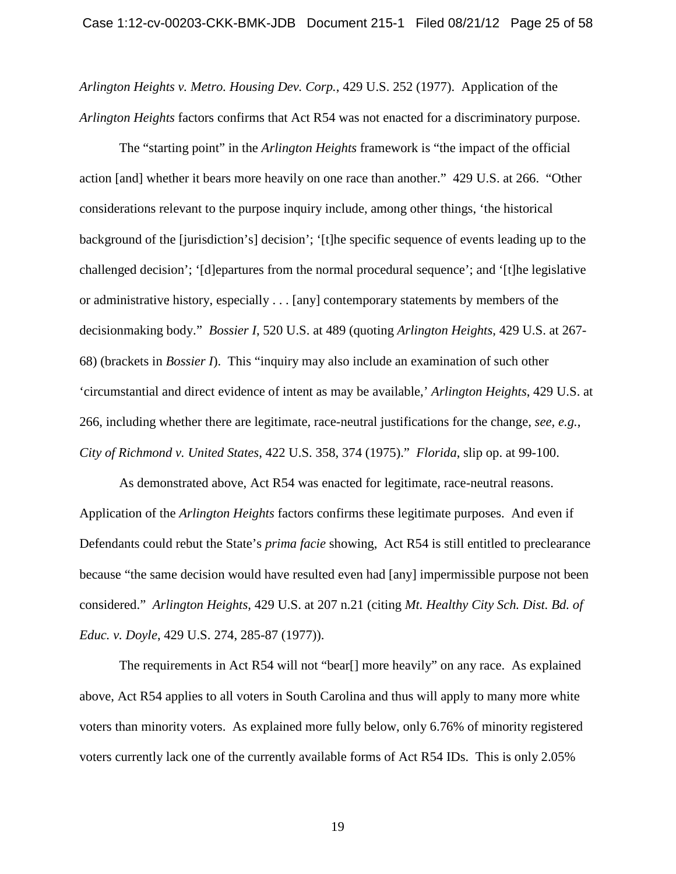*Arlington Heights v. Metro. Housing Dev. Corp.*, 429 U.S. 252 (1977). Application of the *Arlington Heights* factors confirms that Act R54 was not enacted for a discriminatory purpose.

The "starting point" in the *Arlington Heights* framework is "the impact of the official action [and] whether it bears more heavily on one race than another." 429 U.S. at 266. "Other considerations relevant to the purpose inquiry include, among other things, 'the historical background of the [jurisdiction's] decision'; '[t]he specific sequence of events leading up to the challenged decision'; '[d]epartures from the normal procedural sequence'; and '[t]he legislative or administrative history, especially . . . [any] contemporary statements by members of the decisionmaking body." *Bossier I*, 520 U.S. at 489 (quoting *Arlington Heights*, 429 U.S. at 267- 68) (brackets in *Bossier I*). This "inquiry may also include an examination of such other 'circumstantial and direct evidence of intent as may be available,' *Arlington Heights*, 429 U.S. at 266, including whether there are legitimate, race-neutral justifications for the change, *see, e.g.*, *City of Richmond v. United States*, 422 U.S. 358, 374 (1975)." *Florida*, slip op. at 99-100.

As demonstrated above, Act R54 was enacted for legitimate, race-neutral reasons. Application of the *Arlington Heights* factors confirms these legitimate purposes. And even if Defendants could rebut the State's *prima facie* showing, Act R54 is still entitled to preclearance because "the same decision would have resulted even had [any] impermissible purpose not been considered." *Arlington Heights*, 429 U.S. at 207 n.21 (citing *Mt. Healthy City Sch. Dist. Bd. of Educ. v. Doyle*, 429 U.S. 274, 285-87 (1977)).

The requirements in Act R54 will not "bear[] more heavily" on any race. As explained above, Act R54 applies to all voters in South Carolina and thus will apply to many more white voters than minority voters. As explained more fully below, only 6.76% of minority registered voters currently lack one of the currently available forms of Act R54 IDs. This is only 2.05%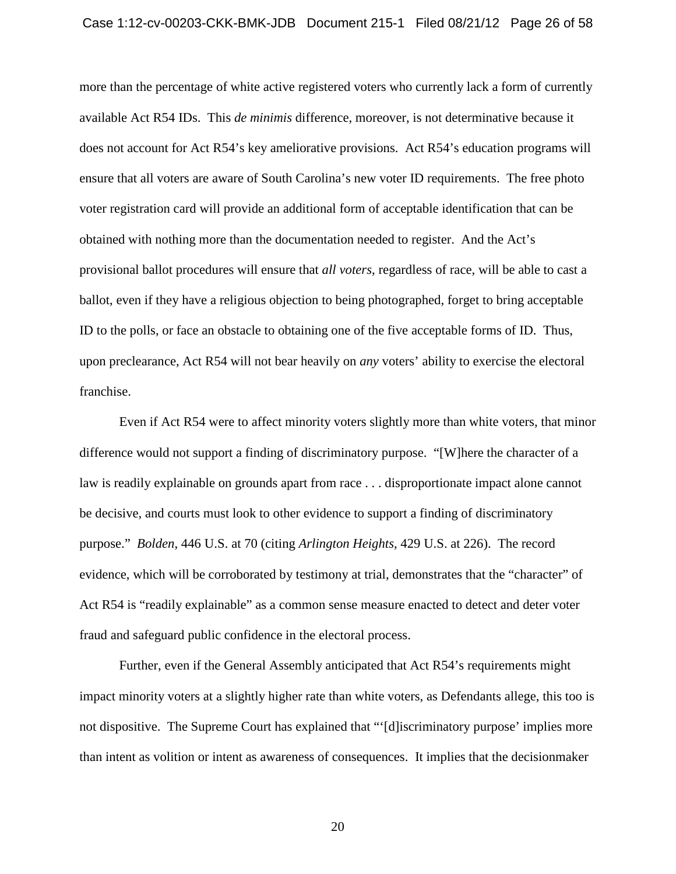## Case 1:12-cv-00203-CKK-BMK-JDB Document 215-1 Filed 08/21/12 Page 26 of 58

more than the percentage of white active registered voters who currently lack a form of currently available Act R54 IDs. This *de minimis* difference, moreover, is not determinative because it does not account for Act R54's key ameliorative provisions. Act R54's education programs will ensure that all voters are aware of South Carolina's new voter ID requirements. The free photo voter registration card will provide an additional form of acceptable identification that can be obtained with nothing more than the documentation needed to register. And the Act's provisional ballot procedures will ensure that *all voters*, regardless of race, will be able to cast a ballot, even if they have a religious objection to being photographed, forget to bring acceptable ID to the polls, or face an obstacle to obtaining one of the five acceptable forms of ID. Thus, upon preclearance, Act R54 will not bear heavily on *any* voters' ability to exercise the electoral franchise.

Even if Act R54 were to affect minority voters slightly more than white voters, that minor difference would not support a finding of discriminatory purpose. "[W]here the character of a law is readily explainable on grounds apart from race . . . disproportionate impact alone cannot be decisive, and courts must look to other evidence to support a finding of discriminatory purpose." *Bolden*, 446 U.S. at 70 (citing *Arlington Heights*, 429 U.S. at 226). The record evidence, which will be corroborated by testimony at trial, demonstrates that the "character" of Act R54 is "readily explainable" as a common sense measure enacted to detect and deter voter fraud and safeguard public confidence in the electoral process.

Further, even if the General Assembly anticipated that Act R54's requirements might impact minority voters at a slightly higher rate than white voters, as Defendants allege, this too is not dispositive. The Supreme Court has explained that "'[d]iscriminatory purpose' implies more than intent as volition or intent as awareness of consequences. It implies that the decisionmaker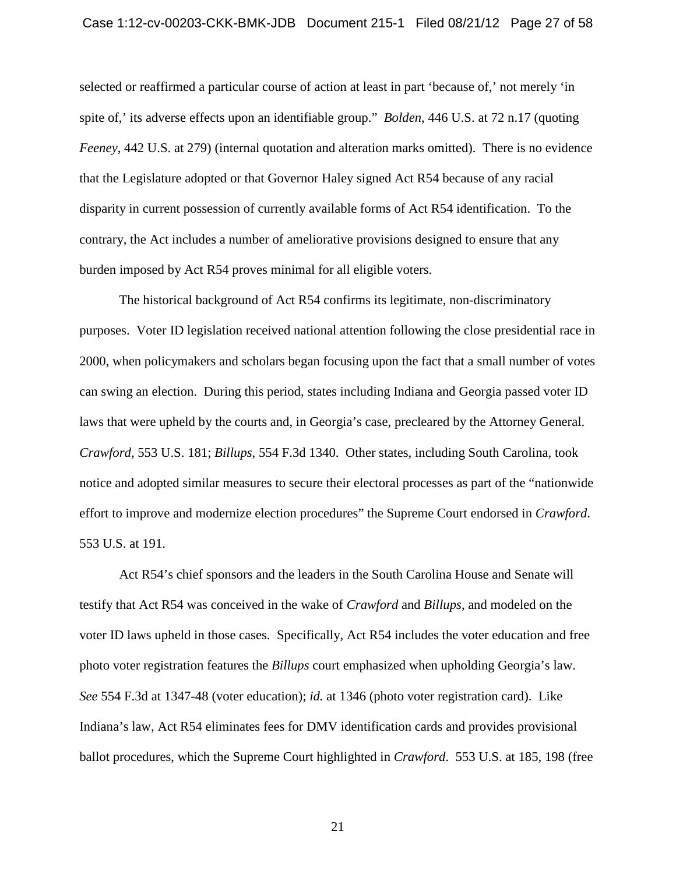#### Case 1:12-cv-00203-CKK-BMK-JDB Document 215-1 Filed 08/21/12 Page 27 of 58

selected or reaffirmed a particular course of action at least in part 'because of,' not merely 'in spite of,' its adverse effects upon an identifiable group." *Bolden*, 446 U.S. at 72 n.17 (quoting *Feeney*, 442 U.S. at 279) (internal quotation and alteration marks omitted). There is no evidence that the Legislature adopted or that Governor Haley signed Act R54 because of any racial disparity in current possession of currently available forms of Act R54 identification. To the contrary, the Act includes a number of ameliorative provisions designed to ensure that any burden imposed by Act R54 proves minimal for all eligible voters.

The historical background of Act R54 confirms its legitimate, non-discriminatory purposes. Voter ID legislation received national attention following the close presidential race in 2000, when policymakers and scholars began focusing upon the fact that a small number of votes can swing an election. During this period, states including Indiana and Georgia passed voter ID laws that were upheld by the courts and, in Georgia's case, precleared by the Attorney General. *Crawford*, 553 U.S. 181; *Billups*, 554 F.3d 1340. Other states, including South Carolina, took notice and adopted similar measures to secure their electoral processes as part of the "nationwide effort to improve and modernize election procedures" the Supreme Court endorsed in *Crawford*. 553 U.S. at 191.

Act R54's chief sponsors and the leaders in the South Carolina House and Senate will testify that Act R54 was conceived in the wake of *Crawford* and *Billups*, and modeled on the voter ID laws upheld in those cases. Specifically, Act R54 includes the voter education and free photo voter registration features the *Billups* court emphasized when upholding Georgia's law. *See* 554 F.3d at 1347-48 (voter education); *id.* at 1346 (photo voter registration card). Like Indiana's law, Act R54 eliminates fees for DMV identification cards and provides provisional ballot procedures, which the Supreme Court highlighted in *Crawford*. 553 U.S. at 185, 198 (free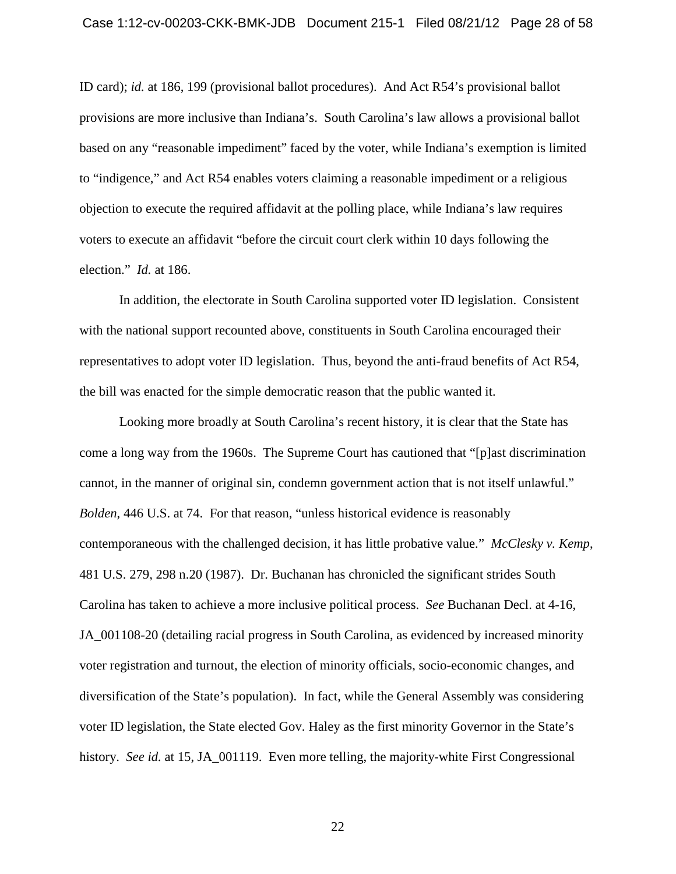ID card); *id.* at 186, 199 (provisional ballot procedures). And Act R54's provisional ballot provisions are more inclusive than Indiana's. South Carolina's law allows a provisional ballot based on any "reasonable impediment" faced by the voter, while Indiana's exemption is limited to "indigence," and Act R54 enables voters claiming a reasonable impediment or a religious objection to execute the required affidavit at the polling place, while Indiana's law requires voters to execute an affidavit "before the circuit court clerk within 10 days following the election." *Id.* at 186.

In addition, the electorate in South Carolina supported voter ID legislation. Consistent with the national support recounted above, constituents in South Carolina encouraged their representatives to adopt voter ID legislation. Thus, beyond the anti-fraud benefits of Act R54, the bill was enacted for the simple democratic reason that the public wanted it.

Looking more broadly at South Carolina's recent history, it is clear that the State has come a long way from the 1960s. The Supreme Court has cautioned that "[p]ast discrimination cannot, in the manner of original sin, condemn government action that is not itself unlawful." *Bolden*, 446 U.S. at 74. For that reason, "unless historical evidence is reasonably contemporaneous with the challenged decision, it has little probative value." *McClesky v. Kemp*, 481 U.S. 279, 298 n.20 (1987). Dr. Buchanan has chronicled the significant strides South Carolina has taken to achieve a more inclusive political process. *See* Buchanan Decl. at 4-16, JA  $001108-20$  (detailing racial progress in South Carolina, as evidenced by increased minority voter registration and turnout, the election of minority officials, socio-economic changes, and diversification of the State's population). In fact, while the General Assembly was considering voter ID legislation, the State elected Gov. Haley as the first minority Governor in the State's history. *See id.* at 15, JA\_001119. Even more telling, the majority-white First Congressional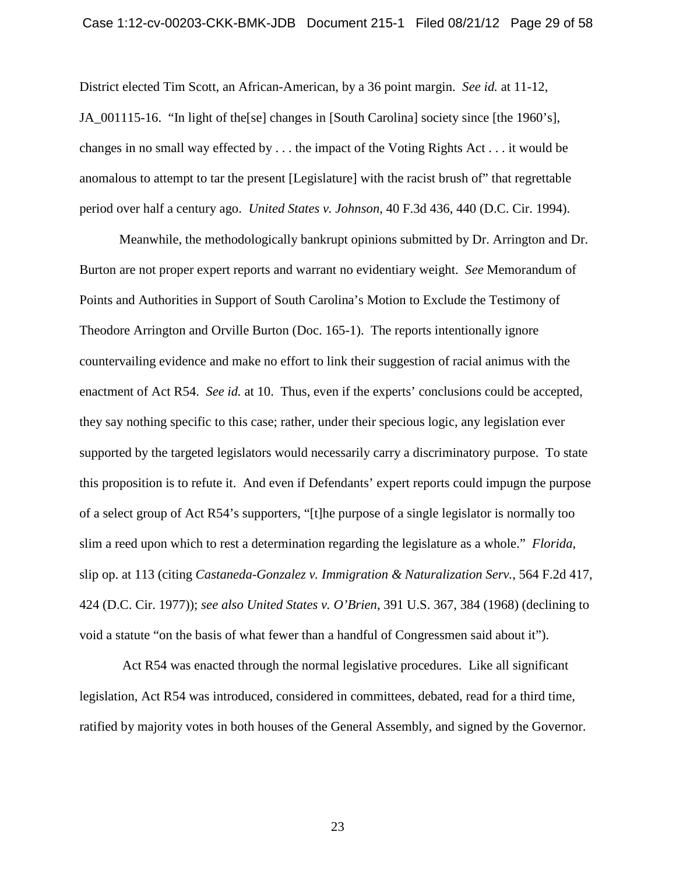## Case 1:12-cv-00203-CKK-BMK-JDB Document 215-1 Filed 08/21/12 Page 29 of 58

District elected Tim Scott, an African-American, by a 36 point margin. *See id.* at 11-12, JA\_001115-16. "In light of the[se] changes in [South Carolina] society since [the 1960's], changes in no small way effected by . . . the impact of the Voting Rights Act . . . it would be anomalous to attempt to tar the present [Legislature] with the racist brush of" that regrettable period over half a century ago. *United States v. Johnson*, 40 F.3d 436, 440 (D.C. Cir. 1994).

Meanwhile, the methodologically bankrupt opinions submitted by Dr. Arrington and Dr. Burton are not proper expert reports and warrant no evidentiary weight. *See* Memorandum of Points and Authorities in Support of South Carolina's Motion to Exclude the Testimony of Theodore Arrington and Orville Burton (Doc. 165-1). The reports intentionally ignore countervailing evidence and make no effort to link their suggestion of racial animus with the enactment of Act R54. *See id.* at 10. Thus, even if the experts' conclusions could be accepted, they say nothing specific to this case; rather, under their specious logic, any legislation ever supported by the targeted legislators would necessarily carry a discriminatory purpose. To state this proposition is to refute it. And even if Defendants' expert reports could impugn the purpose of a select group of Act R54's supporters, "[t]he purpose of a single legislator is normally too slim a reed upon which to rest a determination regarding the legislature as a whole." *Florida*, slip op. at 113 (citing *Castaneda-Gonzalez v. Immigration & Naturalization Serv.*, 564 F.2d 417, 424 (D.C. Cir. 1977)); *see also United States v. O'Brien*, 391 U.S. 367, 384 (1968) (declining to void a statute "on the basis of what fewer than a handful of Congressmen said about it").

Act R54 was enacted through the normal legislative procedures. Like all significant legislation, Act R54 was introduced, considered in committees, debated, read for a third time, ratified by majority votes in both houses of the General Assembly, and signed by the Governor.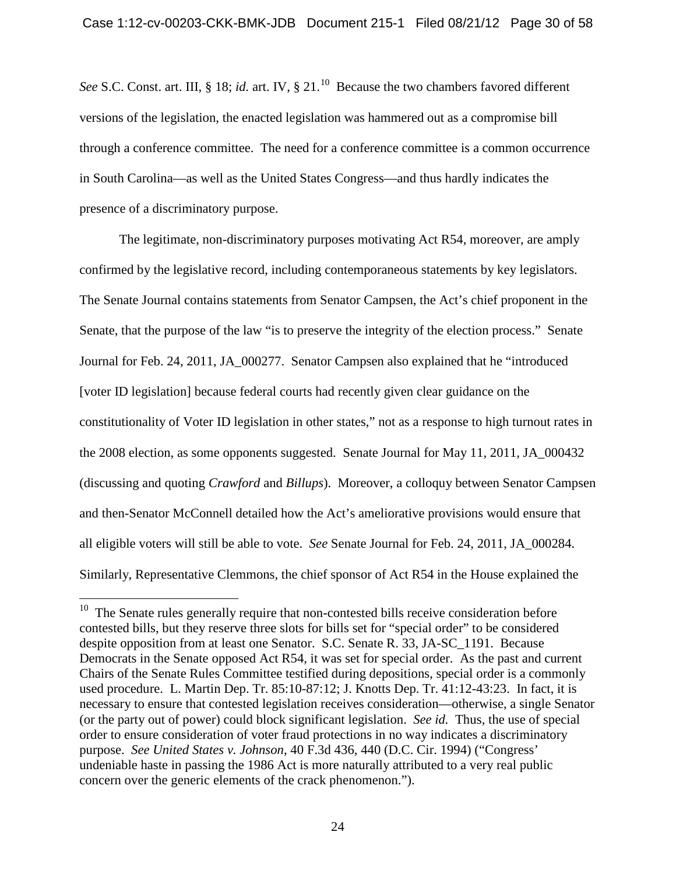See S.C. Const. art. III, § 18; *id.* art. IV, § 21.<sup>10</sup> Because the two chambers favored different versions of the legislation, the enacted legislation was hammered out as a compromise bill through a conference committee. The need for a conference committee is a common occurrence in South Carolina—as well as the United States Congress—and thus hardly indicates the presence of a discriminatory purpose.

The legitimate, non-discriminatory purposes motivating Act R54, moreover, are amply confirmed by the legislative record, including contemporaneous statements by key legislators. The Senate Journal contains statements from Senator Campsen, the Act's chief proponent in the Senate, that the purpose of the law "is to preserve the integrity of the election process." Senate Journal for Feb. 24, 2011, JA\_000277. Senator Campsen also explained that he "introduced [voter ID legislation] because federal courts had recently given clear guidance on the constitutionality of Voter ID legislation in other states," not as a response to high turnout rates in the 2008 election, as some opponents suggested. Senate Journal for May 11, 2011, JA\_000432 (discussing and quoting *Crawford* and *Billups*). Moreover, a colloquy between Senator Campsen and then-Senator McConnell detailed how the Act's ameliorative provisions would ensure that all eligible voters will still be able to vote. *See* Senate Journal for Feb. 24, 2011, JA\_000284. Similarly, Representative Clemmons, the chief sponsor of Act R54 in the House explained the

<span id="page-29-0"></span> $10$  The Senate rules generally require that non-contested bills receive consideration before contested bills, but they reserve three slots for bills set for "special order" to be considered despite opposition from at least one Senator. S.C. Senate R. 33, JA-SC\_1191. Because Democrats in the Senate opposed Act R54, it was set for special order. As the past and current Chairs of the Senate Rules Committee testified during depositions, special order is a commonly used procedure. L. Martin Dep. Tr. 85:10-87:12; J. Knotts Dep. Tr. 41:12-43:23. In fact, it is necessary to ensure that contested legislation receives consideration—otherwise, a single Senator (or the party out of power) could block significant legislation. *See id.* Thus, the use of special order to ensure consideration of voter fraud protections in no way indicates a discriminatory purpose. *See United States v. Johnson*, 40 F.3d 436, 440 (D.C. Cir. 1994) ("Congress' undeniable haste in passing the 1986 Act is more naturally attributed to a very real public concern over the generic elements of the crack phenomenon.").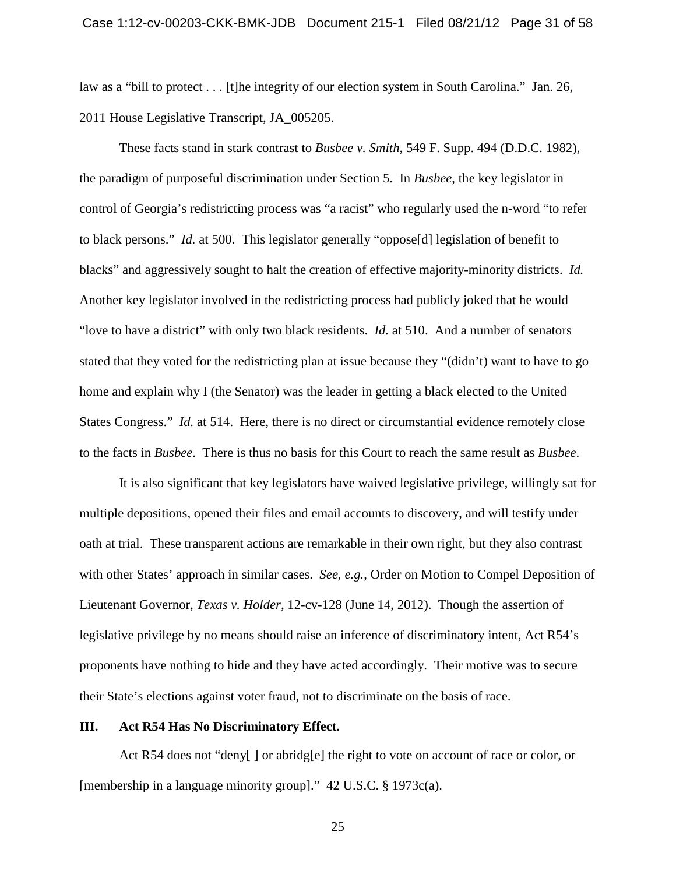law as a "bill to protect . . . [t]he integrity of our election system in South Carolina." Jan. 26, 2011 House Legislative Transcript, JA\_005205.

These facts stand in stark contrast to *Busbee v. Smith*, 549 F. Supp. 494 (D.D.C. 1982), the paradigm of purposeful discrimination under Section 5. In *Busbee*, the key legislator in control of Georgia's redistricting process was "a racist" who regularly used the n-word "to refer to black persons." *Id.* at 500. This legislator generally "oppose[d] legislation of benefit to blacks" and aggressively sought to halt the creation of effective majority-minority districts. *Id.* Another key legislator involved in the redistricting process had publicly joked that he would "love to have a district" with only two black residents. *Id.* at 510. And a number of senators stated that they voted for the redistricting plan at issue because they "(didn't) want to have to go home and explain why I (the Senator) was the leader in getting a black elected to the United States Congress." *Id.* at 514. Here, there is no direct or circumstantial evidence remotely close to the facts in *Busbee*. There is thus no basis for this Court to reach the same result as *Busbee*.

It is also significant that key legislators have waived legislative privilege, willingly sat for multiple depositions, opened their files and email accounts to discovery, and will testify under oath at trial. These transparent actions are remarkable in their own right, but they also contrast with other States' approach in similar cases. *See, e.g.*, Order on Motion to Compel Deposition of Lieutenant Governor, *Texas v. Holder*, 12-cv-128 (June 14, 2012). Though the assertion of legislative privilege by no means should raise an inference of discriminatory intent, Act R54's proponents have nothing to hide and they have acted accordingly. Their motive was to secure their State's elections against voter fraud, not to discriminate on the basis of race.

## <span id="page-30-0"></span>**III. Act R54 Has No Discriminatory Effect.**

Act R54 does not "deny[ ] or abridg[e] the right to vote on account of race or color, or [membership in a language minority group]." 42 U.S.C. § 1973c(a).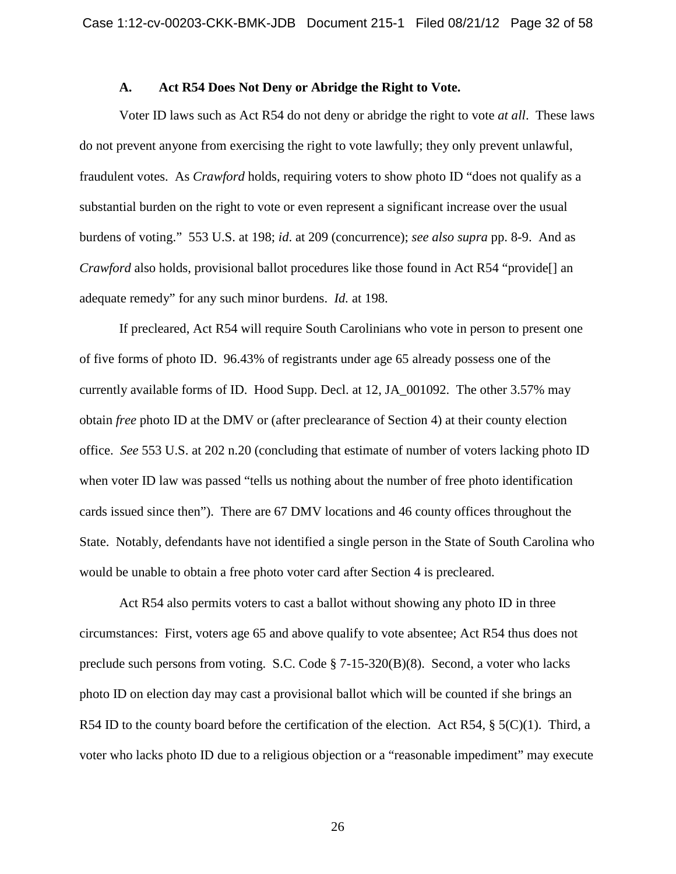## **A. Act R54 Does Not Deny or Abridge the Right to Vote.**

<span id="page-31-0"></span>Voter ID laws such as Act R54 do not deny or abridge the right to vote *at all*. These laws do not prevent anyone from exercising the right to vote lawfully; they only prevent unlawful, fraudulent votes. As *Crawford* holds, requiring voters to show photo ID "does not qualify as a substantial burden on the right to vote or even represent a significant increase over the usual burdens of voting." 553 U.S. at 198; *id*. at 209 (concurrence); *see also supra* pp. 8-9. And as *Crawford* also holds, provisional ballot procedures like those found in Act R54 "provide[] an adequate remedy" for any such minor burdens. *Id.* at 198.

If precleared, Act R54 will require South Carolinians who vote in person to present one of five forms of photo ID. 96.43% of registrants under age 65 already possess one of the currently available forms of ID. Hood Supp. Decl. at 12, JA\_001092. The other 3.57% may obtain *free* photo ID at the DMV or (after preclearance of Section 4) at their county election office. *See* 553 U.S. at 202 n.20 (concluding that estimate of number of voters lacking photo ID when voter ID law was passed "tells us nothing about the number of free photo identification cards issued since then"). There are 67 DMV locations and 46 county offices throughout the State. Notably, defendants have not identified a single person in the State of South Carolina who would be unable to obtain a free photo voter card after Section 4 is precleared.

Act R54 also permits voters to cast a ballot without showing any photo ID in three circumstances: First, voters age 65 and above qualify to vote absentee; Act R54 thus does not preclude such persons from voting. S.C. Code § 7-15-320(B)(8). Second, a voter who lacks photo ID on election day may cast a provisional ballot which will be counted if she brings an R54 ID to the county board before the certification of the election. Act R54,  $\S$  5(C)(1). Third, a voter who lacks photo ID due to a religious objection or a "reasonable impediment" may execute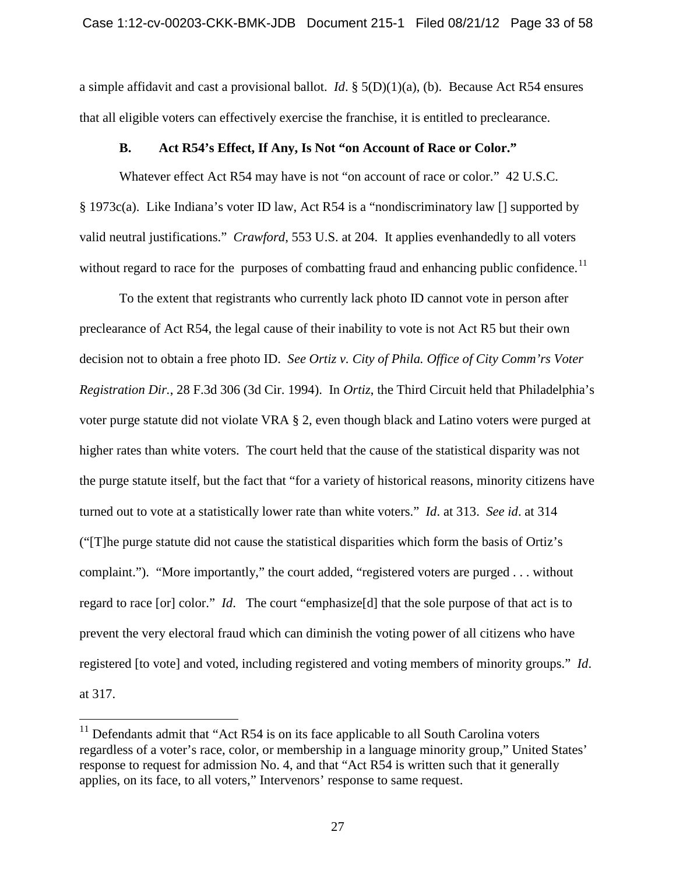a simple affidavit and cast a provisional ballot. *Id*. § 5(D)(1)(a), (b). Because Act R54 ensures that all eligible voters can effectively exercise the franchise, it is entitled to preclearance.

### **B. Act R54's Effect, If Any, Is Not "on Account of Race or Color."**

<span id="page-32-0"></span>Whatever effect Act R54 may have is not "on account of race or color." 42 U.S.C. § 1973c(a). Like Indiana's voter ID law, Act R54 is a "nondiscriminatory law [] supported by valid neutral justifications." *Crawford*, 553 U.S. at 204. It applies evenhandedly to all voters without regard to race for the purposes of combatting fraud and enhancing public confidence.<sup>[11](#page-29-0)</sup>

To the extent that registrants who currently lack photo ID cannot vote in person after preclearance of Act R54, the legal cause of their inability to vote is not Act R5 but their own decision not to obtain a free photo ID. *See Ortiz v. City of Phila. Office of City Comm'rs Voter Registration Dir.*, 28 F.3d 306 (3d Cir. 1994). In *Ortiz*, the Third Circuit held that Philadelphia's voter purge statute did not violate VRA § 2, even though black and Latino voters were purged at higher rates than white voters. The court held that the cause of the statistical disparity was not the purge statute itself, but the fact that "for a variety of historical reasons, minority citizens have turned out to vote at a statistically lower rate than white voters." *Id*. at 313. *See id*. at 314 ("[T]he purge statute did not cause the statistical disparities which form the basis of Ortiz's complaint."). "More importantly," the court added, "registered voters are purged . . . without regard to race [or] color." *Id*. The court "emphasize[d] that the sole purpose of that act is to prevent the very electoral fraud which can diminish the voting power of all citizens who have registered [to vote] and voted, including registered and voting members of minority groups." *Id*. at 317.

<span id="page-32-1"></span> $11$  Defendants admit that "Act R54 is on its face applicable to all South Carolina voters regardless of a voter's race, color, or membership in a language minority group," United States' response to request for admission No. 4, and that "Act R54 is written such that it generally applies, on its face, to all voters," Intervenors' response to same request.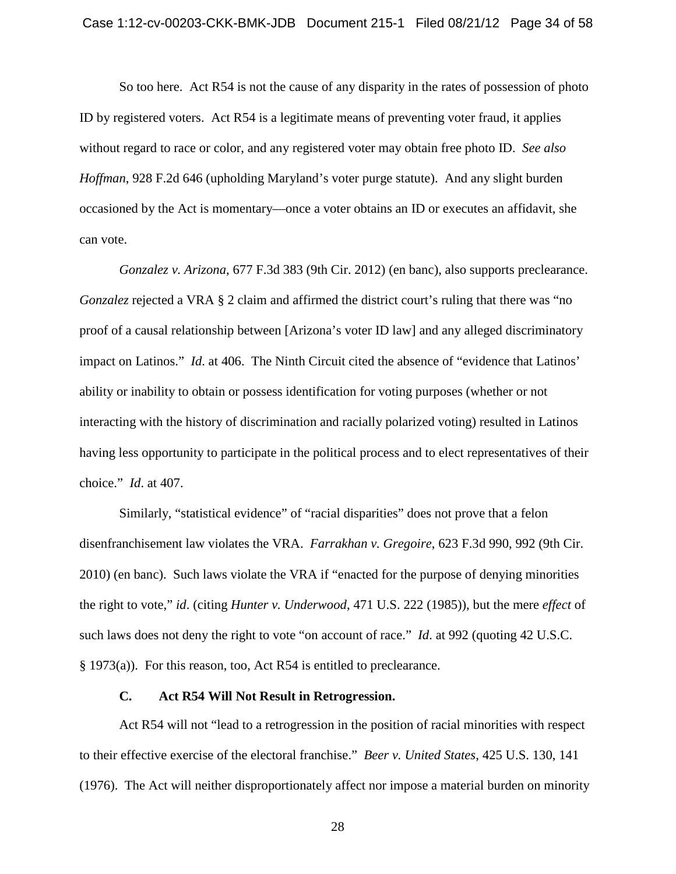So too here. Act R54 is not the cause of any disparity in the rates of possession of photo ID by registered voters. Act R54 is a legitimate means of preventing voter fraud, it applies without regard to race or color, and any registered voter may obtain free photo ID. *See also Hoffman*, 928 F.2d 646 (upholding Maryland's voter purge statute). And any slight burden occasioned by the Act is momentary—once a voter obtains an ID or executes an affidavit, she can vote.

*Gonzalez v. Arizona*, 677 F.3d 383 (9th Cir. 2012) (en banc), also supports preclearance. *Gonzalez* rejected a VRA § 2 claim and affirmed the district court's ruling that there was "no proof of a causal relationship between [Arizona's voter ID law] and any alleged discriminatory impact on Latinos." *Id*. at 406. The Ninth Circuit cited the absence of "evidence that Latinos' ability or inability to obtain or possess identification for voting purposes (whether or not interacting with the history of discrimination and racially polarized voting) resulted in Latinos having less opportunity to participate in the political process and to elect representatives of their choice." *Id*. at 407.

Similarly, "statistical evidence" of "racial disparities" does not prove that a felon disenfranchisement law violates the VRA. *Farrakhan v. Gregoire*, 623 F.3d 990, 992 (9th Cir. 2010) (en banc). Such laws violate the VRA if "enacted for the purpose of denying minorities the right to vote," *id*. (citing *Hunter v. Underwood*, 471 U.S. 222 (1985)), but the mere *effect* of such laws does not deny the right to vote "on account of race." *Id*. at 992 (quoting 42 U.S.C. § 1973(a)). For this reason, too, Act R54 is entitled to preclearance.

#### **C. Act R54 Will Not Result in Retrogression.**

<span id="page-33-0"></span>Act R54 will not "lead to a retrogression in the position of racial minorities with respect to their effective exercise of the electoral franchise." *Beer v. United States*, 425 U.S. 130, 141 (1976). The Act will neither disproportionately affect nor impose a material burden on minority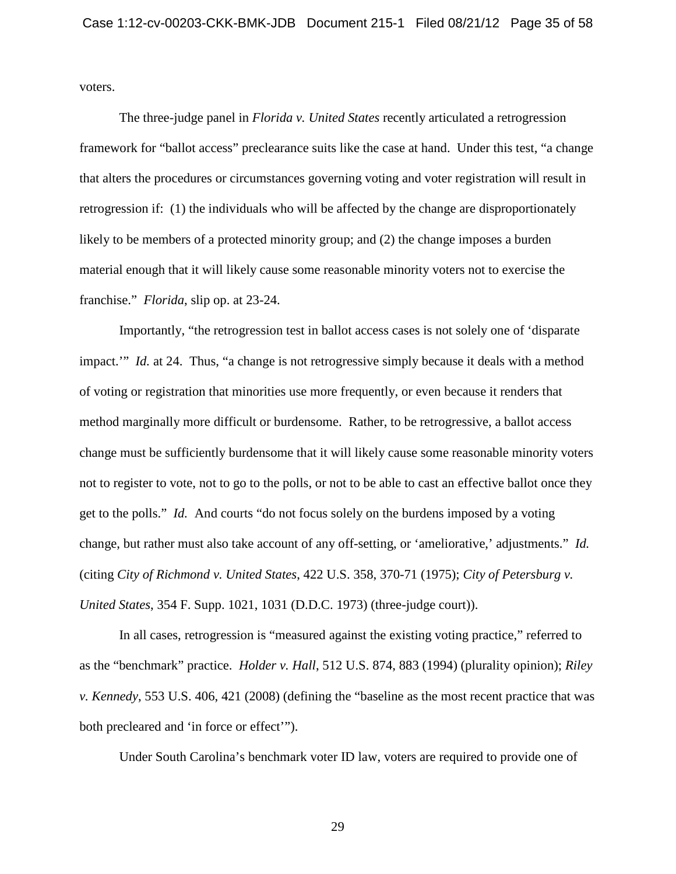voters.

The three-judge panel in *Florida v. United States* recently articulated a retrogression framework for "ballot access" preclearance suits like the case at hand. Under this test, "a change that alters the procedures or circumstances governing voting and voter registration will result in retrogression if: (1) the individuals who will be affected by the change are disproportionately likely to be members of a protected minority group; and (2) the change imposes a burden material enough that it will likely cause some reasonable minority voters not to exercise the franchise." *Florida*, slip op. at 23-24.

Importantly, "the retrogression test in ballot access cases is not solely one of 'disparate impact.'" *Id.* at 24. Thus, "a change is not retrogressive simply because it deals with a method of voting or registration that minorities use more frequently, or even because it renders that method marginally more difficult or burdensome. Rather, to be retrogressive, a ballot access change must be sufficiently burdensome that it will likely cause some reasonable minority voters not to register to vote, not to go to the polls, or not to be able to cast an effective ballot once they get to the polls." *Id.* And courts "do not focus solely on the burdens imposed by a voting change, but rather must also take account of any off-setting, or 'ameliorative,' adjustments." *Id.* (citing *City of Richmond v. United States*, 422 U.S. 358, 370-71 (1975); *City of Petersburg v. United States*, 354 F. Supp. 1021, 1031 (D.D.C. 1973) (three-judge court)).

In all cases, retrogression is "measured against the existing voting practice," referred to as the "benchmark" practice. *Holder v. Hall*, 512 U.S. 874, 883 (1994) (plurality opinion); *Riley v. Kennedy*, 553 U.S. 406, 421 (2008) (defining the "baseline as the most recent practice that was both precleared and 'in force or effect'").

Under South Carolina's benchmark voter ID law, voters are required to provide one of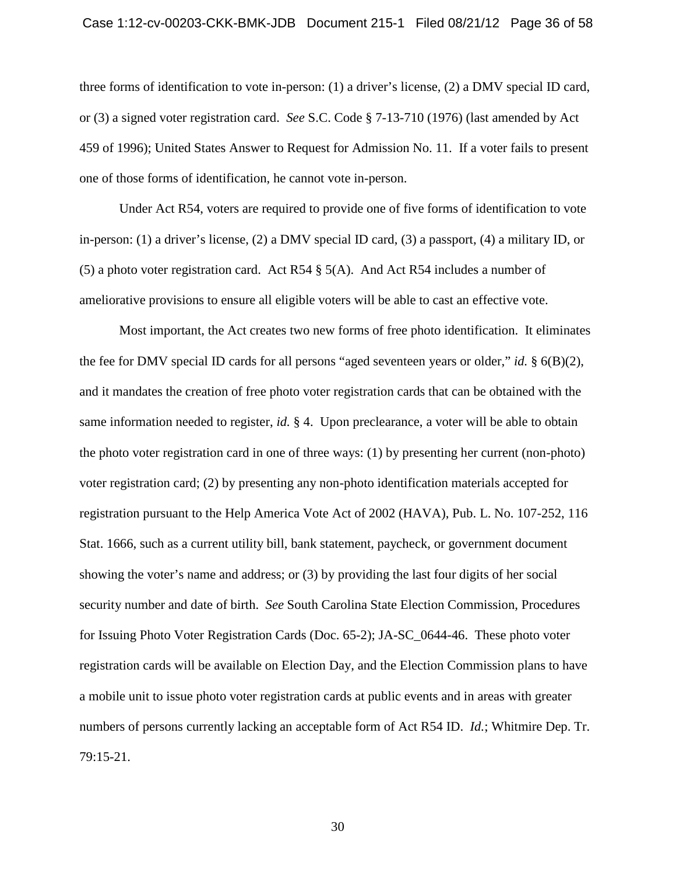## Case 1:12-cv-00203-CKK-BMK-JDB Document 215-1 Filed 08/21/12 Page 36 of 58

three forms of identification to vote in-person: (1) a driver's license, (2) a DMV special ID card, or (3) a signed voter registration card. *See* S.C. Code § 7-13-710 (1976) (last amended by Act 459 of 1996); United States Answer to Request for Admission No. 11. If a voter fails to present one of those forms of identification, he cannot vote in-person.

Under Act R54, voters are required to provide one of five forms of identification to vote in-person: (1) a driver's license, (2) a DMV special ID card, (3) a passport, (4) a military ID, or (5) a photo voter registration card. Act R54 § 5(A). And Act R54 includes a number of ameliorative provisions to ensure all eligible voters will be able to cast an effective vote.

Most important, the Act creates two new forms of free photo identification. It eliminates the fee for DMV special ID cards for all persons "aged seventeen years or older," *id.* § 6(B)(2), and it mandates the creation of free photo voter registration cards that can be obtained with the same information needed to register, *id.* § 4. Upon preclearance, a voter will be able to obtain the photo voter registration card in one of three ways: (1) by presenting her current (non-photo) voter registration card; (2) by presenting any non-photo identification materials accepted for registration pursuant to the Help America Vote Act of 2002 (HAVA), Pub. L. No. 107-252, 116 Stat. 1666, such as a current utility bill, bank statement, paycheck, or government document showing the voter's name and address; or (3) by providing the last four digits of her social security number and date of birth. *See* South Carolina State Election Commission, Procedures for Issuing Photo Voter Registration Cards (Doc. 65-2); JA-SC\_0644-46. These photo voter registration cards will be available on Election Day, and the Election Commission plans to have a mobile unit to issue photo voter registration cards at public events and in areas with greater numbers of persons currently lacking an acceptable form of Act R54 ID. *Id.*; Whitmire Dep. Tr. 79:15-21.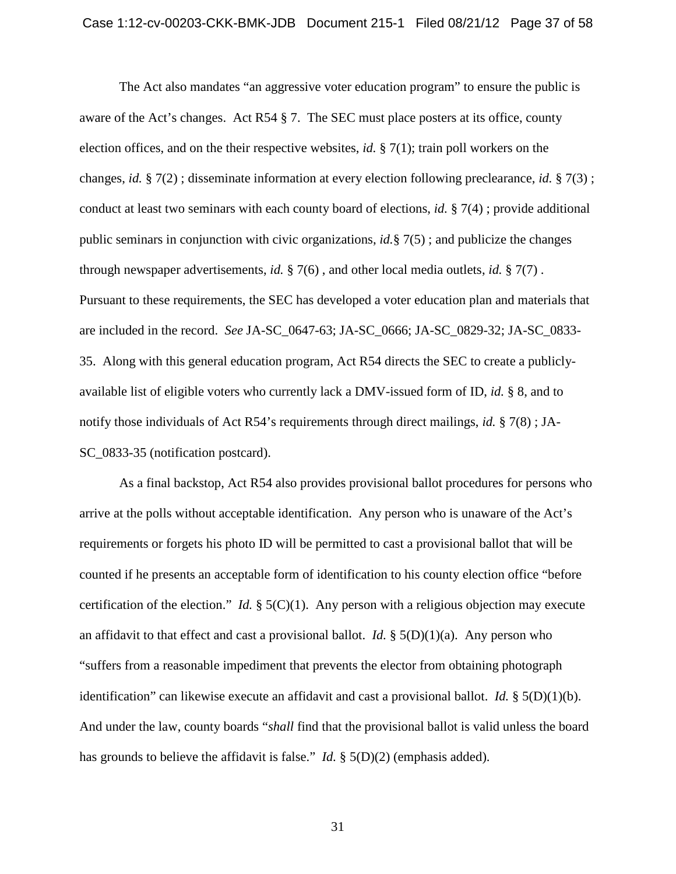The Act also mandates "an aggressive voter education program" to ensure the public is aware of the Act's changes. Act R54 § 7. The SEC must place posters at its office, county election offices, and on the their respective websites, *id.* § 7(1); train poll workers on the changes, *id.* § 7(2) ; disseminate information at every election following preclearance, *id.* § 7(3) ; conduct at least two seminars with each county board of elections, *id.* § 7(4) ; provide additional public seminars in conjunction with civic organizations, *id.*§ 7(5) ; and publicize the changes through newspaper advertisements, *id.* § 7(6) , and other local media outlets, *id.* § 7(7) . Pursuant to these requirements, the SEC has developed a voter education plan and materials that are included in the record. *See* JA-SC\_0647-63; JA-SC\_0666; JA-SC\_0829-32; JA-SC\_0833- 35. Along with this general education program, Act R54 directs the SEC to create a publiclyavailable list of eligible voters who currently lack a DMV-issued form of ID, *id.* § 8, and to notify those individuals of Act R54's requirements through direct mailings, *id.* § 7(8) ; JA-SC\_0833-35 (notification postcard).

As a final backstop, Act R54 also provides provisional ballot procedures for persons who arrive at the polls without acceptable identification. Any person who is unaware of the Act's requirements or forgets his photo ID will be permitted to cast a provisional ballot that will be counted if he presents an acceptable form of identification to his county election office "before certification of the election." *Id.* § 5(C)(1). Any person with a religious objection may execute an affidavit to that effect and cast a provisional ballot. *Id.*  $\S(5D)(1)(a)$ . Any person who "suffers from a reasonable impediment that prevents the elector from obtaining photograph identification" can likewise execute an affidavit and cast a provisional ballot. *Id.* § 5(D)(1)(b). And under the law, county boards "*shall* find that the provisional ballot is valid unless the board has grounds to believe the affidavit is false." *Id.* § 5(D)(2) (emphasis added).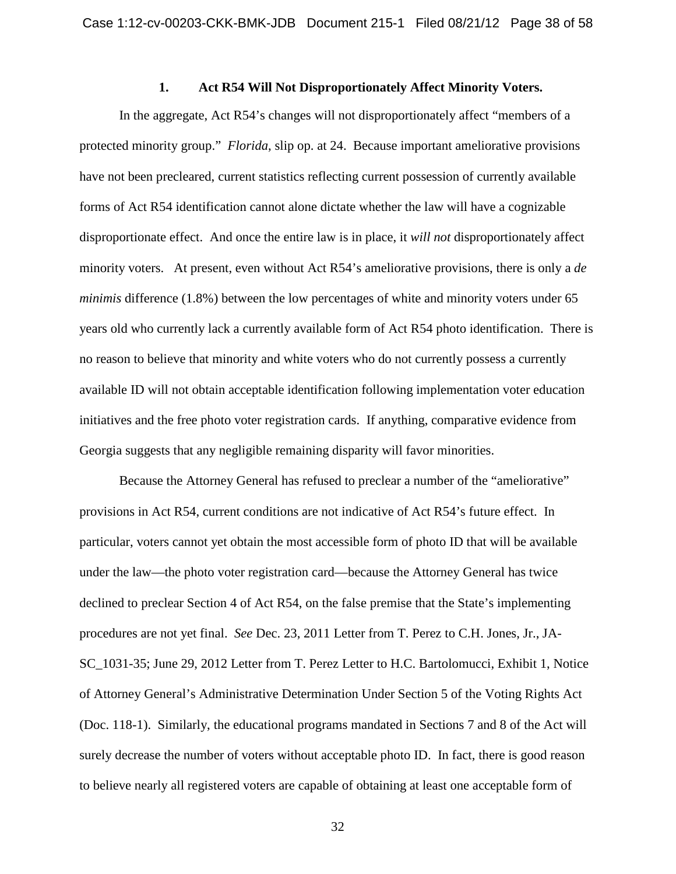## **1. Act R54 Will Not Disproportionately Affect Minority Voters.**

<span id="page-37-0"></span>In the aggregate, Act R54's changes will not disproportionately affect "members of a protected minority group." *Florida*, slip op. at 24. Because important ameliorative provisions have not been precleared, current statistics reflecting current possession of currently available forms of Act R54 identification cannot alone dictate whether the law will have a cognizable disproportionate effect. And once the entire law is in place, it *will not* disproportionately affect minority voters. At present, even without Act R54's ameliorative provisions, there is only a *de minimis* difference (1.8%) between the low percentages of white and minority voters under 65 years old who currently lack a currently available form of Act R54 photo identification. There is no reason to believe that minority and white voters who do not currently possess a currently available ID will not obtain acceptable identification following implementation voter education initiatives and the free photo voter registration cards. If anything, comparative evidence from Georgia suggests that any negligible remaining disparity will favor minorities.

Because the Attorney General has refused to preclear a number of the "ameliorative" provisions in Act R54, current conditions are not indicative of Act R54's future effect. In particular, voters cannot yet obtain the most accessible form of photo ID that will be available under the law—the photo voter registration card—because the Attorney General has twice declined to preclear Section 4 of Act R54, on the false premise that the State's implementing procedures are not yet final. *See* Dec. 23, 2011 Letter from T. Perez to C.H. Jones, Jr., JA-SC\_1031-35; June 29, 2012 Letter from T. Perez Letter to H.C. Bartolomucci, Exhibit 1, Notice of Attorney General's Administrative Determination Under Section 5 of the Voting Rights Act (Doc. 118-1). Similarly, the educational programs mandated in Sections 7 and 8 of the Act will surely decrease the number of voters without acceptable photo ID. In fact, there is good reason to believe nearly all registered voters are capable of obtaining at least one acceptable form of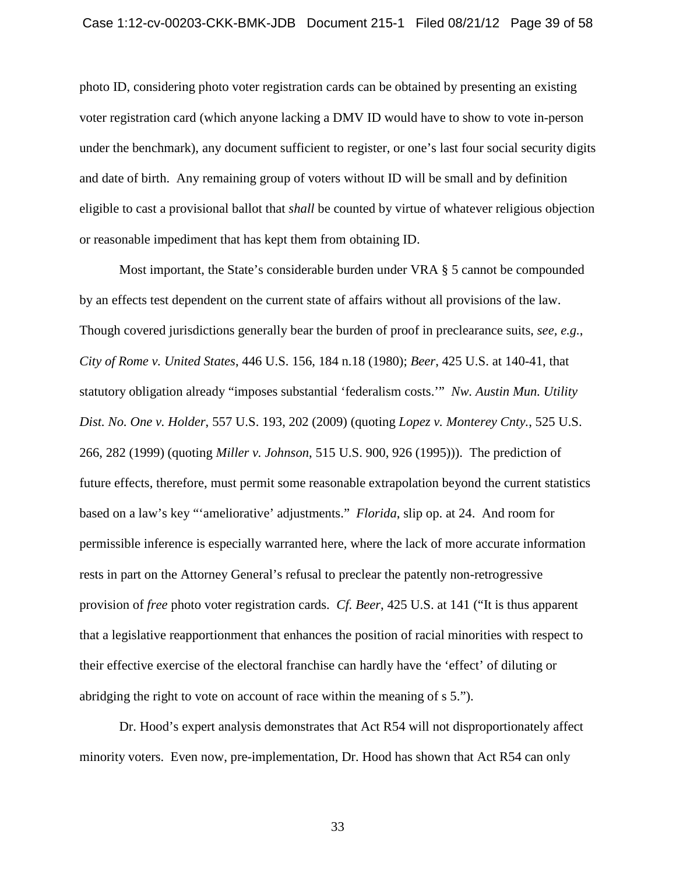photo ID, considering photo voter registration cards can be obtained by presenting an existing voter registration card (which anyone lacking a DMV ID would have to show to vote in-person under the benchmark), any document sufficient to register, or one's last four social security digits and date of birth. Any remaining group of voters without ID will be small and by definition eligible to cast a provisional ballot that *shall* be counted by virtue of whatever religious objection or reasonable impediment that has kept them from obtaining ID.

Most important, the State's considerable burden under VRA § 5 cannot be compounded by an effects test dependent on the current state of affairs without all provisions of the law. Though covered jurisdictions generally bear the burden of proof in preclearance suits, *see, e.g.*, *City of Rome v. United States*, 446 U.S. 156, 184 n.18 (1980); *Beer*, 425 U.S. at 140-41, that statutory obligation already "imposes substantial 'federalism costs.'" *Nw. Austin Mun. Utility Dist. No. One v. Holder*, 557 U.S. 193, 202 (2009) (quoting *Lopez v. Monterey Cnty.*, 525 U.S. 266, 282 (1999) (quoting *Miller v. Johnson*, 515 U.S. 900, 926 (1995))). The prediction of future effects, therefore, must permit some reasonable extrapolation beyond the current statistics based on a law's key "'ameliorative' adjustments." *Florida*, slip op. at 24. And room for permissible inference is especially warranted here, where the lack of more accurate information rests in part on the Attorney General's refusal to preclear the patently non-retrogressive provision of *free* photo voter registration cards. *Cf. Beer*, 425 U.S. at 141 ("It is thus apparent that a legislative reapportionment that enhances the position of racial minorities with respect to their effective exercise of the electoral franchise can hardly have the 'effect' of diluting or abridging the right to vote on account of race within the meaning of s 5.").

Dr. Hood's expert analysis demonstrates that Act R54 will not disproportionately affect minority voters. Even now, pre-implementation, Dr. Hood has shown that Act R54 can only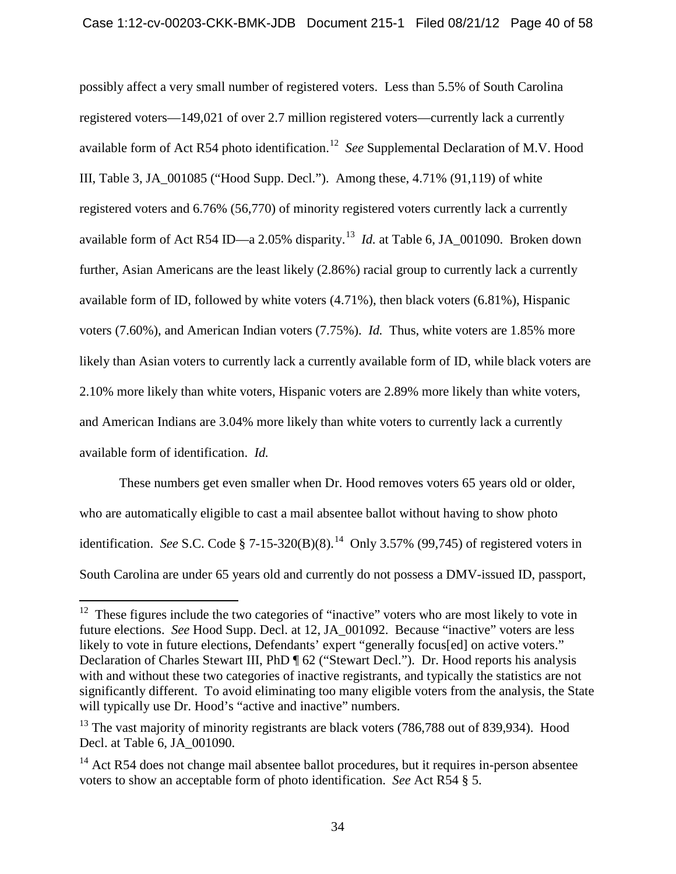possibly affect a very small number of registered voters. Less than 5.5% of South Carolina registered voters—149,021 of over 2.7 million registered voters—currently lack a currently available form of Act R54 photo identification.[12](#page-32-1) *See* Supplemental Declaration of M.V. Hood III, Table 3, JA\_001085 ("Hood Supp. Decl."). Among these, 4.71% (91,119) of white registered voters and 6.76% (56,770) of minority registered voters currently lack a currently available form of Act R54 ID—a 2.05% disparity.[13](#page-39-0) *Id.* at Table 6, JA\_001090. Broken down further, Asian Americans are the least likely (2.86%) racial group to currently lack a currently available form of ID, followed by white voters (4.71%), then black voters (6.81%), Hispanic voters (7.60%), and American Indian voters (7.75%). *Id.* Thus, white voters are 1.85% more likely than Asian voters to currently lack a currently available form of ID, while black voters are 2.10% more likely than white voters, Hispanic voters are 2.89% more likely than white voters, and American Indians are 3.04% more likely than white voters to currently lack a currently available form of identification. *Id.*

These numbers get even smaller when Dr. Hood removes voters 65 years old or older, who are automatically eligible to cast a mail absentee ballot without having to show photo identification. *See* S.C. Code § 7-15-320(B)(8). [14](#page-39-1) Only 3.57% (99,745) of registered voters in South Carolina are under 65 years old and currently do not possess a DMV-issued ID, passport,

 $12$  These figures include the two categories of "inactive" voters who are most likely to vote in future elections. *See* Hood Supp. Decl. at 12, JA\_001092. Because "inactive" voters are less likely to vote in future elections, Defendants' expert "generally focus[ed] on active voters." Declaration of Charles Stewart III, PhD ¶ 62 ("Stewart Decl."). Dr. Hood reports his analysis with and without these two categories of inactive registrants, and typically the statistics are not significantly different. To avoid eliminating too many eligible voters from the analysis, the State will typically use Dr. Hood's "active and inactive" numbers.

<span id="page-39-0"></span> $^{13}$  The vast majority of minority registrants are black voters (786,788 out of 839,934). Hood Decl. at Table 6, JA\_001090.

<span id="page-39-2"></span><span id="page-39-1"></span> $14$  Act R54 does not change mail absentee ballot procedures, but it requires in-person absentee voters to show an acceptable form of photo identification. *See* Act R54 § 5.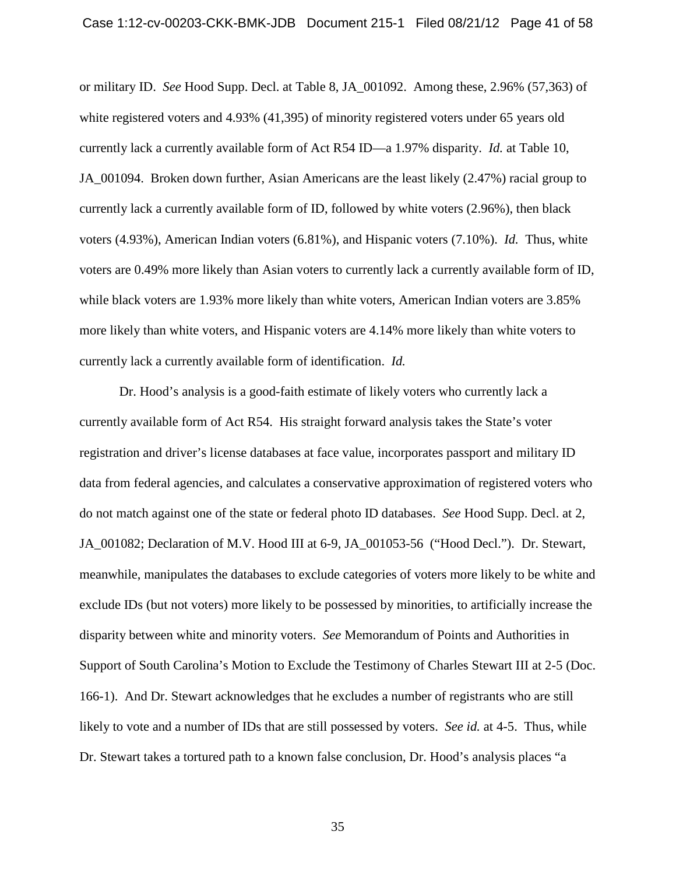or military ID. *See* Hood Supp. Decl. at Table 8, JA\_001092. Among these, 2.96% (57,363) of white registered voters and 4.93% (41,395) of minority registered voters under 65 years old currently lack a currently available form of Act R54 ID—a 1.97% disparity. *Id.* at Table 10, JA 001094. Broken down further, Asian Americans are the least likely (2.47%) racial group to currently lack a currently available form of ID, followed by white voters (2.96%), then black voters (4.93%), American Indian voters (6.81%), and Hispanic voters (7.10%). *Id.* Thus, white voters are 0.49% more likely than Asian voters to currently lack a currently available form of ID, while black voters are 1.93% more likely than white voters, American Indian voters are 3.85% more likely than white voters, and Hispanic voters are 4.14% more likely than white voters to currently lack a currently available form of identification. *Id.*

Dr. Hood's analysis is a good-faith estimate of likely voters who currently lack a currently available form of Act R54. His straight forward analysis takes the State's voter registration and driver's license databases at face value, incorporates passport and military ID data from federal agencies, and calculates a conservative approximation of registered voters who do not match against one of the state or federal photo ID databases. *See* Hood Supp. Decl. at 2, JA\_001082; Declaration of M.V. Hood III at 6-9, JA\_001053-56 ("Hood Decl."). Dr. Stewart, meanwhile, manipulates the databases to exclude categories of voters more likely to be white and exclude IDs (but not voters) more likely to be possessed by minorities, to artificially increase the disparity between white and minority voters. *See* Memorandum of Points and Authorities in Support of South Carolina's Motion to Exclude the Testimony of Charles Stewart III at 2-5 (Doc. 166-1). And Dr. Stewart acknowledges that he excludes a number of registrants who are still likely to vote and a number of IDs that are still possessed by voters. *See id.* at 4-5. Thus, while Dr. Stewart takes a tortured path to a known false conclusion, Dr. Hood's analysis places "a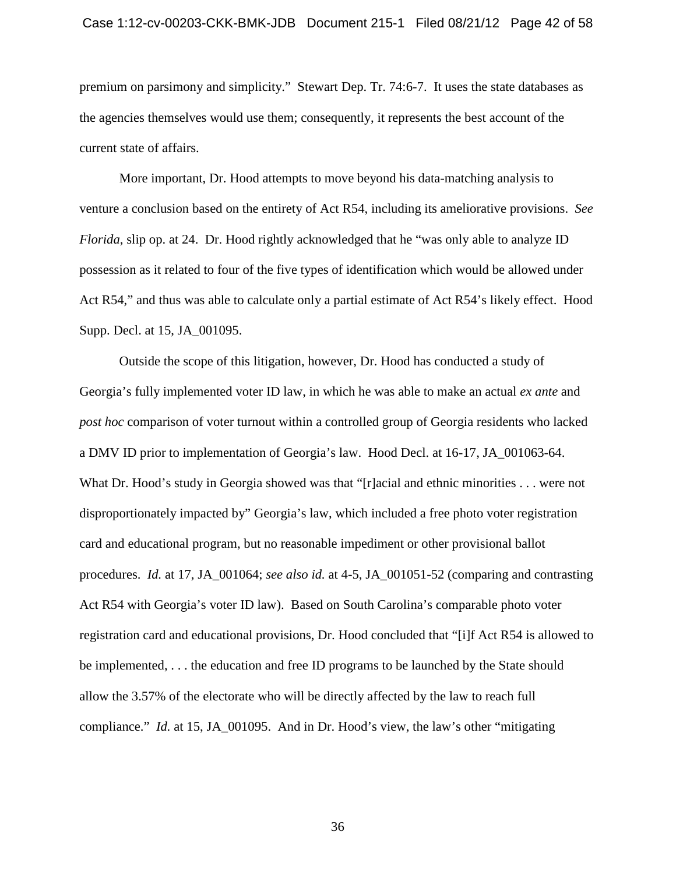premium on parsimony and simplicity." Stewart Dep. Tr. 74:6-7. It uses the state databases as the agencies themselves would use them; consequently, it represents the best account of the current state of affairs.

More important, Dr. Hood attempts to move beyond his data-matching analysis to venture a conclusion based on the entirety of Act R54, including its ameliorative provisions. *See Florida*, slip op. at 24. Dr. Hood rightly acknowledged that he "was only able to analyze ID possession as it related to four of the five types of identification which would be allowed under Act R54," and thus was able to calculate only a partial estimate of Act R54's likely effect. Hood Supp. Decl. at 15, JA\_001095.

Outside the scope of this litigation, however, Dr. Hood has conducted a study of Georgia's fully implemented voter ID law, in which he was able to make an actual *ex ante* and *post hoc* comparison of voter turnout within a controlled group of Georgia residents who lacked a DMV ID prior to implementation of Georgia's law. Hood Decl. at 16-17, JA\_001063-64. What Dr. Hood's study in Georgia showed was that "[r]acial and ethnic minorities . . . were not disproportionately impacted by" Georgia's law, which included a free photo voter registration card and educational program, but no reasonable impediment or other provisional ballot procedures. *Id.* at 17, JA\_001064; *see also id.* at 4-5, JA\_001051-52 (comparing and contrasting Act R54 with Georgia's voter ID law). Based on South Carolina's comparable photo voter registration card and educational provisions, Dr. Hood concluded that "[i]f Act R54 is allowed to be implemented, . . . the education and free ID programs to be launched by the State should allow the 3.57% of the electorate who will be directly affected by the law to reach full compliance." *Id.* at 15, JA\_001095. And in Dr. Hood's view, the law's other "mitigating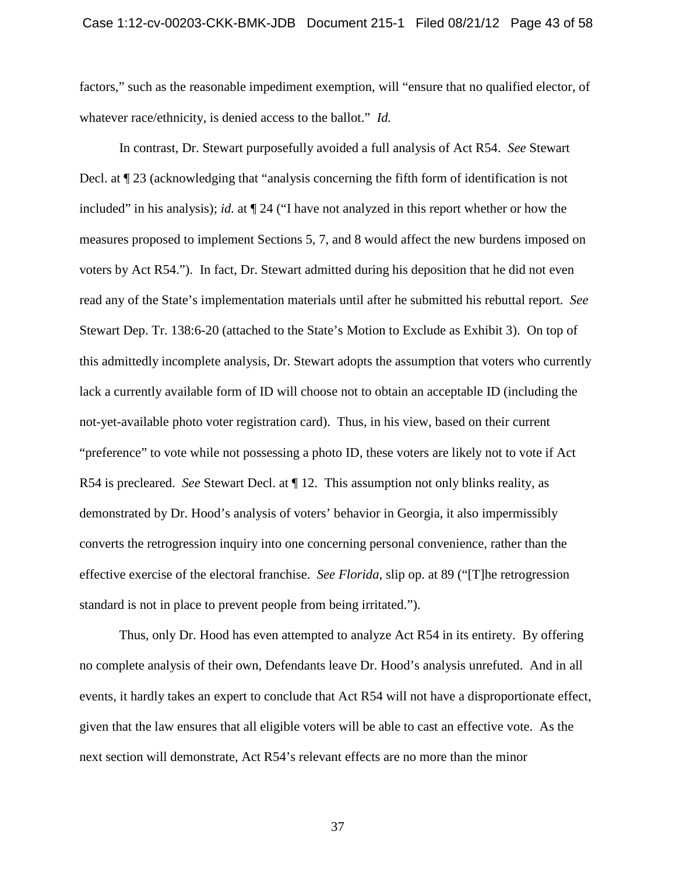factors," such as the reasonable impediment exemption, will "ensure that no qualified elector, of whatever race/ethnicity, is denied access to the ballot." *Id.*

In contrast, Dr. Stewart purposefully avoided a full analysis of Act R54. *See* Stewart Decl. at ¶ 23 (acknowledging that "analysis concerning the fifth form of identification is not included" in his analysis); *id.* at ¶ 24 ("I have not analyzed in this report whether or how the measures proposed to implement Sections 5, 7, and 8 would affect the new burdens imposed on voters by Act R54."). In fact, Dr. Stewart admitted during his deposition that he did not even read any of the State's implementation materials until after he submitted his rebuttal report. *See* Stewart Dep. Tr. 138:6-20 (attached to the State's Motion to Exclude as Exhibit 3). On top of this admittedly incomplete analysis, Dr. Stewart adopts the assumption that voters who currently lack a currently available form of ID will choose not to obtain an acceptable ID (including the not-yet-available photo voter registration card). Thus, in his view, based on their current "preference" to vote while not possessing a photo ID, these voters are likely not to vote if Act R54 is precleared. *See* Stewart Decl. at ¶ 12. This assumption not only blinks reality, as demonstrated by Dr. Hood's analysis of voters' behavior in Georgia, it also impermissibly converts the retrogression inquiry into one concerning personal convenience, rather than the effective exercise of the electoral franchise. *See Florida*, slip op. at 89 ("[T]he retrogression standard is not in place to prevent people from being irritated.").

Thus, only Dr. Hood has even attempted to analyze Act R54 in its entirety. By offering no complete analysis of their own, Defendants leave Dr. Hood's analysis unrefuted. And in all events, it hardly takes an expert to conclude that Act R54 will not have a disproportionate effect, given that the law ensures that all eligible voters will be able to cast an effective vote. As the next section will demonstrate, Act R54's relevant effects are no more than the minor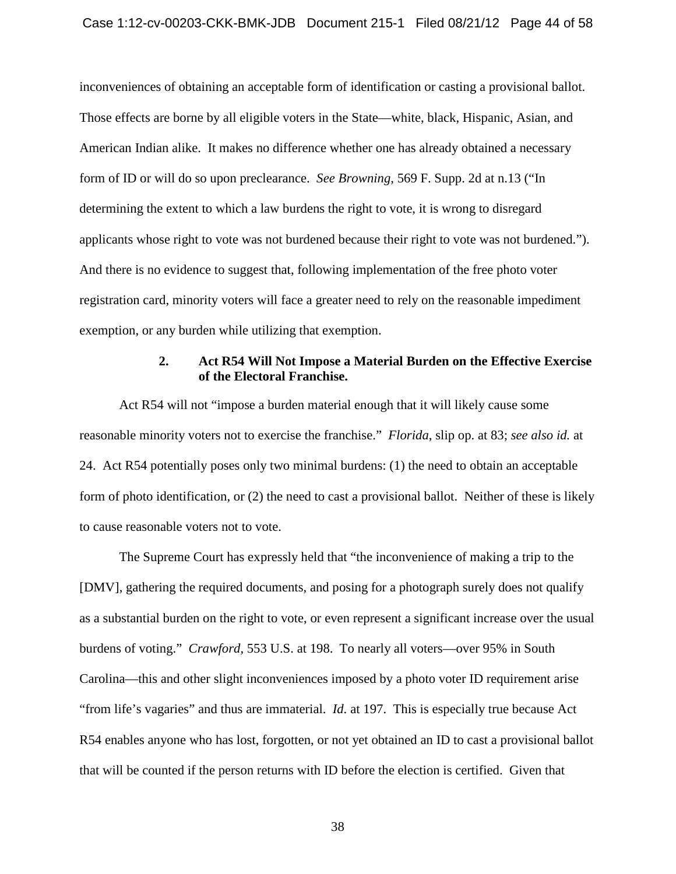inconveniences of obtaining an acceptable form of identification or casting a provisional ballot. Those effects are borne by all eligible voters in the State—white, black, Hispanic, Asian, and American Indian alike. It makes no difference whether one has already obtained a necessary form of ID or will do so upon preclearance. *See Browning*, 569 F. Supp. 2d at n.13 ("In determining the extent to which a law burdens the right to vote, it is wrong to disregard applicants whose right to vote was not burdened because their right to vote was not burdened."). And there is no evidence to suggest that, following implementation of the free photo voter registration card, minority voters will face a greater need to rely on the reasonable impediment exemption, or any burden while utilizing that exemption.

## **2. Act R54 Will Not Impose a Material Burden on the Effective Exercise of the Electoral Franchise.**

<span id="page-43-0"></span>Act R54 will not "impose a burden material enough that it will likely cause some reasonable minority voters not to exercise the franchise." *Florida*, slip op. at 83; *see also id.* at 24. Act R54 potentially poses only two minimal burdens: (1) the need to obtain an acceptable form of photo identification, or (2) the need to cast a provisional ballot. Neither of these is likely to cause reasonable voters not to vote.

The Supreme Court has expressly held that "the inconvenience of making a trip to the [DMV], gathering the required documents, and posing for a photograph surely does not qualify as a substantial burden on the right to vote, or even represent a significant increase over the usual burdens of voting." *Crawford*, 553 U.S. at 198. To nearly all voters—over 95% in South Carolina—this and other slight inconveniences imposed by a photo voter ID requirement arise "from life's vagaries" and thus are immaterial. *Id.* at 197. This is especially true because Act R54 enables anyone who has lost, forgotten, or not yet obtained an ID to cast a provisional ballot that will be counted if the person returns with ID before the election is certified. Given that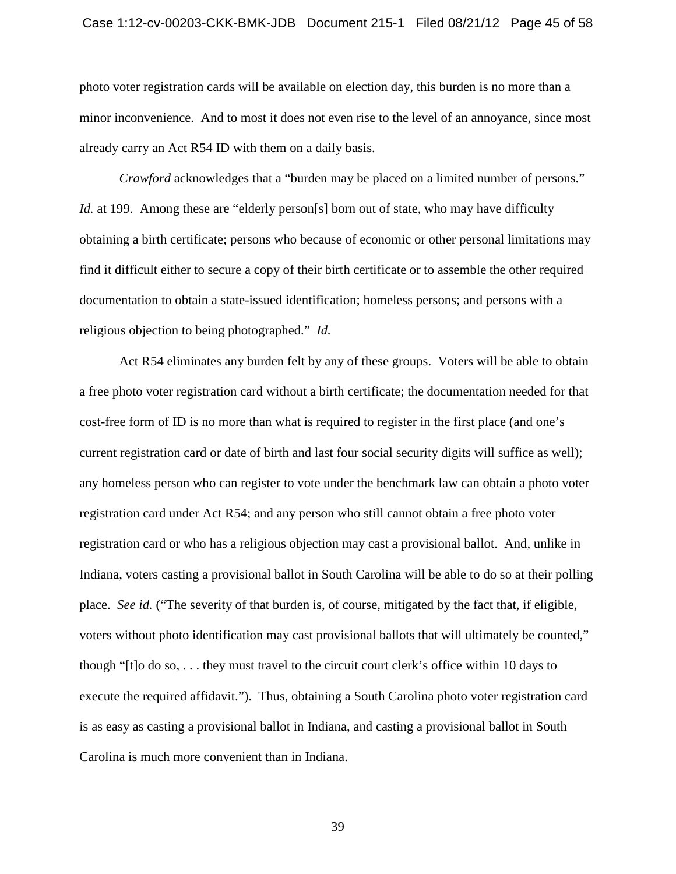## Case 1:12-cv-00203-CKK-BMK-JDB Document 215-1 Filed 08/21/12 Page 45 of 58

photo voter registration cards will be available on election day, this burden is no more than a minor inconvenience. And to most it does not even rise to the level of an annoyance, since most already carry an Act R54 ID with them on a daily basis.

*Crawford* acknowledges that a "burden may be placed on a limited number of persons." *Id.* at 199. Among these are "elderly person[s] born out of state, who may have difficulty obtaining a birth certificate; persons who because of economic or other personal limitations may find it difficult either to secure a copy of their birth certificate or to assemble the other required documentation to obtain a state-issued identification; homeless persons; and persons with a religious objection to being photographed." *Id.*

Act R54 eliminates any burden felt by any of these groups. Voters will be able to obtain a free photo voter registration card without a birth certificate; the documentation needed for that cost-free form of ID is no more than what is required to register in the first place (and one's current registration card or date of birth and last four social security digits will suffice as well); any homeless person who can register to vote under the benchmark law can obtain a photo voter registration card under Act R54; and any person who still cannot obtain a free photo voter registration card or who has a religious objection may cast a provisional ballot. And, unlike in Indiana, voters casting a provisional ballot in South Carolina will be able to do so at their polling place. *See id.* ("The severity of that burden is, of course, mitigated by the fact that, if eligible, voters without photo identification may cast provisional ballots that will ultimately be counted," though "[t]o do so, . . . they must travel to the circuit court clerk's office within 10 days to execute the required affidavit."). Thus, obtaining a South Carolina photo voter registration card is as easy as casting a provisional ballot in Indiana, and casting a provisional ballot in South Carolina is much more convenient than in Indiana.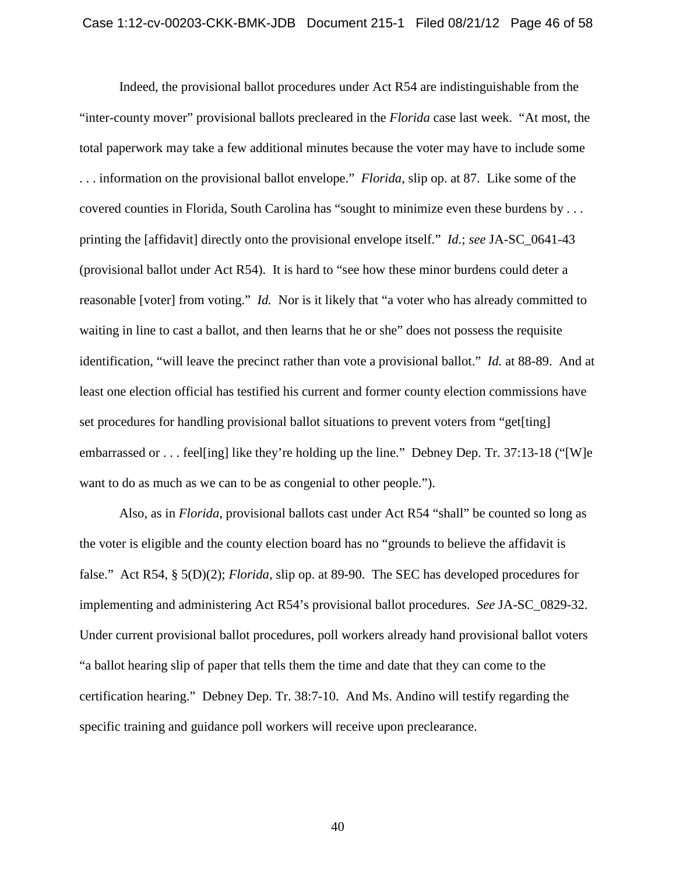Indeed, the provisional ballot procedures under Act R54 are indistinguishable from the "inter-county mover" provisional ballots precleared in the *Florida* case last week. "At most, the total paperwork may take a few additional minutes because the voter may have to include some . . . information on the provisional ballot envelope." *Florida*, slip op. at 87. Like some of the covered counties in Florida, South Carolina has "sought to minimize even these burdens by . . . printing the [affidavit] directly onto the provisional envelope itself." *Id.*; *see* JA-SC\_0641-43 (provisional ballot under Act R54). It is hard to "see how these minor burdens could deter a reasonable [voter] from voting." *Id.* Nor is it likely that "a voter who has already committed to waiting in line to cast a ballot, and then learns that he or she" does not possess the requisite identification, "will leave the precinct rather than vote a provisional ballot." *Id.* at 88-89. And at least one election official has testified his current and former county election commissions have set procedures for handling provisional ballot situations to prevent voters from "get[ting] embarrassed or . . . feel[ing] like they're holding up the line." Debney Dep. Tr. 37:13-18 ("[W]e want to do as much as we can to be as congenial to other people.").

Also, as in *Florida*, provisional ballots cast under Act R54 "shall" be counted so long as the voter is eligible and the county election board has no "grounds to believe the affidavit is false." Act R54, § 5(D)(2); *Florida*, slip op. at 89-90. The SEC has developed procedures for implementing and administering Act R54's provisional ballot procedures. *See* JA-SC\_0829-32. Under current provisional ballot procedures, poll workers already hand provisional ballot voters "a ballot hearing slip of paper that tells them the time and date that they can come to the certification hearing." Debney Dep. Tr. 38:7-10. And Ms. Andino will testify regarding the specific training and guidance poll workers will receive upon preclearance.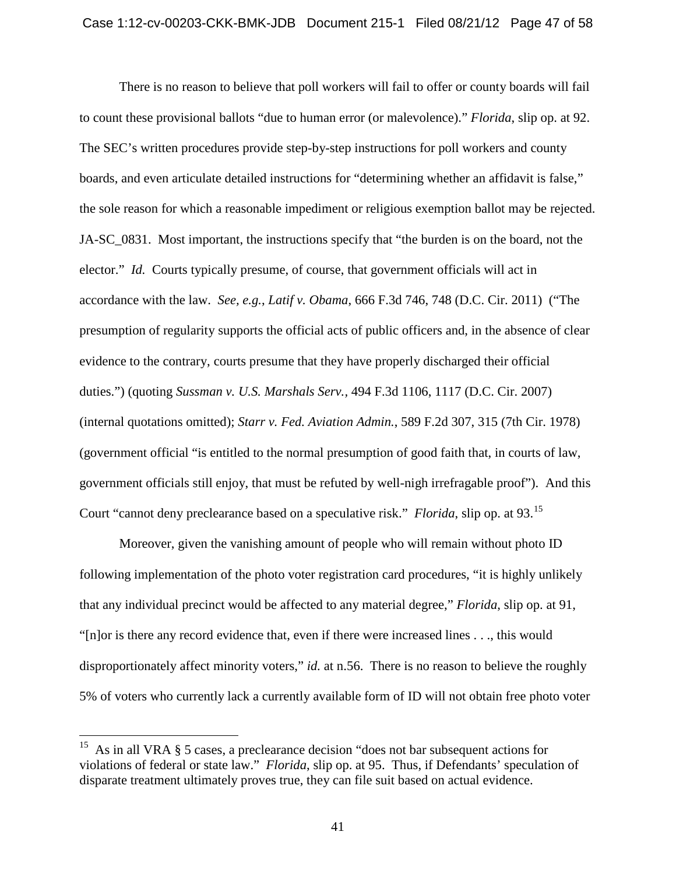There is no reason to believe that poll workers will fail to offer or county boards will fail to count these provisional ballots "due to human error (or malevolence)." *Florida*, slip op. at 92. The SEC's written procedures provide step-by-step instructions for poll workers and county boards, and even articulate detailed instructions for "determining whether an affidavit is false," the sole reason for which a reasonable impediment or religious exemption ballot may be rejected. JA-SC\_0831. Most important, the instructions specify that "the burden is on the board, not the elector." *Id.* Courts typically presume, of course, that government officials will act in accordance with the law. *See, e.g.*, *Latif v. Obama*, 666 F.3d 746, 748 (D.C. Cir. 2011) ("The presumption of regularity supports the official acts of public officers and, in the absence of clear evidence to the contrary, courts presume that they have properly discharged their official duties.") (quoting *Sussman v. U.S. Marshals Serv.,* 494 F.3d 1106, 1117 (D.C. Cir. 2007) (internal quotations omitted); *Starr v. Fed. Aviation Admin.*, 589 F.2d 307, 315 (7th Cir. 1978) (government official "is entitled to the normal presumption of good faith that, in courts of law, government officials still enjoy, that must be refuted by well-nigh irrefragable proof"). And this Court "cannot deny preclearance based on a speculative risk." *Florida*, slip op. at 93.[15](#page-39-2)

Moreover, given the vanishing amount of people who will remain without photo ID following implementation of the photo voter registration card procedures, "it is highly unlikely that any individual precinct would be affected to any material degree," *Florida*, slip op. at 91, "[n]or is there any record evidence that, even if there were increased lines . . ., this would disproportionately affect minority voters," *id.* at n.56. There is no reason to believe the roughly 5% of voters who currently lack a currently available form of ID will not obtain free photo voter

<sup>&</sup>lt;sup>15</sup> As in all VRA § 5 cases, a preclearance decision "does not bar subsequent actions for violations of federal or state law." *Florida*, slip op. at 95. Thus, if Defendants' speculation of disparate treatment ultimately proves true, they can file suit based on actual evidence.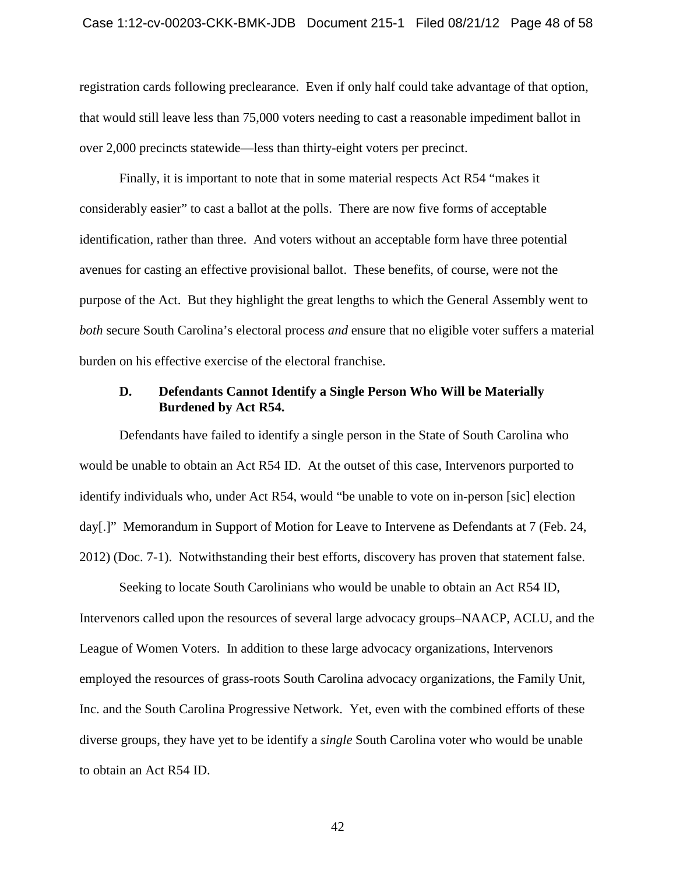## Case 1:12-cv-00203-CKK-BMK-JDB Document 215-1 Filed 08/21/12 Page 48 of 58

registration cards following preclearance. Even if only half could take advantage of that option, that would still leave less than 75,000 voters needing to cast a reasonable impediment ballot in over 2,000 precincts statewide—less than thirty-eight voters per precinct.

Finally, it is important to note that in some material respects Act R54 "makes it considerably easier" to cast a ballot at the polls. There are now five forms of acceptable identification, rather than three. And voters without an acceptable form have three potential avenues for casting an effective provisional ballot. These benefits, of course, were not the purpose of the Act. But they highlight the great lengths to which the General Assembly went to *both* secure South Carolina's electoral process *and* ensure that no eligible voter suffers a material burden on his effective exercise of the electoral franchise.

## <span id="page-47-0"></span>**D. Defendants Cannot Identify a Single Person Who Will be Materially Burdened by Act R54.**

Defendants have failed to identify a single person in the State of South Carolina who would be unable to obtain an Act R54 ID. At the outset of this case, Intervenors purported to identify individuals who, under Act R54, would "be unable to vote on in-person [sic] election day[.]" Memorandum in Support of Motion for Leave to Intervene as Defendants at 7 (Feb. 24, 2012) (Doc. 7-1). Notwithstanding their best efforts, discovery has proven that statement false.

Seeking to locate South Carolinians who would be unable to obtain an Act R54 ID, Intervenors called upon the resources of several large advocacy groups–NAACP, ACLU, and the League of Women Voters. In addition to these large advocacy organizations, Intervenors employed the resources of grass-roots South Carolina advocacy organizations, the Family Unit, Inc. and the South Carolina Progressive Network. Yet, even with the combined efforts of these diverse groups, they have yet to be identify a *single* South Carolina voter who would be unable to obtain an Act R54 ID.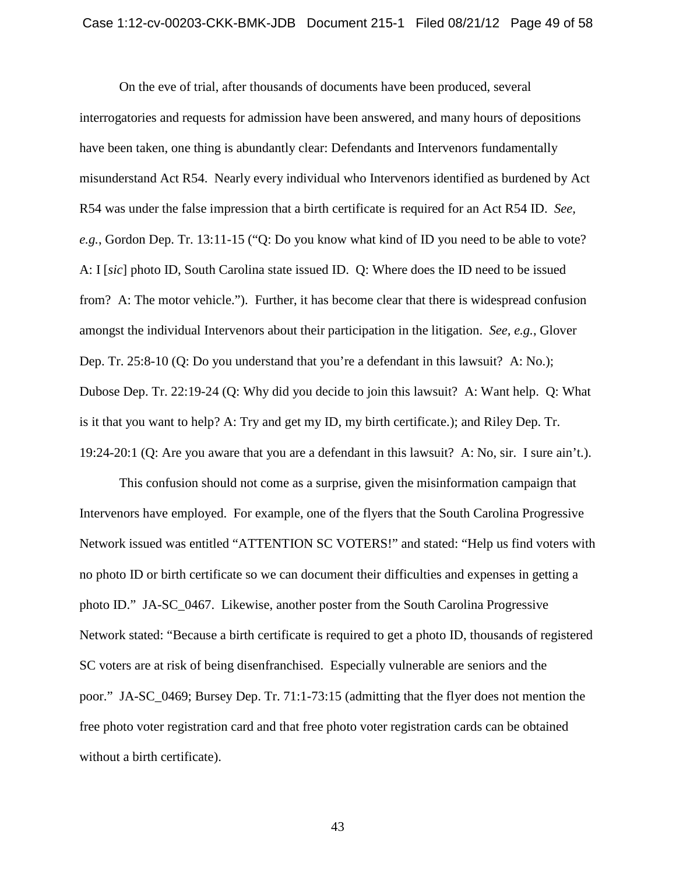On the eve of trial, after thousands of documents have been produced, several interrogatories and requests for admission have been answered, and many hours of depositions have been taken, one thing is abundantly clear: Defendants and Intervenors fundamentally misunderstand Act R54. Nearly every individual who Intervenors identified as burdened by Act R54 was under the false impression that a birth certificate is required for an Act R54 ID. *See, e.g.*, Gordon Dep. Tr. 13:11-15 ("Q: Do you know what kind of ID you need to be able to vote? A: I [*sic*] photo ID, South Carolina state issued ID. Q: Where does the ID need to be issued from? A: The motor vehicle."). Further, it has become clear that there is widespread confusion amongst the individual Intervenors about their participation in the litigation. *See, e.g.*, Glover Dep. Tr. 25:8-10 (Q: Do you understand that you're a defendant in this lawsuit? A: No.); Dubose Dep. Tr. 22:19-24 (Q: Why did you decide to join this lawsuit? A: Want help. Q: What is it that you want to help? A: Try and get my ID, my birth certificate.); and Riley Dep. Tr. 19:24-20:1 (Q: Are you aware that you are a defendant in this lawsuit? A: No, sir. I sure ain't.).

This confusion should not come as a surprise, given the misinformation campaign that Intervenors have employed. For example, one of the flyers that the South Carolina Progressive Network issued was entitled "ATTENTION SC VOTERS!" and stated: "Help us find voters with no photo ID or birth certificate so we can document their difficulties and expenses in getting a photo ID." JA-SC\_0467. Likewise, another poster from the South Carolina Progressive Network stated: "Because a birth certificate is required to get a photo ID, thousands of registered SC voters are at risk of being disenfranchised. Especially vulnerable are seniors and the poor." JA-SC\_0469; Bursey Dep. Tr. 71:1-73:15 (admitting that the flyer does not mention the free photo voter registration card and that free photo voter registration cards can be obtained without a birth certificate).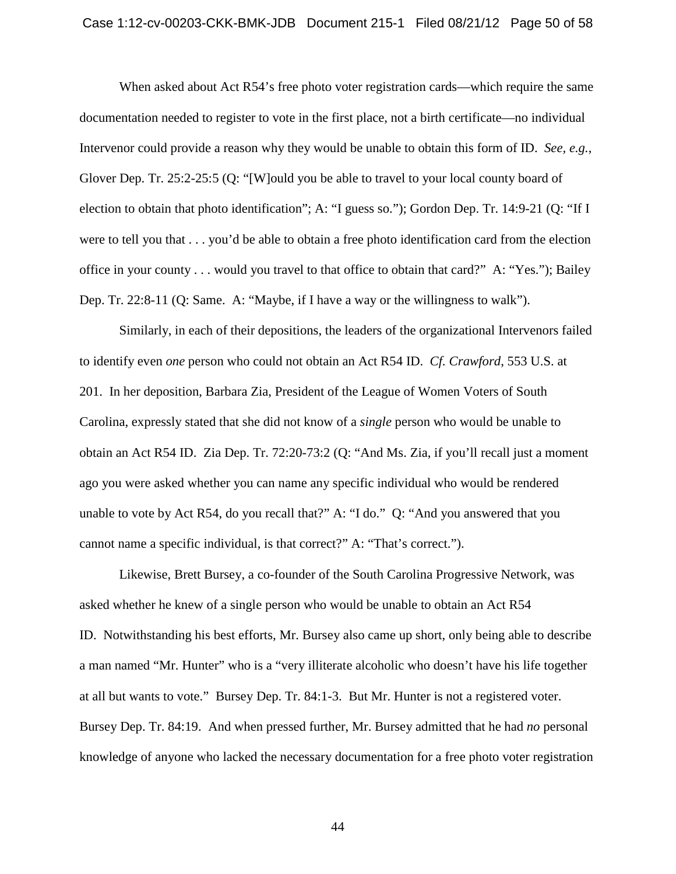## Case 1:12-cv-00203-CKK-BMK-JDB Document 215-1 Filed 08/21/12 Page 50 of 58

When asked about Act R54's free photo voter registration cards—which require the same documentation needed to register to vote in the first place, not a birth certificate—no individual Intervenor could provide a reason why they would be unable to obtain this form of ID. *See, e.g.*, Glover Dep. Tr. 25:2-25:5 (Q: "[W]ould you be able to travel to your local county board of election to obtain that photo identification"; A: "I guess so."); Gordon Dep. Tr. 14:9-21 (Q: "If I were to tell you that . . . you'd be able to obtain a free photo identification card from the election office in your county . . . would you travel to that office to obtain that card?" A: "Yes."); Bailey Dep. Tr. 22:8-11 (Q: Same. A: "Maybe, if I have a way or the willingness to walk").

Similarly, in each of their depositions, the leaders of the organizational Intervenors failed to identify even *one* person who could not obtain an Act R54 ID. *Cf. Crawford*, 553 U.S. at 201. In her deposition, Barbara Zia, President of the League of Women Voters of South Carolina, expressly stated that she did not know of a *single* person who would be unable to obtain an Act R54 ID. Zia Dep. Tr. 72:20-73:2 (Q: "And Ms. Zia, if you'll recall just a moment ago you were asked whether you can name any specific individual who would be rendered unable to vote by Act R54, do you recall that?" A: "I do." Q: "And you answered that you cannot name a specific individual, is that correct?" A: "That's correct.").

Likewise, Brett Bursey, a co-founder of the South Carolina Progressive Network, was asked whether he knew of a single person who would be unable to obtain an Act R54 ID. Notwithstanding his best efforts, Mr. Bursey also came up short, only being able to describe a man named "Mr. Hunter" who is a "very illiterate alcoholic who doesn't have his life together at all but wants to vote." Bursey Dep. Tr. 84:1-3. But Mr. Hunter is not a registered voter. Bursey Dep. Tr. 84:19. And when pressed further, Mr. Bursey admitted that he had *no* personal knowledge of anyone who lacked the necessary documentation for a free photo voter registration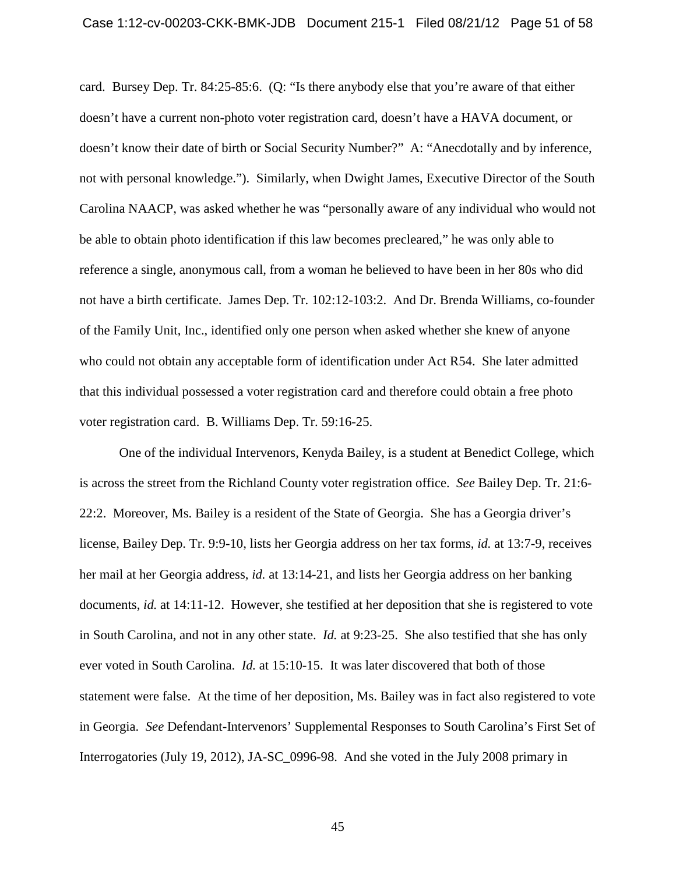card. Bursey Dep. Tr. 84:25-85:6. (Q: "Is there anybody else that you're aware of that either doesn't have a current non-photo voter registration card, doesn't have a HAVA document, or doesn't know their date of birth or Social Security Number?" A: "Anecdotally and by inference, not with personal knowledge."). Similarly, when Dwight James, Executive Director of the South Carolina NAACP, was asked whether he was "personally aware of any individual who would not be able to obtain photo identification if this law becomes precleared," he was only able to reference a single, anonymous call, from a woman he believed to have been in her 80s who did not have a birth certificate. James Dep. Tr. 102:12-103:2. And Dr. Brenda Williams, co-founder of the Family Unit, Inc., identified only one person when asked whether she knew of anyone who could not obtain any acceptable form of identification under Act R54. She later admitted that this individual possessed a voter registration card and therefore could obtain a free photo voter registration card. B. Williams Dep. Tr. 59:16-25.

One of the individual Intervenors, Kenyda Bailey, is a student at Benedict College, which is across the street from the Richland County voter registration office. *See* Bailey Dep. Tr. 21:6- 22:2. Moreover, Ms. Bailey is a resident of the State of Georgia. She has a Georgia driver's license, Bailey Dep. Tr. 9:9-10, lists her Georgia address on her tax forms, *id.* at 13:7-9, receives her mail at her Georgia address, *id.* at 13:14-21, and lists her Georgia address on her banking documents, *id.* at 14:11-12. However, she testified at her deposition that she is registered to vote in South Carolina, and not in any other state. *Id.* at 9:23-25. She also testified that she has only ever voted in South Carolina. *Id.* at 15:10-15. It was later discovered that both of those statement were false. At the time of her deposition, Ms. Bailey was in fact also registered to vote in Georgia. *See* Defendant-Intervenors' Supplemental Responses to South Carolina's First Set of Interrogatories (July 19, 2012), JA-SC\_0996-98. And she voted in the July 2008 primary in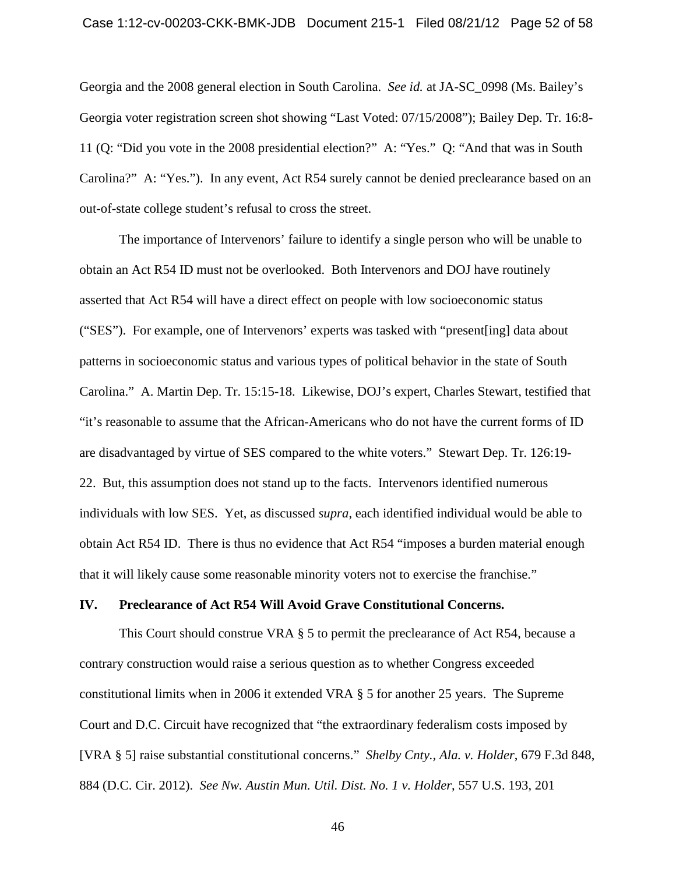Georgia and the 2008 general election in South Carolina. *See id.* at JA-SC\_0998 (Ms. Bailey's Georgia voter registration screen shot showing "Last Voted: 07/15/2008"); Bailey Dep. Tr. 16:8- 11 (Q: "Did you vote in the 2008 presidential election?" A: "Yes." Q: "And that was in South Carolina?" A: "Yes."). In any event, Act R54 surely cannot be denied preclearance based on an out-of-state college student's refusal to cross the street.

The importance of Intervenors' failure to identify a single person who will be unable to obtain an Act R54 ID must not be overlooked. Both Intervenors and DOJ have routinely asserted that Act R54 will have a direct effect on people with low socioeconomic status ("SES"). For example, one of Intervenors' experts was tasked with "present[ing] data about patterns in socioeconomic status and various types of political behavior in the state of South Carolina." A. Martin Dep. Tr. 15:15-18. Likewise, DOJ's expert, Charles Stewart, testified that "it's reasonable to assume that the African-Americans who do not have the current forms of ID are disadvantaged by virtue of SES compared to the white voters." Stewart Dep. Tr. 126:19- 22. But, this assumption does not stand up to the facts. Intervenors identified numerous individuals with low SES. Yet, as discussed *supra*, each identified individual would be able to obtain Act R54 ID. There is thus no evidence that Act R54 "imposes a burden material enough that it will likely cause some reasonable minority voters not to exercise the franchise."

#### <span id="page-51-0"></span>**IV. Preclearance of Act R54 Will Avoid Grave Constitutional Concerns.**

This Court should construe VRA § 5 to permit the preclearance of Act R54, because a contrary construction would raise a serious question as to whether Congress exceeded constitutional limits when in 2006 it extended VRA § 5 for another 25 years. The Supreme Court and D.C. Circuit have recognized that "the extraordinary federalism costs imposed by [VRA § 5] raise substantial constitutional concerns." *Shelby Cnty., Ala. v. Holder*, 679 F.3d 848, 884 (D.C. Cir. 2012). *See Nw. Austin Mun. Util. Dist. No. 1 v. Holder*, 557 U.S. 193, 201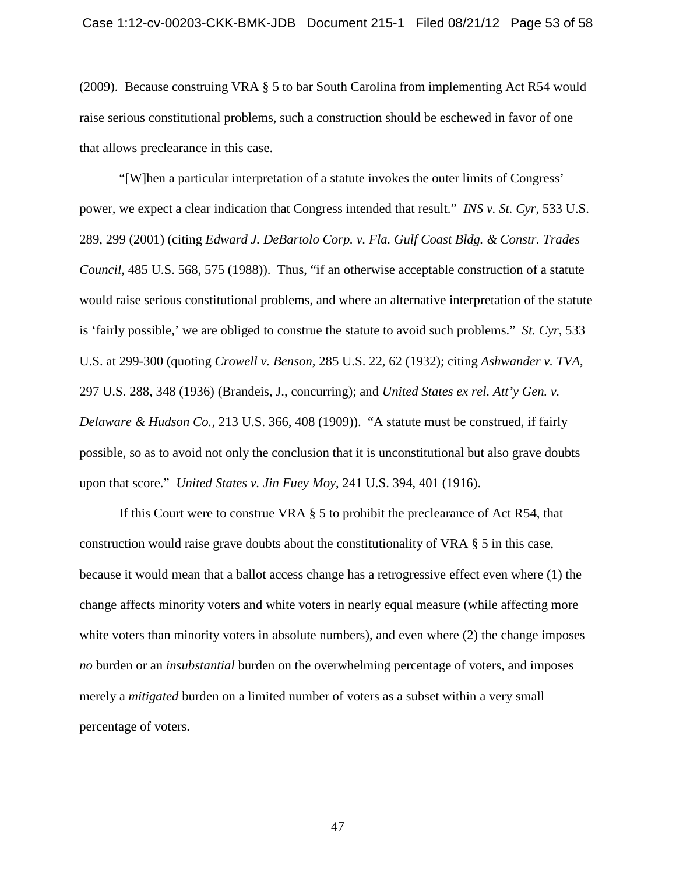(2009). Because construing VRA § 5 to bar South Carolina from implementing Act R54 would raise serious constitutional problems, such a construction should be eschewed in favor of one that allows preclearance in this case.

"[W]hen a particular interpretation of a statute invokes the outer limits of Congress' power, we expect a clear indication that Congress intended that result." *INS v. St. Cyr*, 533 U.S. 289, 299 (2001) (citing *Edward J. DeBartolo Corp. v. Fla. Gulf Coast Bldg. & Constr. Trades Council,* 485 U.S. 568, 575 (1988)). Thus, "if an otherwise acceptable construction of a statute would raise serious constitutional problems, and where an alternative interpretation of the statute is 'fairly possible,' we are obliged to construe the statute to avoid such problems." *St. Cyr*, 533 U.S. at 299-300 (quoting *Crowell v. Benson*, 285 U.S. 22, 62 (1932); citing *Ashwander v. TVA*, 297 U.S. 288, 348 (1936) (Brandeis, J., concurring); and *United States ex rel. Att'y Gen. v. Delaware & Hudson Co.,* 213 U.S. 366, 408 (1909)). "A statute must be construed, if fairly possible, so as to avoid not only the conclusion that it is unconstitutional but also grave doubts upon that score." *United States v. Jin Fuey Moy*, 241 U.S. 394, 401 (1916).

If this Court were to construe VRA § 5 to prohibit the preclearance of Act R54, that construction would raise grave doubts about the constitutionality of VRA § 5 in this case, because it would mean that a ballot access change has a retrogressive effect even where (1) the change affects minority voters and white voters in nearly equal measure (while affecting more white voters than minority voters in absolute numbers), and even where (2) the change imposes *no* burden or an *insubstantial* burden on the overwhelming percentage of voters, and imposes merely a *mitigated* burden on a limited number of voters as a subset within a very small percentage of voters.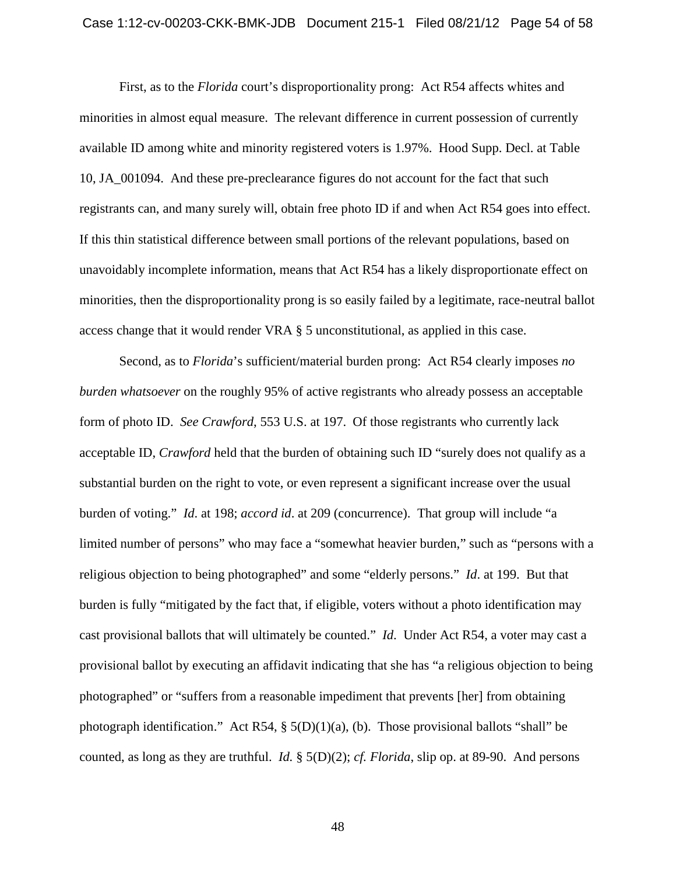## Case 1:12-cv-00203-CKK-BMK-JDB Document 215-1 Filed 08/21/12 Page 54 of 58

First, as to the *Florida* court's disproportionality prong: Act R54 affects whites and minorities in almost equal measure. The relevant difference in current possession of currently available ID among white and minority registered voters is 1.97%. Hood Supp. Decl. at Table 10, JA\_001094. And these pre-preclearance figures do not account for the fact that such registrants can, and many surely will, obtain free photo ID if and when Act R54 goes into effect. If this thin statistical difference between small portions of the relevant populations, based on unavoidably incomplete information, means that Act R54 has a likely disproportionate effect on minorities, then the disproportionality prong is so easily failed by a legitimate, race-neutral ballot access change that it would render VRA § 5 unconstitutional, as applied in this case.

Second, as to *Florida*'s sufficient/material burden prong: Act R54 clearly imposes *no burden whatsoever* on the roughly 95% of active registrants who already possess an acceptable form of photo ID. *See Crawford*, 553 U.S. at 197. Of those registrants who currently lack acceptable ID, *Crawford* held that the burden of obtaining such ID "surely does not qualify as a substantial burden on the right to vote, or even represent a significant increase over the usual burden of voting." *Id*. at 198; *accord id*. at 209 (concurrence). That group will include "a limited number of persons" who may face a "somewhat heavier burden," such as "persons with a religious objection to being photographed" and some "elderly persons." *Id*. at 199. But that burden is fully "mitigated by the fact that, if eligible, voters without a photo identification may cast provisional ballots that will ultimately be counted." *Id*. Under Act R54, a voter may cast a provisional ballot by executing an affidavit indicating that she has "a religious objection to being photographed" or "suffers from a reasonable impediment that prevents [her] from obtaining photograph identification." Act R54,  $\S$  5(D)(1)(a), (b). Those provisional ballots "shall" be counted, as long as they are truthful. *Id.* § 5(D)(2); *cf. Florida*, slip op. at 89-90. And persons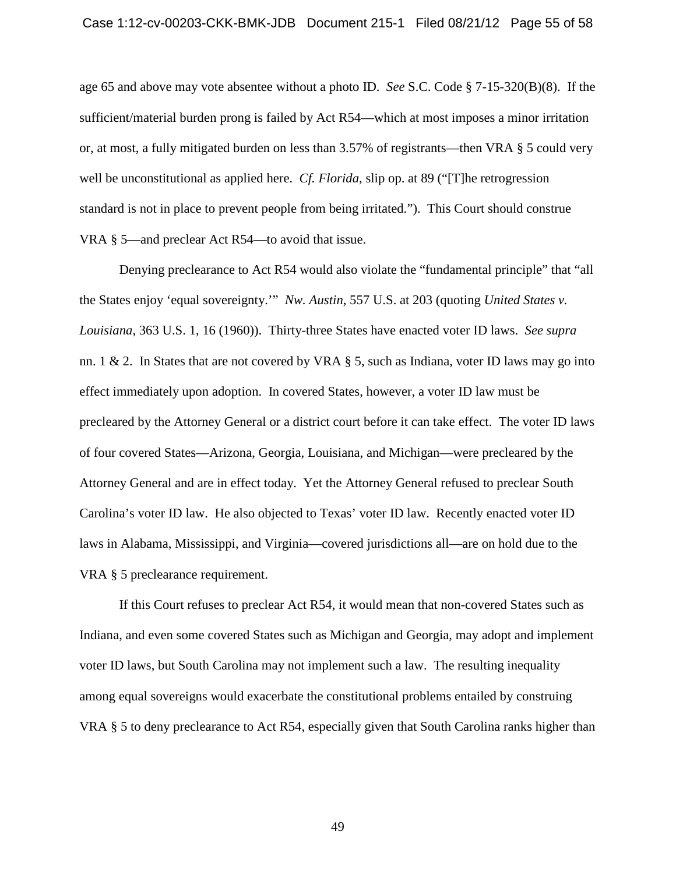age 65 and above may vote absentee without a photo ID. *See* S.C. Code § 7-15-320(B)(8). If the sufficient/material burden prong is failed by Act R54—which at most imposes a minor irritation or, at most, a fully mitigated burden on less than 3.57% of registrants—then VRA § 5 could very well be unconstitutional as applied here. *Cf. Florida*, slip op. at 89 ("[T]he retrogression standard is not in place to prevent people from being irritated."). This Court should construe VRA § 5—and preclear Act R54—to avoid that issue.

Denying preclearance to Act R54 would also violate the "fundamental principle" that "all the States enjoy 'equal sovereignty.'" *Nw. Austin*, 557 U.S. at 203 (quoting *United States v. Louisiana*, 363 U.S. 1, 16 (1960)). Thirty-three States have enacted voter ID laws. *See supra* nn. 1 & 2. In States that are not covered by VRA  $\S$  5, such as Indiana, voter ID laws may go into effect immediately upon adoption. In covered States, however, a voter ID law must be precleared by the Attorney General or a district court before it can take effect. The voter ID laws of four covered States—Arizona, Georgia, Louisiana, and Michigan—were precleared by the Attorney General and are in effect today. Yet the Attorney General refused to preclear South Carolina's voter ID law. He also objected to Texas' voter ID law. Recently enacted voter ID laws in Alabama, Mississippi, and Virginia—covered jurisdictions all—are on hold due to the VRA § 5 preclearance requirement.

If this Court refuses to preclear Act R54, it would mean that non-covered States such as Indiana, and even some covered States such as Michigan and Georgia, may adopt and implement voter ID laws, but South Carolina may not implement such a law. The resulting inequality among equal sovereigns would exacerbate the constitutional problems entailed by construing VRA § 5 to deny preclearance to Act R54, especially given that South Carolina ranks higher than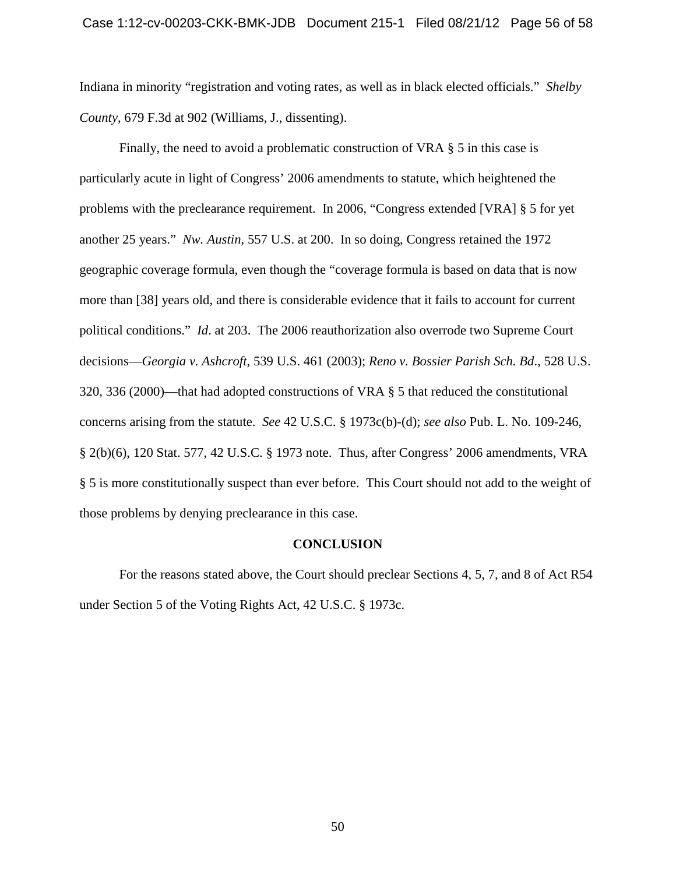Indiana in minority "registration and voting rates, as well as in black elected officials." *Shelby County*, 679 F.3d at 902 (Williams, J., dissenting).

Finally, the need to avoid a problematic construction of VRA § 5 in this case is particularly acute in light of Congress' 2006 amendments to statute, which heightened the problems with the preclearance requirement. In 2006, "Congress extended [VRA] § 5 for yet another 25 years." *Nw. Austin*, 557 U.S. at 200. In so doing, Congress retained the 1972 geographic coverage formula, even though the "coverage formula is based on data that is now more than [38] years old, and there is considerable evidence that it fails to account for current political conditions." *Id*. at 203. The 2006 reauthorization also overrode two Supreme Court decisions—*Georgia v. Ashcroft*, 539 U.S. 461 (2003); *Reno v. Bossier Parish Sch. Bd*., 528 U.S. 320, 336 (2000)—that had adopted constructions of VRA § 5 that reduced the constitutional concerns arising from the statute. *See* 42 U.S.C. § 1973c(b)-(d); *see also* Pub. L. No. 109-246, § 2(b)(6), 120 Stat. 577, 42 U.S.C. § 1973 note. Thus, after Congress' 2006 amendments, VRA § 5 is more constitutionally suspect than ever before. This Court should not add to the weight of those problems by denying preclearance in this case.

#### **CONCLUSION**

For the reasons stated above, the Court should preclear Sections 4, 5, 7, and 8 of Act R54 under Section 5 of the Voting Rights Act, 42 U.S.C. § 1973c.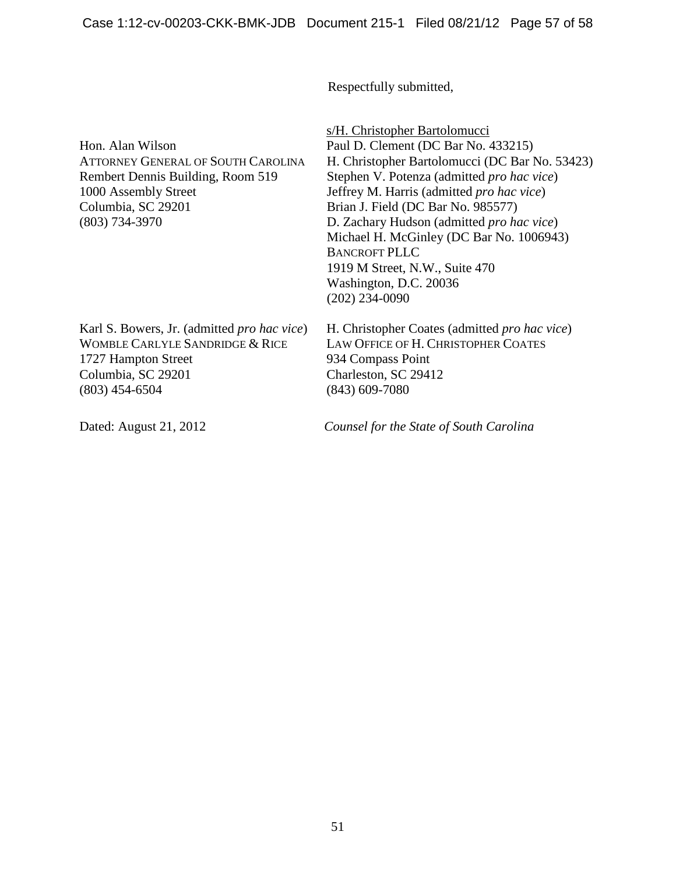Respectfully submitted,

Hon. Alan Wilson ATTORNEY GENERAL OF SOUTH CAROLINA Rembert Dennis Building, Room 519 1000 Assembly Street Columbia, SC 29201 (803) 734-3970

s/H. Christopher Bartolomucci Paul D. Clement (DC Bar No. 433215) H. Christopher Bartolomucci (DC Bar No. 53423) Stephen V. Potenza (admitted *pro hac vice*) Jeffrey M. Harris (admitted *pro hac vice*) Brian J. Field (DC Bar No. 985577) D. Zachary Hudson (admitted *pro hac vice*) Michael H. McGinley (DC Bar No. 1006943) BANCROFT PLLC 1919 M Street, N.W., Suite 470 Washington, D.C. 20036 (202) 234-0090

Karl S. Bowers, Jr. (admitted *pro hac vice*) WOMBLE CARLYLE SANDRIDGE & RICE 1727 Hampton Street Columbia, SC 29201 (803) 454-6504

934 Compass Point Charleston, SC 29412 (843) 609-7080

H. Christopher Coates (admitted *pro hac vice*) LAW OFFICE OF H. CHRISTOPHER COATES

Dated: August 21, 2012 *Counsel for the State of South Carolina*